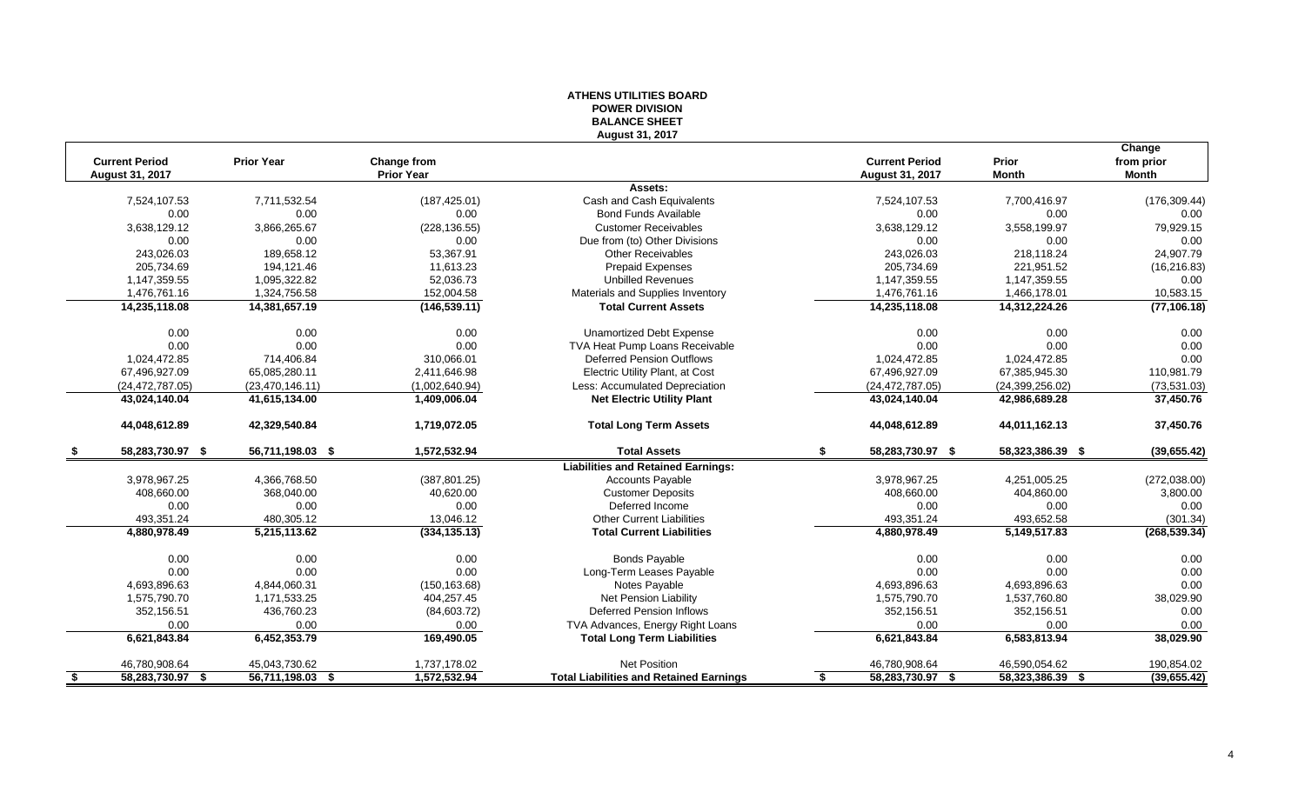# **ATHENS UTILITIES BOARD POWER DIVISION BALANCE SHEET August 31, 2017**

|      |                       |                   |                   |                                                |                        |                   | Change        |
|------|-----------------------|-------------------|-------------------|------------------------------------------------|------------------------|-------------------|---------------|
|      | <b>Current Period</b> | <b>Prior Year</b> | Change from       |                                                | <b>Current Period</b>  | Prior             | from prior    |
|      | August 31, 2017       |                   | <b>Prior Year</b> |                                                | August 31, 2017        | <b>Month</b>      | Month         |
|      |                       |                   |                   | Assets:                                        |                        |                   |               |
|      | 7,524,107.53          | 7,711,532.54      | (187, 425.01)     | Cash and Cash Equivalents                      | 7,524,107.53           | 7,700,416.97      | (176, 309.44) |
|      | 0.00                  | 0.00              | 0.00              | <b>Bond Funds Available</b>                    | 0.00                   | 0.00              | 0.00          |
|      | 3,638,129.12          | 3,866,265.67      | (228, 136.55)     | <b>Customer Receivables</b>                    | 3,638,129.12           | 3,558,199.97      | 79,929.15     |
|      | 0.00                  | 0.00              | 0.00              | Due from (to) Other Divisions                  | 0.00                   | 0.00              | 0.00          |
|      | 243,026.03            | 189,658.12        | 53,367.91         | <b>Other Receivables</b>                       | 243,026.03             | 218,118.24        | 24,907.79     |
|      | 205,734.69            | 194,121.46        | 11,613.23         | <b>Prepaid Expenses</b>                        | 205,734.69             | 221,951.52        | (16, 216.83)  |
|      | 1,147,359.55          | 1,095,322.82      | 52,036.73         | <b>Unbilled Revenues</b>                       | 1,147,359.55           | 1,147,359.55      | 0.00          |
|      | 1,476,761.16          | 1,324,756.58      | 152,004.58        | Materials and Supplies Inventory               | 1,476,761.16           | 1,466,178.01      | 10,583.15     |
|      | 14,235,118.08         | 14,381,657.19     | (146, 539.11)     | <b>Total Current Assets</b>                    | 14,235,118.08          | 14,312,224.26     | (77, 106.18)  |
|      | 0.00                  | 0.00              | 0.00              | <b>Unamortized Debt Expense</b>                | 0.00                   | 0.00              | 0.00          |
|      | 0.00                  | 0.00              | 0.00              | TVA Heat Pump Loans Receivable                 | 0.00                   | 0.00              | 0.00          |
|      | 1,024,472.85          | 714,406.84        | 310,066.01        | <b>Deferred Pension Outflows</b>               | 1,024,472.85           | 1,024,472.85      | 0.00          |
|      | 67,496,927.09         | 65,085,280.11     | 2,411,646.98      | Electric Utility Plant, at Cost                | 67,496,927.09          | 67,385,945.30     | 110,981.79    |
|      | (24, 472, 787.05)     | (23, 470, 146.11) | (1,002,640.94)    | Less: Accumulated Depreciation                 | (24, 472, 787.05)      | (24, 399, 256.02) | (73, 531.03)  |
|      | 43,024,140.04         | 41,615,134.00     | 1,409,006.04      | <b>Net Electric Utility Plant</b>              | 43,024,140.04          | 42,986,689.28     | 37,450.76     |
|      | 44,048,612.89         | 42,329,540.84     | 1,719,072.05      | <b>Total Long Term Assets</b>                  | 44,048,612.89          | 44,011,162.13     | 37,450.76     |
|      | 58,283,730.97 \$      | 56,711,198.03 \$  | 1,572,532.94      | <b>Total Assets</b>                            | S.<br>58,283,730.97 \$ | 58,323,386.39 \$  | (39, 655.42)  |
|      |                       |                   |                   | <b>Liabilities and Retained Earnings:</b>      |                        |                   |               |
|      | 3,978,967.25          | 4,366,768.50      | (387, 801.25)     | <b>Accounts Payable</b>                        | 3,978,967.25           | 4,251,005.25      | (272, 038.00) |
|      | 408,660.00            | 368,040.00        | 40,620.00         | <b>Customer Deposits</b>                       | 408,660.00             | 404,860.00        | 3,800.00      |
|      | 0.00                  | 0.00              | 0.00              | Deferred Income                                | 0.00                   | 0.00              | 0.00          |
|      | 493,351.24            | 480,305.12        | 13,046.12         | <b>Other Current Liabilities</b>               | 493,351.24             | 493,652.58        | (301.34)      |
|      | 4,880,978.49          | 5,215,113.62      | (334, 135.13)     | <b>Total Current Liabilities</b>               | 4,880,978.49           | 5,149,517.83      | (268, 539.34) |
|      | 0.00                  | 0.00              | 0.00              | <b>Bonds Payable</b>                           | 0.00                   | 0.00              | 0.00          |
|      | 0.00                  | 0.00              | 0.00              | Long-Term Leases Payable                       | 0.00                   | 0.00              | 0.00          |
|      | 4,693,896.63          | 4,844,060.31      | (150, 163.68)     | Notes Payable                                  | 4,693,896.63           | 4,693,896.63      | 0.00          |
|      | 1,575,790.70          | 1,171,533.25      | 404,257.45        | Net Pension Liability                          | 1,575,790.70           | 1,537,760.80      | 38,029.90     |
|      | 352,156.51            | 436,760.23        | (84, 603.72)      | <b>Deferred Pension Inflows</b>                | 352,156.51             | 352,156.51        | 0.00          |
|      | 0.00                  | 0.00              | 0.00              | TVA Advances, Energy Right Loans               | 0.00                   | 0.00              | 0.00          |
|      | 6,621,843.84          | 6,452,353.79      | 169,490.05        | <b>Total Long Term Liabilities</b>             | 6,621,843.84           | 6,583,813.94      | 38,029.90     |
|      | 46,780,908.64         | 45,043,730.62     | 1,737,178.02      | <b>Net Position</b>                            | 46,780,908.64          | 46,590,054.62     | 190,854.02    |
| - \$ | 58,283,730.97 \$      | 56,711,198.03 \$  | 1,572,532.94      | <b>Total Liabilities and Retained Earnings</b> | 58,283,730.97 \$<br>\$ | 58,323,386.39 \$  | (39,655.42)   |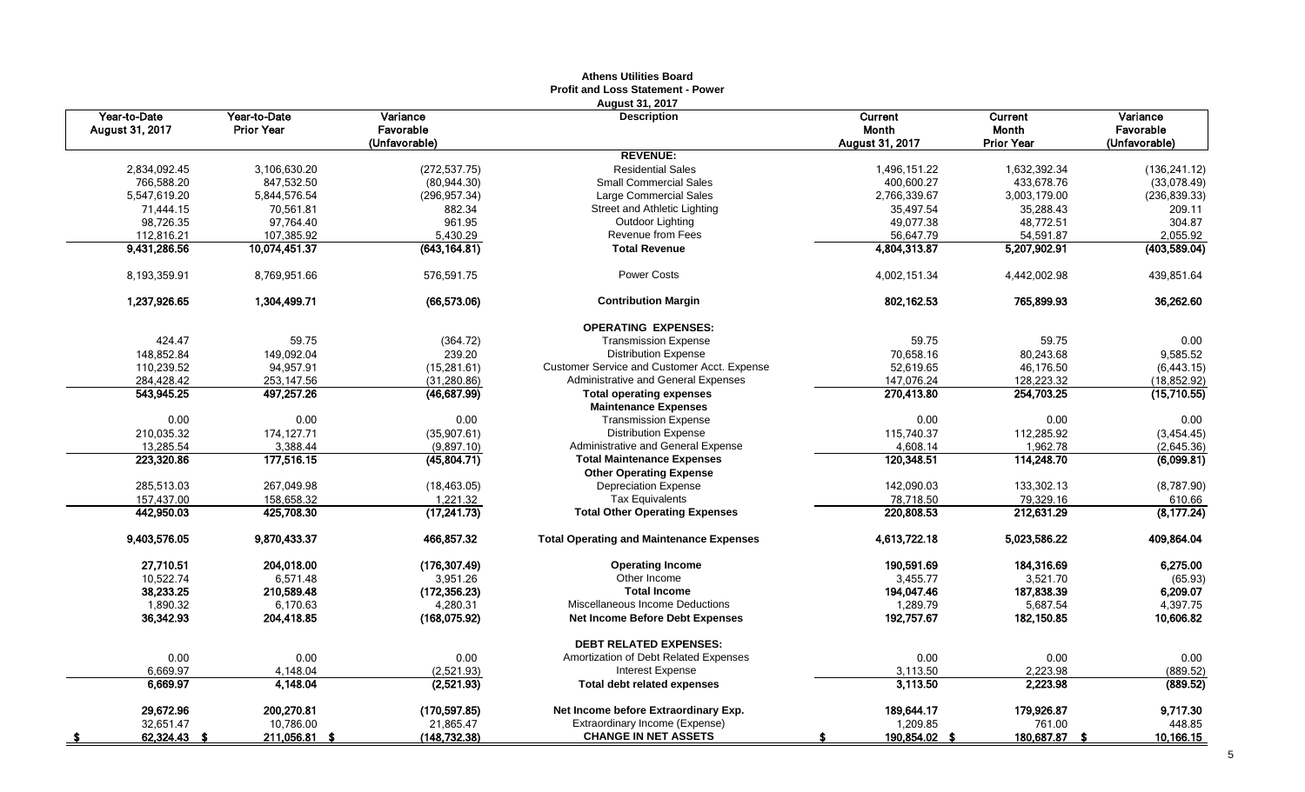|                                 |                                   |                                        | AUICIIS VUIIUCS DUAIU<br><b>Profit and Loss Statement - Power</b> |                                     |                                              |                                        |
|---------------------------------|-----------------------------------|----------------------------------------|-------------------------------------------------------------------|-------------------------------------|----------------------------------------------|----------------------------------------|
| Year-to-Date<br>August 31, 2017 | Year-to-Date<br><b>Prior Year</b> | Variance<br>Favorable<br>(Unfavorable) | <b>August 31, 2017</b><br><b>Description</b>                      | Current<br>Month<br>August 31, 2017 | Current<br><b>Month</b><br><b>Prior Year</b> | Variance<br>Favorable<br>(Unfavorable) |
|                                 |                                   |                                        | <b>REVENUE:</b>                                                   |                                     |                                              |                                        |
| 2,834,092.45                    | 3,106,630.20                      | (272, 537.75)                          | <b>Residential Sales</b>                                          | 1,496,151.22                        | 1,632,392.34                                 | (136, 241.12)                          |
| 766,588.20                      | 847,532.50                        | (80, 944.30)                           | <b>Small Commercial Sales</b>                                     | 400,600.27                          | 433,678.76                                   | (33,078.49)                            |
| 5,547,619.20                    | 5,844,576.54                      | (296, 957.34)                          | Large Commercial Sales                                            | 2,766,339.67                        | 3,003,179.00                                 | (236, 839.33)                          |
| 71,444.15                       | 70,561.81                         | 882.34                                 | Street and Athletic Lighting                                      | 35,497.54                           | 35,288.43                                    | 209.11                                 |
| 98,726.35                       | 97,764.40                         | 961.95                                 | Outdoor Lighting                                                  | 49,077.38                           | 48,772.51                                    | 304.87                                 |
| 112,816.21                      | 107,385.92                        | 5,430.29                               | Revenue from Fees                                                 | 56,647.79                           | 54,591.87                                    | 2,055.92                               |
| 9,431,286.56                    | 10,074,451.37                     | (643, 164.81)                          | <b>Total Revenue</b>                                              | 4,804,313.87                        | 5,207,902.91                                 | (403, 589.04)                          |
| 8,193,359.91                    | 8,769,951.66                      | 576,591.75                             | <b>Power Costs</b>                                                | 4,002,151.34                        | 4,442,002.98                                 | 439,851.64                             |
| 1,237,926.65                    | 1,304,499.71                      | (66, 573.06)                           | <b>Contribution Margin</b>                                        | 802, 162.53                         | 765,899.93                                   | 36,262.60                              |
|                                 |                                   |                                        | <b>OPERATING EXPENSES:</b>                                        |                                     |                                              |                                        |
| 424.47                          | 59.75                             | (364.72)                               | <b>Transmission Expense</b>                                       | 59.75                               | 59.75                                        | 0.00                                   |
| 148,852.84                      | 149,092.04                        | 239.20                                 | <b>Distribution Expense</b>                                       | 70,658.16                           | 80,243.68                                    | 9,585.52                               |
| 110,239.52                      | 94,957.91                         | (15, 281.61)                           | Customer Service and Customer Acct. Expense                       | 52,619.65                           | 46,176.50                                    | (6,443.15)                             |
| 284,428.42                      | 253,147.56                        | (31, 280.86)                           | Administrative and General Expenses                               | 147,076.24                          | 128,223.32                                   | (18, 852.92)                           |
| 543,945.25                      | 497,257.26                        | (46, 687.99)                           | <b>Total operating expenses</b>                                   | 270,413.80                          | 254,703.25                                   | (15,710.55)                            |
|                                 |                                   |                                        | <b>Maintenance Expenses</b>                                       |                                     |                                              |                                        |
| 0.00                            | 0.00                              | 0.00                                   | <b>Transmission Expense</b>                                       | 0.00                                | 0.00                                         | 0.00                                   |
| 210,035.32                      | 174, 127.71                       | (35,907.61)                            | <b>Distribution Expense</b>                                       | 115,740.37                          | 112,285.92                                   | (3,454.45)                             |
| 13,285.54                       | 3,388.44                          | (9,897.10)                             | Administrative and General Expense                                | 4,608.14                            | 1,962.78                                     | (2,645.36)                             |
| 223,320.86                      | 177,516.15                        | (45,804.71)                            | <b>Total Maintenance Expenses</b>                                 | 120,348.51                          | 114,248.70                                   | (6,099.81)                             |
|                                 |                                   |                                        | <b>Other Operating Expense</b>                                    |                                     |                                              |                                        |
| 285,513.03                      | 267,049.98                        | (18, 463.05)                           | <b>Depreciation Expense</b>                                       | 142,090.03                          | 133,302.13                                   | (8,787.90)                             |
| 157,437.00                      | 158,658.32                        | 1,221.32                               | <b>Tax Equivalents</b>                                            | 78,718.50                           | 79,329.16                                    | 610.66                                 |
| 442,950.03                      | 425.708.30                        | (17, 241.73)                           | <b>Total Other Operating Expenses</b>                             | 220,808.53                          | 212.631.29                                   | (8, 177.24)                            |
| 9,403,576.05                    | 9,870,433.37                      | 466,857.32                             | <b>Total Operating and Maintenance Expenses</b>                   | 4,613,722.18                        | 5,023,586.22                                 | 409,864.04                             |
| 27,710.51                       | 204,018.00                        | (176, 307.49)                          | <b>Operating Income</b>                                           | 190,591.69                          | 184,316.69                                   | 6,275.00                               |
| 10,522.74                       | 6,571.48                          | 3,951.26                               | Other Income                                                      | 3,455.77                            | 3,521.70                                     | (65.93)                                |
| 38,233.25                       | 210,589.48                        | (172, 356.23)                          | <b>Total Income</b>                                               | 194,047.46                          | 187,838.39                                   | 6,209.07                               |
| 1,890.32                        | 6,170.63                          | 4,280.31                               | Miscellaneous Income Deductions                                   | 1,289.79                            | 5,687.54                                     | 4,397.75                               |
| 36,342.93                       | 204,418.85                        | (168, 075.92)                          | <b>Net Income Before Debt Expenses</b>                            | 192,757.67                          | 182,150.85                                   | 10,606.82                              |
|                                 |                                   |                                        | <b>DEBT RELATED EXPENSES:</b>                                     |                                     |                                              |                                        |
| 0.00                            | 0.00                              | 0.00                                   | Amortization of Debt Related Expenses                             | 0.00                                | 0.00                                         | 0.00                                   |
| 6,669.97                        | 4,148.04                          | (2,521.93)                             | <b>Interest Expense</b>                                           | 3,113.50                            | 2,223.98                                     | (889.52)                               |
| 6,669.97                        | 4,148.04                          | (2,521.93)                             | <b>Total debt related expenses</b>                                | 3,113.50                            | 2,223.98                                     | (889.52)                               |
| 29,672.96                       | 200,270.81                        | (170, 597.85)                          | Net Income before Extraordinary Exp.                              | 189,644.17                          | 179,926.87                                   | 9,717.30                               |
| 32,651.47                       | 10,786.00                         | 21,865.47                              | Extraordinary Income (Expense)                                    | 1,209.85                            | 761.00                                       | 448.85                                 |
| 62,324.43 \$<br>- 5             | 211,056.81                        | (148, 732.38)                          | <b>CHANGE IN NET ASSETS</b>                                       | 190,854.02 \$                       | 180,687.87                                   | 10,166.15                              |

# **Athens Utilities Board**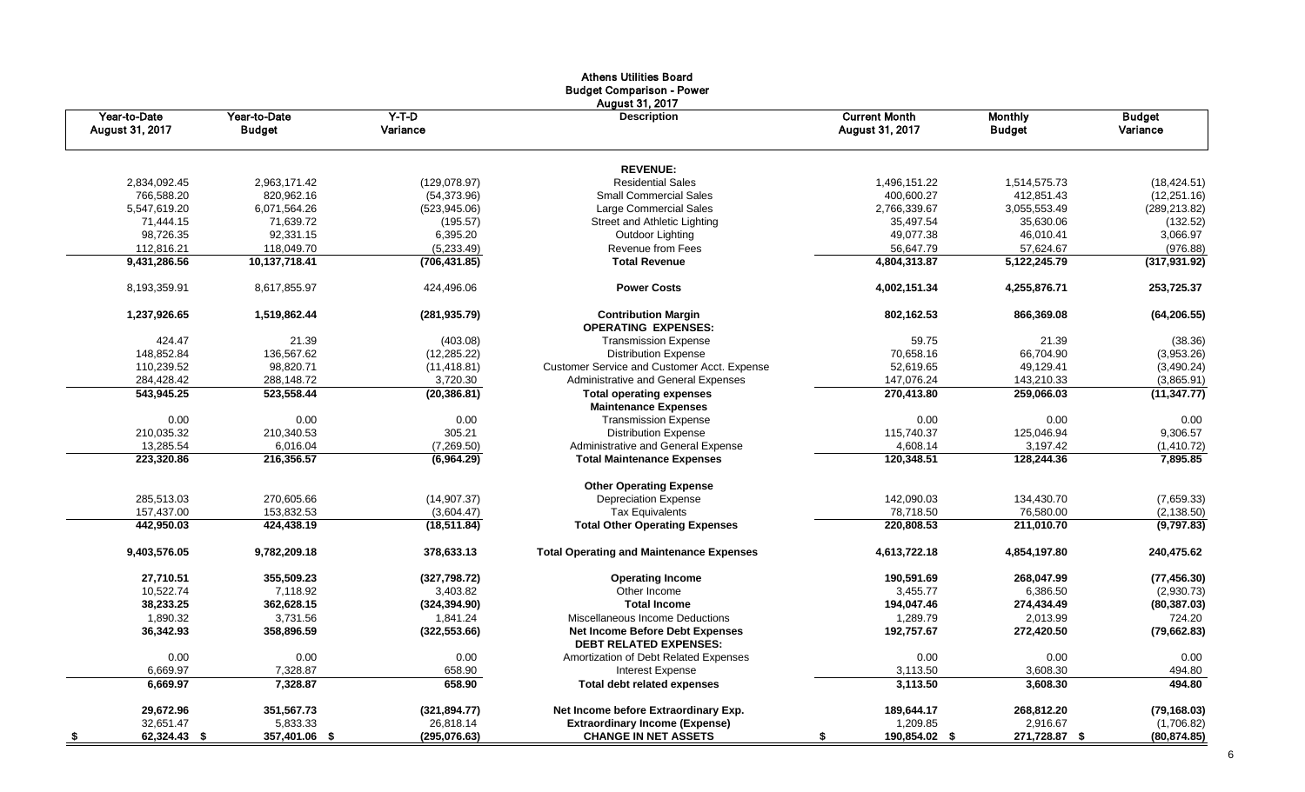|                                 |                               |                     | <b>Athens Utilities Board</b><br><b>Budget Comparison - Power</b><br>August 31, 2017 |                                         |                                 |                           |
|---------------------------------|-------------------------------|---------------------|--------------------------------------------------------------------------------------|-----------------------------------------|---------------------------------|---------------------------|
| Year-to-Date<br>August 31, 2017 | Year-to-Date<br><b>Budget</b> | $Y-T-D$<br>Variance | <b>Description</b>                                                                   | <b>Current Month</b><br>August 31, 2017 | <b>Monthly</b><br><b>Budget</b> | <b>Budget</b><br>Variance |
|                                 |                               |                     | <b>REVENUE:</b>                                                                      |                                         |                                 |                           |
| 2.834.092.45                    | 2.963.171.42                  | (129,078.97)        | <b>Residential Sales</b>                                                             | 1,496,151.22                            | 1,514,575.73                    | (18, 424.51)              |
| 766,588.20                      | 820,962.16                    | (54, 373.96)        | <b>Small Commercial Sales</b>                                                        | 400,600.27                              | 412,851.43                      | (12, 251.16)              |
| 5,547,619.20                    | 6,071,564.26                  | (523, 945.06)       | Large Commercial Sales                                                               | 2,766,339.67                            | 3,055,553.49                    | (289, 213.82)             |
| 71,444.15                       | 71,639.72                     | (195.57)            | Street and Athletic Lighting                                                         | 35,497.54                               | 35,630.06                       | (132.52)                  |
| 98,726.35                       | 92,331.15                     | 6,395.20            | Outdoor Lighting                                                                     | 49,077.38                               | 46,010.41                       | 3,066.97                  |
| 112,816.21                      | 118,049.70                    | (5,233.49)          | Revenue from Fees                                                                    | 56,647.79                               | 57,624.67                       | (976.88)                  |
| 9,431,286.56                    | 10,137,718.41                 | (706,431.85)        | <b>Total Revenue</b>                                                                 | 4,804,313.87                            | 5,122,245.79                    | (317, 931.92)             |
| 8,193,359.91                    | 8,617,855.97                  | 424,496.06          | <b>Power Costs</b>                                                                   | 4,002,151.34                            | 4,255,876.71                    | 253,725.37                |
| 1,237,926.65                    | 1,519,862.44                  | (281, 935.79)       | <b>Contribution Margin</b><br><b>OPERATING EXPENSES:</b>                             | 802,162.53                              | 866,369.08                      | (64, 206.55)              |
| 424.47                          | 21.39                         | (403.08)            | <b>Transmission Expense</b>                                                          | 59.75                                   | 21.39                           | (38.36)                   |
| 148.852.84                      | 136.567.62                    | (12, 285.22)        | <b>Distribution Expense</b>                                                          | 70.658.16                               | 66.704.90                       | (3,953.26)                |
| 110,239.52                      | 98,820.71                     | (11, 418.81)        | Customer Service and Customer Acct. Expense                                          | 52,619.65                               | 49,129.41                       | (3,490.24)                |
| 284,428.42                      | 288,148.72                    | 3,720.30            | Administrative and General Expenses                                                  | 147,076.24                              | 143,210.33                      | (3,865.91)                |
| 543,945.25                      | 523,558.44                    | (20, 386.81)        | <b>Total operating expenses</b><br><b>Maintenance Expenses</b>                       | 270,413.80                              | 259,066.03                      | (11, 347.77)              |
| 0.00                            | 0.00                          | 0.00                | <b>Transmission Expense</b>                                                          | 0.00                                    | 0.00                            | 0.00                      |
| 210,035.32                      | 210,340.53                    | 305.21              | <b>Distribution Expense</b>                                                          | 115,740.37                              | 125,046.94                      | 9,306.57                  |
| 13,285.54                       | 6,016.04                      | (7,269.50)          | Administrative and General Expense                                                   | 4,608.14                                | 3,197.42                        | (1,410.72)                |
| 223,320.86                      | 216,356.57                    | (6,964.29)          | <b>Total Maintenance Expenses</b>                                                    | 120,348.51                              | 128,244.36                      | 7,895.85                  |
|                                 |                               |                     | <b>Other Operating Expense</b>                                                       |                                         |                                 |                           |
| 285,513.03                      | 270,605.66                    | (14, 907.37)        | <b>Depreciation Expense</b>                                                          | 142,090.03                              | 134,430.70                      | (7,659.33)                |
| 157,437.00                      | 153,832.53                    | (3,604.47)          | <b>Tax Equivalents</b>                                                               | 78,718.50                               | 76,580.00                       | (2, 138.50)               |
| 442,950.03                      | 424,438.19                    | (18, 511.84)        | <b>Total Other Operating Expenses</b>                                                | 220,808.53                              | 211,010.70                      | (9,797.83)                |
| 9,403,576.05                    | 9,782,209.18                  | 378,633.13          | <b>Total Operating and Maintenance Expenses</b>                                      | 4,613,722.18                            | 4,854,197.80                    | 240,475.62                |
| 27,710.51                       | 355,509.23                    | (327,798.72)        | <b>Operating Income</b>                                                              | 190,591.69                              | 268,047.99                      | (77, 456.30)              |
| 10,522.74                       | 7,118.92                      | 3,403.82            | Other Income                                                                         | 3,455.77                                | 6,386.50                        | (2,930.73)                |
| 38,233.25                       | 362,628.15                    | (324, 394.90)       | <b>Total Income</b>                                                                  | 194,047.46                              | 274,434.49                      | (80, 387.03)              |
| 1,890.32                        | 3,731.56                      | 1,841.24            | Miscellaneous Income Deductions                                                      | 1,289.79                                | 2,013.99                        | 724.20                    |
| 36,342.93                       | 358,896.59                    | (322, 553.66)       | <b>Net Income Before Debt Expenses</b><br><b>DEBT RELATED EXPENSES:</b>              | 192,757.67                              | 272,420.50                      | (79,662.83)               |
| 0.00                            | 0.00                          | 0.00                | Amortization of Debt Related Expenses                                                | 0.00                                    | 0.00                            | 0.00                      |
| 6,669.97                        | 7,328.87                      | 658.90              | <b>Interest Expense</b>                                                              | 3,113.50                                | 3,608.30                        | 494.80                    |
| 6,669.97                        | 7,328.87                      | 658.90              | <b>Total debt related expenses</b>                                                   | 3,113.50                                | 3,608.30                        | 494.80                    |
| 29,672.96                       | 351,567.73                    | (321, 894.77)       | Net Income before Extraordinary Exp.                                                 | 189,644.17                              | 268,812.20                      | (79, 168.03)              |
| 32,651.47                       | 5,833.33                      | 26,818.14           | <b>Extraordinary Income (Expense)</b>                                                | 1,209.85                                | 2,916.67                        | (1,706.82)                |
| 62,324.43 \$<br>- \$            | 357,401.06 \$                 | (295, 076.63)       | <b>CHANGE IN NET ASSETS</b>                                                          | 190,854.02 \$                           | 271,728.87 \$                   | (80, 874.85)              |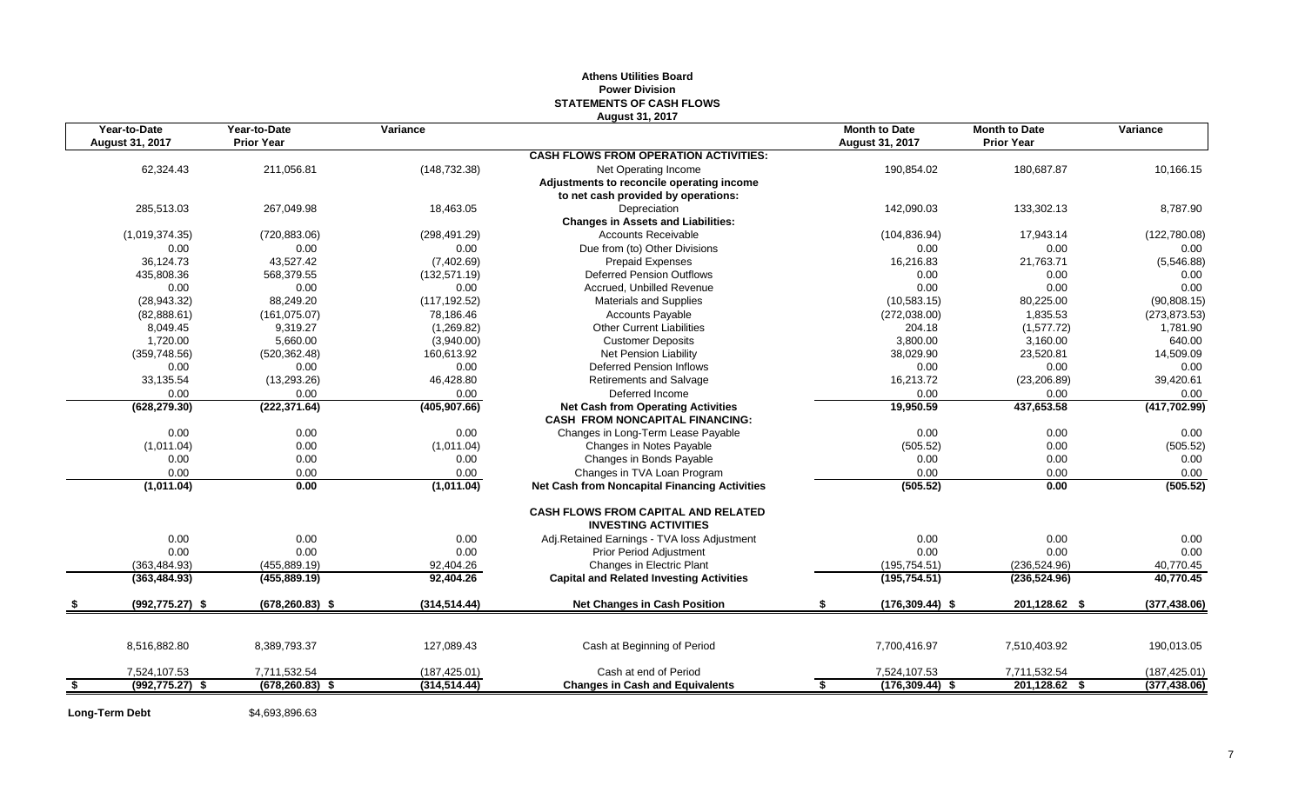# **Athens Utilities Board Power Division STATEMENTS OF CASH FLOWS August 31, 2017**

|     | Year-to-Date       | Year-to-Date       | Variance      |                                                                                     | <b>Month to Date</b>     | <b>Month to Date</b> | Variance      |
|-----|--------------------|--------------------|---------------|-------------------------------------------------------------------------------------|--------------------------|----------------------|---------------|
|     | August 31, 2017    | <b>Prior Year</b>  |               |                                                                                     | August 31, 2017          | <b>Prior Year</b>    |               |
|     |                    |                    |               | <b>CASH FLOWS FROM OPERATION ACTIVITIES:</b>                                        |                          |                      |               |
|     | 62,324.43          | 211,056.81         | (148, 732.38) | Net Operating Income                                                                | 190,854.02               | 180,687.87           | 10,166.15     |
|     |                    |                    |               | Adjustments to reconcile operating income                                           |                          |                      |               |
|     |                    |                    |               | to net cash provided by operations:                                                 |                          |                      |               |
|     | 285,513.03         | 267,049.98         | 18,463.05     | Depreciation                                                                        | 142,090.03               | 133,302.13           | 8,787.90      |
|     |                    |                    |               | <b>Changes in Assets and Liabilities:</b>                                           |                          |                      |               |
|     | (1,019,374.35)     | (720, 883.06)      | (298, 491.29) | <b>Accounts Receivable</b>                                                          | (104, 836.94)            | 17,943.14            | (122,780.08)  |
|     | 0.00               | 0.00               | 0.00          | Due from (to) Other Divisions                                                       | 0.00                     | 0.00                 | 0.00          |
|     | 36,124.73          | 43,527.42          | (7,402.69)    | <b>Prepaid Expenses</b>                                                             | 16,216.83                | 21,763.71            | (5,546.88)    |
|     | 435,808.36         | 568,379.55         | (132, 571.19) | <b>Deferred Pension Outflows</b>                                                    | 0.00                     | 0.00                 | 0.00          |
|     | 0.00               | 0.00               | 0.00          | Accrued. Unbilled Revenue                                                           | 0.00                     | 0.00                 | 0.00          |
|     | (28, 943.32)       | 88,249.20          | (117, 192.52) | <b>Materials and Supplies</b>                                                       | (10, 583.15)             | 80,225.00            | (90, 808.15)  |
|     | (82, 888.61)       | (161, 075.07)      | 78,186.46     | <b>Accounts Payable</b>                                                             | (272,038.00)             | 1,835.53             | (273, 873.53) |
|     | 8,049.45           | 9,319.27           | (1,269.82)    | <b>Other Current Liabilities</b>                                                    | 204.18                   | (1,577.72)           | 1,781.90      |
|     | 1,720.00           | 5,660.00           | (3,940.00)    | <b>Customer Deposits</b>                                                            | 3,800.00                 | 3,160.00             | 640.00        |
|     | (359,748.56)       | (520, 362.48)      | 160,613.92    | <b>Net Pension Liability</b>                                                        | 38,029.90                | 23,520.81            | 14,509.09     |
|     | 0.00               | 0.00               | 0.00          | <b>Deferred Pension Inflows</b>                                                     | 0.00                     | 0.00                 | 0.00          |
|     | 33,135.54          | (13, 293.26)       | 46,428.80     | <b>Retirements and Salvage</b>                                                      | 16,213.72                | (23, 206.89)         | 39,420.61     |
|     | 0.00               | 0.00               | 0.00          | Deferred Income                                                                     | 0.00                     | 0.00                 | 0.00          |
|     | (628, 279.30)      | (222, 371.64)      | (405, 907.66) | <b>Net Cash from Operating Activities</b><br><b>CASH FROM NONCAPITAL FINANCING:</b> | 19,950.59                | 437,653.58           | (417, 702.99) |
|     | 0.00               | 0.00               | 0.00          | Changes in Long-Term Lease Payable                                                  | 0.00                     | 0.00                 | 0.00          |
|     | (1,011.04)         | 0.00               | (1,011.04)    | Changes in Notes Payable                                                            | (505.52)                 | 0.00                 | (505.52)      |
|     | 0.00               | 0.00               | 0.00          | Changes in Bonds Payable                                                            | 0.00                     | 0.00                 | 0.00          |
|     | 0.00               | 0.00               | 0.00          | Changes in TVA Loan Program                                                         | 0.00                     | 0.00                 | 0.00          |
|     | (1,011.04)         | 0.00               | (1,011.04)    | <b>Net Cash from Noncapital Financing Activities</b>                                | (505.52)                 | 0.00                 | (505.52)      |
|     |                    |                    |               | <b>CASH FLOWS FROM CAPITAL AND RELATED</b><br><b>INVESTING ACTIVITIES</b>           |                          |                      |               |
|     | 0.00               | 0.00               | 0.00          | Adj.Retained Earnings - TVA loss Adjustment                                         | 0.00                     | 0.00                 | 0.00          |
|     | 0.00               | 0.00               | 0.00          | <b>Prior Period Adjustment</b>                                                      | 0.00                     | 0.00                 | 0.00          |
|     | (363, 484.93)      | (455, 889.19)      | 92,404.26     | Changes in Electric Plant                                                           | (195, 754.51)            | (236, 524.96)        | 40,770.45     |
|     | (363, 484.93)      | (455, 889.19)      | 92,404.26     | <b>Capital and Related Investing Activities</b>                                     | (195, 754.51)            | (236, 524.96)        | 40,770.45     |
|     | $(992, 775.27)$ \$ | $(678, 260.83)$ \$ | (314, 514.44) | <b>Net Changes in Cash Position</b>                                                 | $(176, 309.44)$ \$       | 201,128.62 \$        | (377, 438.06) |
|     |                    |                    |               |                                                                                     |                          |                      |               |
|     | 8,516,882.80       | 8,389,793.37       | 127,089.43    | Cash at Beginning of Period                                                         | 7,700,416.97             | 7,510,403.92         | 190,013.05    |
|     | 7,524,107.53       | 7,711,532.54       | (187, 425.01) | Cash at end of Period                                                               | 7,524,107.53             | 7,711,532.54         | (187, 425.01) |
| -\$ | $(992, 775.27)$ \$ | $(678, 260.83)$ \$ | (314, 514.44) | <b>Changes in Cash and Equivalents</b>                                              | $(176, 309.44)$ \$<br>\$ | 201,128.62 \$        | (377, 438.06) |

Long-Term Debt \$4,693,896.63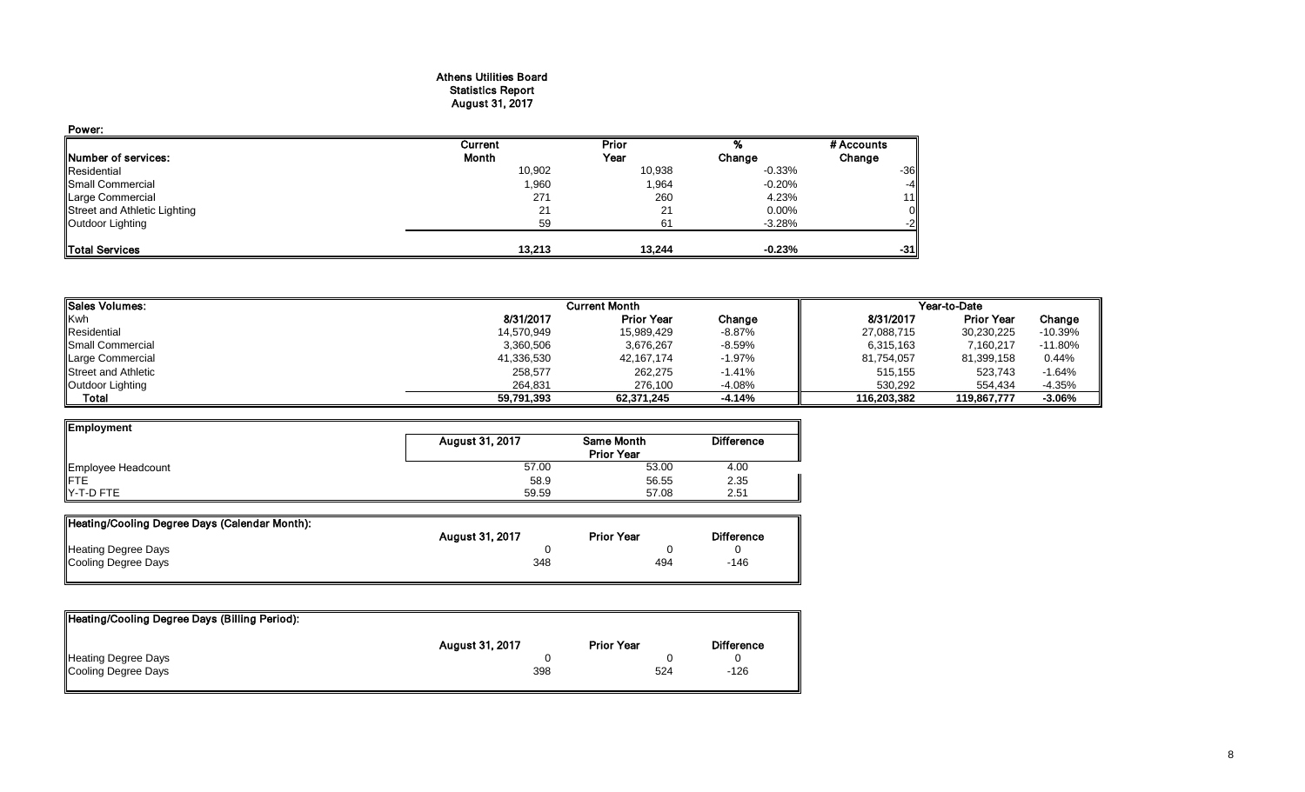### Athens Utilities Board Statistics Report August 31, 2017

| Power:                       |         |        |          |            |
|------------------------------|---------|--------|----------|------------|
|                              | Current | Prior  |          | # Accounts |
| Number of services:          | Month   | Year   | Change   | Change     |
| Residential                  | 10,902  | 10,938 | $-0.33%$ | $-36$      |
| Small Commercial             | 1,960   | 1,964  | $-0.20%$ | $-4$       |
| Large Commercial             | 271     | 260    | 4.23%    | 11         |
| Street and Athletic Lighting | 21      | 21     | 0.00%    |            |
| Outdoor Lighting             | 59      | 61     | $-3.28%$ |            |
| Total Services               | 13.213  | 13.244 | $-0.23%$ | $-31$      |

| <b>I</b> Sales Volumes:    | <b>Current Month</b> |                   |          | Year-to-Date |                   |           |
|----------------------------|----------------------|-------------------|----------|--------------|-------------------|-----------|
| Kwh                        | 8/31/2017            | <b>Prior Year</b> | Change   | 8/31/2017    | <b>Prior Year</b> | Change    |
| Residential                | 14,570,949           | 15,989,429        | $-8.87%$ | 27,088,715   | 30,230,225        | $-10.39%$ |
| <b>I</b> Small Commercial  | 3,360,506            | 3,676,267         | $-8.59%$ | 6,315,163    | 7.160.217         | $-11.80%$ |
| Large Commercial           | 41,336,530           | 42,167,174        | $-1.97%$ | 81,754,057   | 81.399.158        | 0.44%     |
| <b>Street and Athletic</b> | 258,577              | 262,275           | $-1.41%$ | 515,155      | 523,743           | $-1.64%$  |
| Outdoor Lighting           | 264.831              | 276.100           | -4.08%   | 530,292      | 554.434           | $-4.35%$  |
| Total                      | 59,791,393           | 62,371,245        | $-4.14%$ | 116.203.382  | 119.867.777       | -3.06%    |

| Employment         |                 |                                 |                   |
|--------------------|-----------------|---------------------------------|-------------------|
|                    | August 31, 2017 | Same Month<br><b>Prior Year</b> | <b>Difference</b> |
|                    |                 |                                 |                   |
| Employee Headcount | 57.00           | 53.00                           | 4.00              |
| <b>IFTE</b>        | 58.9            | 56.55                           | 2.35              |
| Y-T-D FTE          | 59.59           | 57.08                           | 2.51              |

| Heating/Cooling Degree Days (Calendar Month): |                        |                   |                   |
|-----------------------------------------------|------------------------|-------------------|-------------------|
|                                               | <b>August 31, 2017</b> | <b>Prior Year</b> | <b>Difference</b> |
| <b>Heating Degree Days</b>                    |                        |                   |                   |
| Cooling Degree Days                           | 348                    | 494               | -146              |
|                                               |                        |                   |                   |

| Heating/Cooling Degree Days (Billing Period): |                 |                   |                   |
|-----------------------------------------------|-----------------|-------------------|-------------------|
|                                               | August 31, 2017 | <b>Prior Year</b> | <b>Difference</b> |
| Heating Degree Days                           |                 |                   |                   |
| Cooling Degree Days                           | 398             | 524               | -126              |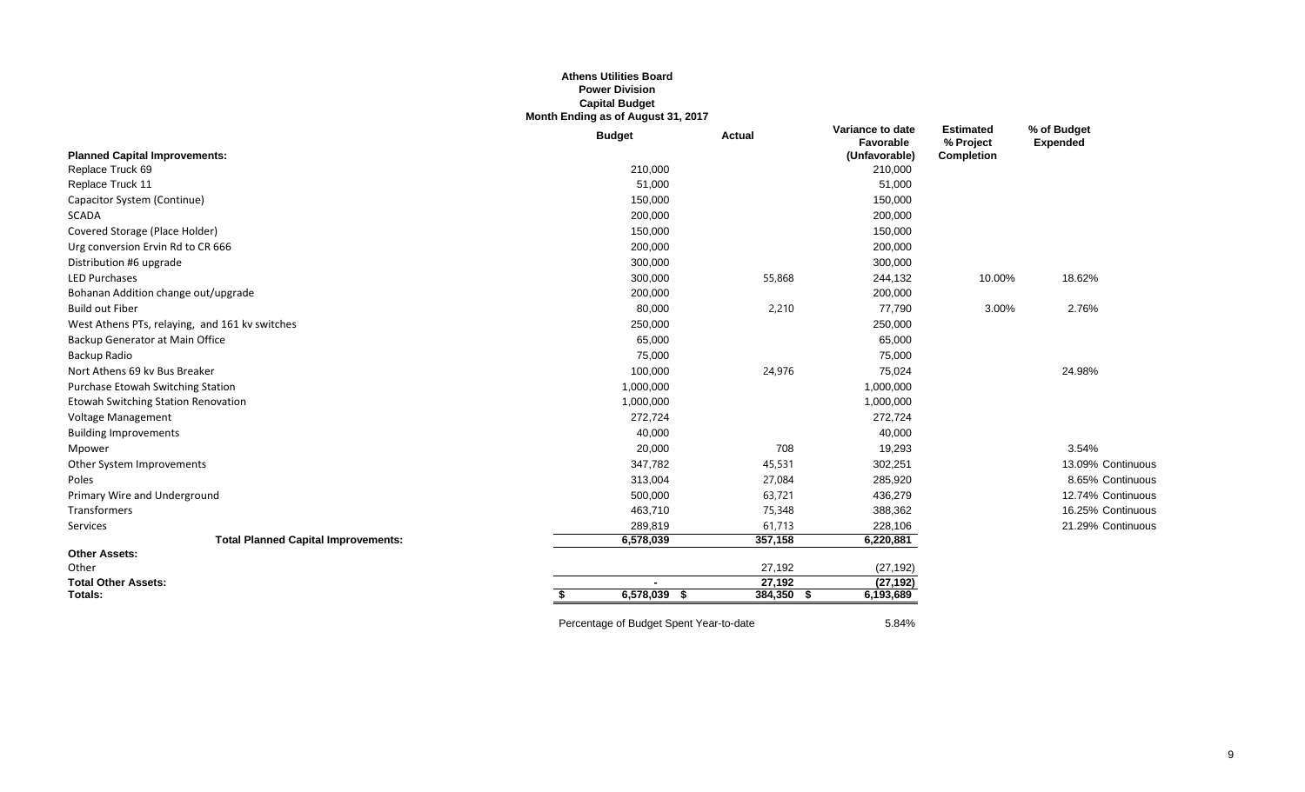# **Athens Utilities Board Power Division Capital Budget Month Ending as of August 31, 2017**

|                                                | <b>Budget</b>                           | <b>Actual</b> | Variance to date<br>Favorable | <b>Estimated</b><br>% Project | % of Budget<br>Expended |
|------------------------------------------------|-----------------------------------------|---------------|-------------------------------|-------------------------------|-------------------------|
| <b>Planned Capital Improvements:</b>           |                                         |               | (Unfavorable)                 | Completion                    |                         |
| Replace Truck 69                               | 210,000                                 |               | 210,000                       |                               |                         |
| Replace Truck 11                               | 51,000                                  |               | 51,000                        |                               |                         |
| Capacitor System (Continue)                    | 150,000                                 |               | 150,000                       |                               |                         |
| <b>SCADA</b>                                   | 200,000                                 |               | 200,000                       |                               |                         |
| Covered Storage (Place Holder)                 | 150,000                                 |               | 150,000                       |                               |                         |
| Urg conversion Ervin Rd to CR 666              | 200,000                                 |               | 200,000                       |                               |                         |
| Distribution #6 upgrade                        | 300,000                                 |               | 300,000                       |                               |                         |
| <b>LED Purchases</b>                           | 300,000                                 | 55,868        | 244,132                       | 10.00%                        | 18.62%                  |
| Bohanan Addition change out/upgrade            | 200,000                                 |               | 200,000                       |                               |                         |
| <b>Build out Fiber</b>                         | 80,000                                  | 2,210         | 77,790                        | 3.00%                         | 2.76%                   |
| West Athens PTs, relaying, and 161 kv switches | 250,000                                 |               | 250,000                       |                               |                         |
| Backup Generator at Main Office                | 65,000                                  |               | 65,000                        |                               |                         |
| Backup Radio                                   | 75,000                                  |               | 75,000                        |                               |                         |
| Nort Athens 69 kv Bus Breaker                  | 100,000                                 | 24,976        | 75,024                        |                               | 24.98%                  |
| Purchase Etowah Switching Station              | 1,000,000                               |               | 1,000,000                     |                               |                         |
| Etowah Switching Station Renovation            | 1,000,000                               |               | 1,000,000                     |                               |                         |
| Voltage Management                             | 272,724                                 |               | 272,724                       |                               |                         |
| <b>Building Improvements</b>                   | 40,000                                  |               | 40,000                        |                               |                         |
| Mpower                                         | 20,000                                  | 708           | 19,293                        |                               | 3.54%                   |
| Other System Improvements                      | 347,782                                 | 45,531        | 302,251                       |                               | 13.09% Continuous       |
| Poles                                          | 313,004                                 | 27,084        | 285,920                       |                               | 8.65% Continuous        |
| Primary Wire and Underground                   | 500,000                                 | 63,721        | 436,279                       |                               | 12.74% Continuous       |
| Transformers                                   | 463,710                                 | 75,348        | 388,362                       |                               | 16.25% Continuous       |
| Services                                       | 289,819                                 | 61,713        | 228,106                       |                               | 21.29% Continuous       |
| <b>Total Planned Capital Improvements:</b>     | 6,578,039                               | 357,158       | 6,220,881                     |                               |                         |
| <b>Other Assets:</b>                           |                                         |               |                               |                               |                         |
| Other                                          |                                         | 27,192        | (27, 192)                     |                               |                         |
| <b>Total Other Assets:</b>                     |                                         | 27,192        | (27, 192)                     |                               |                         |
| Totals:                                        | 6,578,039<br>- \$                       | 384,350 \$    | 6,193,689                     |                               |                         |
|                                                | Percentage of Budget Spent Year-to-date |               | 5.84%                         |                               |                         |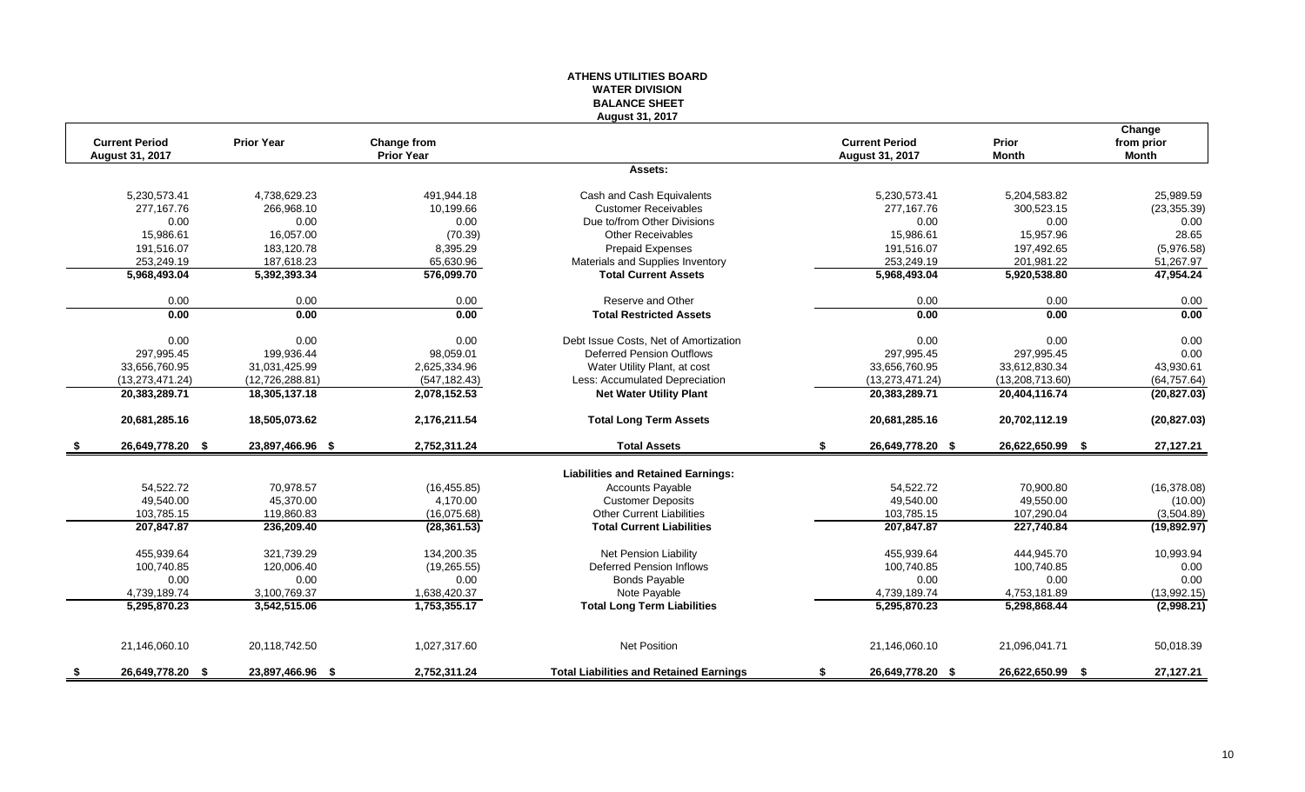# **ATHENS UTILITIES BOARD WATER DIVISION BALANCE SHEET August 31, 2017**

|      | <b>Current Period</b> | <b>Prior Year</b> | Change from       |                                                | <b>Current Period</b>  | Prior            | Change<br>from prior |
|------|-----------------------|-------------------|-------------------|------------------------------------------------|------------------------|------------------|----------------------|
|      | August 31, 2017       |                   | <b>Prior Year</b> |                                                | August 31, 2017        | <b>Month</b>     | <b>Month</b>         |
|      |                       |                   |                   | Assets:                                        |                        |                  |                      |
|      | 5,230,573.41          | 4,738,629.23      | 491,944.18        | Cash and Cash Equivalents                      | 5,230,573.41           | 5,204,583.82     | 25,989.59            |
|      | 277, 167. 76          | 266,968.10        | 10,199.66         | <b>Customer Receivables</b>                    | 277, 167. 76           | 300,523.15       | (23, 355.39)         |
|      | 0.00                  | 0.00              | 0.00              | Due to/from Other Divisions                    | 0.00                   | 0.00             | 0.00                 |
|      | 15,986.61             | 16,057.00         | (70.39)           | <b>Other Receivables</b>                       | 15,986.61              | 15,957.96        | 28.65                |
|      | 191,516.07            | 183,120.78        | 8,395.29          | <b>Prepaid Expenses</b>                        | 191,516.07             | 197,492.65       | (5,976.58)           |
|      | 253.249.19            | 187.618.23        | 65,630.96         | Materials and Supplies Inventory               | 253.249.19             | 201,981.22       | 51,267.97            |
|      | 5,968,493.04          | 5,392,393.34      | 576,099.70        | <b>Total Current Assets</b>                    | 5,968,493.04           | 5,920,538.80     | 47,954.24            |
|      | 0.00                  | 0.00              | 0.00              | Reserve and Other                              | 0.00                   | 0.00             | 0.00                 |
|      | 0.00                  | 0.00              | 0.00              | <b>Total Restricted Assets</b>                 | 0.00                   | 0.00             | 0.00                 |
|      | 0.00                  | 0.00              | 0.00              | Debt Issue Costs, Net of Amortization          | 0.00                   | 0.00             | 0.00                 |
|      | 297,995.45            | 199,936.44        | 98,059.01         | <b>Deferred Pension Outflows</b>               | 297,995.45             | 297,995.45       | 0.00                 |
|      | 33,656,760.95         | 31,031,425.99     | 2,625,334.96      | Water Utility Plant, at cost                   | 33,656,760.95          | 33,612,830.34    | 43,930.61            |
|      | (13, 273, 471.24)     | (12, 726, 288.81) | (547, 182.43)     | Less: Accumulated Depreciation                 | (13, 273, 471.24)      | (13,208,713.60)  | (64, 757.64)         |
|      | 20,383,289.71         | 18,305,137.18     | 2,078,152.53      | <b>Net Water Utility Plant</b>                 | 20,383,289.71          | 20,404,116.74    | (20, 827.03)         |
|      | 20,681,285.16         | 18,505,073.62     | 2,176,211.54      | <b>Total Long Term Assets</b>                  | 20,681,285.16          | 20,702,112.19    | (20, 827.03)         |
| - \$ | 26,649,778.20 \$      | 23,897,466.96 \$  | 2,752,311.24      | <b>Total Assets</b>                            | \$<br>26,649,778.20 \$ | 26,622,650.99 \$ | 27,127.21            |
|      |                       |                   |                   | <b>Liabilities and Retained Earnings:</b>      |                        |                  |                      |
|      | 54,522.72             | 70.978.57         | (16, 455.85)      | <b>Accounts Payable</b>                        | 54.522.72              | 70.900.80        | (16, 378.08)         |
|      | 49,540.00             | 45,370.00         | 4.170.00          | <b>Customer Deposits</b>                       | 49.540.00              | 49.550.00        | (10.00)              |
|      | 103,785.15            | 119,860.83        | (16,075.68)       | <b>Other Current Liabilities</b>               | 103,785.15             | 107,290.04       | (3,504.89)           |
|      | 207,847.87            | 236,209.40        | (28, 361.53)      | <b>Total Current Liabilities</b>               | 207,847.87             | 227,740.84       | (19,892.97)          |
|      | 455,939.64            | 321,739.29        | 134,200.35        | Net Pension Liability                          | 455,939.64             | 444,945.70       | 10,993.94            |
|      | 100,740.85            | 120,006.40        | (19, 265.55)      | <b>Deferred Pension Inflows</b>                | 100,740.85             | 100,740.85       | 0.00                 |
|      | 0.00                  | 0.00              | 0.00              | <b>Bonds Payable</b>                           | 0.00                   | 0.00             | 0.00                 |
|      | 4,739,189.74          | 3,100,769.37      | 1,638,420.37      | Note Payable                                   | 4,739,189.74           | 4,753,181.89     | (13,992.15)          |
|      | 5,295,870.23          | 3,542,515.06      | 1,753,355.17      | <b>Total Long Term Liabilities</b>             | 5,295,870.23           | 5,298,868.44     | (2,998.21)           |
|      | 21,146,060.10         | 20,118,742.50     | 1,027,317.60      | <b>Net Position</b>                            | 21,146,060.10          | 21,096,041.71    | 50,018.39            |
| - 5  | 26,649,778.20 \$      | 23,897,466.96 \$  | 2,752,311.24      | <b>Total Liabilities and Retained Earnings</b> | 26,649,778.20 \$<br>S  | 26,622,650.99 \$ | 27,127.21            |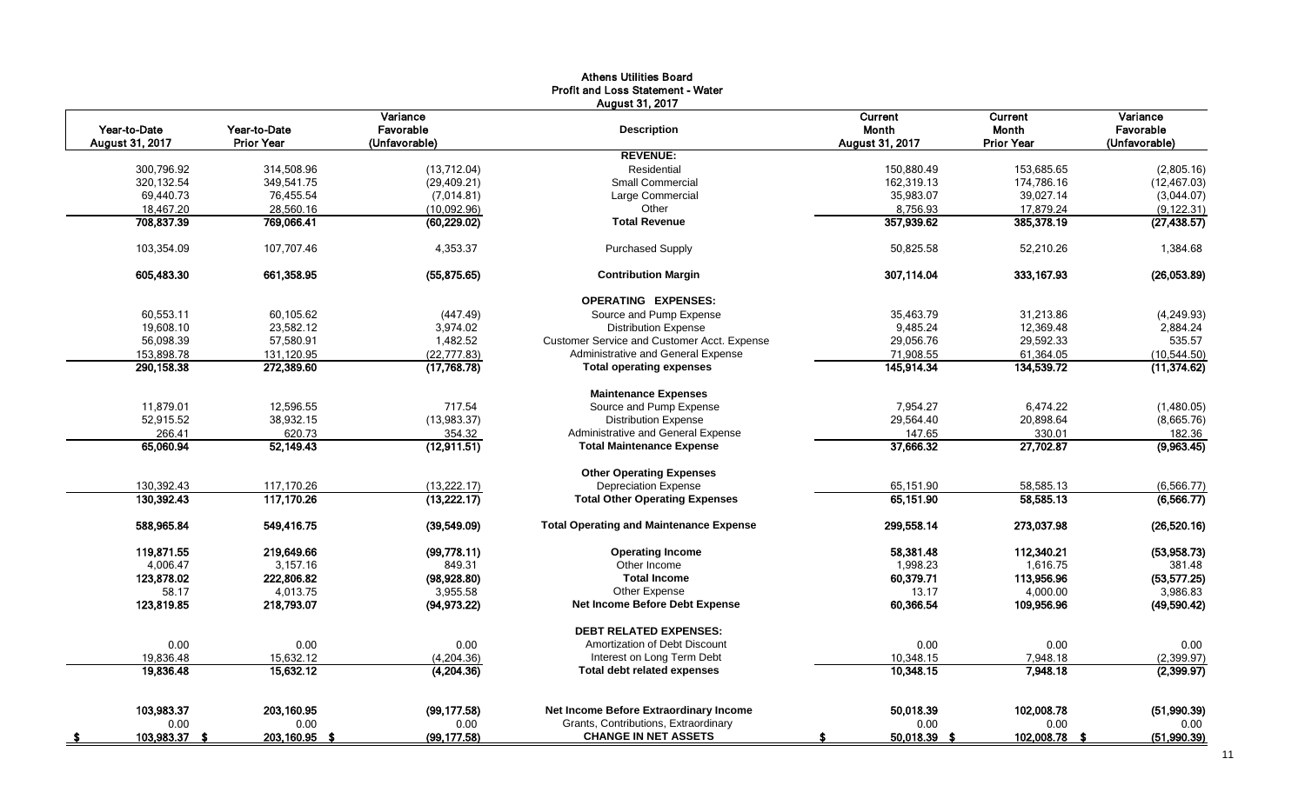|                                        |                                   |                                        | <b>Athens Utilities Board</b><br><b>Profit and Loss Statement - Water</b><br><b>August 31, 2017</b> |                                            |                                              |                                        |
|----------------------------------------|-----------------------------------|----------------------------------------|-----------------------------------------------------------------------------------------------------|--------------------------------------------|----------------------------------------------|----------------------------------------|
| Year-to-Date<br><b>August 31, 2017</b> | Year-to-Date<br><b>Prior Year</b> | Variance<br>Favorable<br>(Unfavorable) | <b>Description</b>                                                                                  | Current<br><b>Month</b><br>August 31, 2017 | Current<br><b>Month</b><br><b>Prior Year</b> | Variance<br>Favorable<br>(Unfavorable) |
|                                        |                                   |                                        | <b>REVENUE:</b>                                                                                     |                                            |                                              |                                        |
| 300,796.92                             | 314,508.96                        | (13, 712.04)                           | Residential                                                                                         | 150,880.49                                 | 153,685.65                                   | (2,805.16)                             |
| 320,132.54                             | 349,541.75                        | (29, 409.21)                           | <b>Small Commercial</b>                                                                             | 162,319.13                                 | 174,786.16                                   | (12, 467.03)                           |
| 69,440.73                              | 76,455.54                         | (7,014.81)                             | Large Commercial                                                                                    | 35,983.07                                  | 39,027.14                                    | (3,044.07)                             |
| 18,467.20                              | 28,560.16                         | (10,092.96)                            | Other                                                                                               | 8,756.93                                   | 17,879.24                                    | (9, 122.31)                            |
| 708,837.39                             | 769,066.41                        | (60, 229.02)                           | <b>Total Revenue</b>                                                                                | 357,939.62                                 | 385,378.19                                   | (27, 438.57)                           |
| 103,354.09                             | 107,707.46                        | 4,353.37                               | <b>Purchased Supply</b>                                                                             | 50,825.58                                  | 52,210.26                                    | 1,384.68                               |
| 605,483.30                             | 661,358.95                        | (55, 875.65)                           | <b>Contribution Margin</b>                                                                          | 307,114.04                                 | 333,167.93                                   | (26,053.89)                            |
|                                        |                                   |                                        | <b>OPERATING EXPENSES:</b>                                                                          |                                            |                                              |                                        |
| 60,553.11                              | 60,105.62                         | (447.49)                               | Source and Pump Expense                                                                             | 35,463.79                                  | 31,213.86                                    | (4, 249.93)                            |
| 19,608.10                              | 23,582.12                         | 3,974.02                               | <b>Distribution Expense</b>                                                                         | 9.485.24                                   | 12.369.48                                    | 2,884.24                               |
| 56,098.39                              | 57,580.91                         | 1,482.52                               | Customer Service and Customer Acct. Expense                                                         | 29,056.76                                  | 29,592.33                                    | 535.57                                 |
| 153,898.78                             | 131,120.95                        | (22, 777.83)                           | Administrative and General Expense                                                                  | 71,908.55                                  | 61,364.05                                    | (10, 544.50)                           |
| 290,158.38                             | 272,389.60                        | (17,768.78)                            | <b>Total operating expenses</b>                                                                     | 145,914.34                                 | 134,539.72                                   | (11, 374.62)                           |
|                                        |                                   |                                        | <b>Maintenance Expenses</b>                                                                         |                                            |                                              |                                        |
| 11.879.01                              | 12.596.55                         | 717.54                                 | Source and Pump Expense                                                                             | 7.954.27                                   | 6.474.22                                     | (1,480.05)                             |
| 52,915.52                              | 38,932.15                         | (13,983.37)                            | <b>Distribution Expense</b>                                                                         | 29,564.40                                  | 20,898.64                                    | (8,665.76)                             |
| 266.41                                 | 620.73                            | 354.32                                 | Administrative and General Expense                                                                  | 147.65                                     | 330.01                                       | 182.36                                 |
| 65,060.94                              | 52,149.43                         | (12, 911.51)                           | <b>Total Maintenance Expense</b>                                                                    | 37,666.32                                  | 27,702.87                                    | (9,963.45)                             |
|                                        |                                   |                                        | <b>Other Operating Expenses</b>                                                                     |                                            |                                              |                                        |
| 130,392.43                             | 117.170.26                        | (13, 222.17)                           | Depreciation Expense                                                                                | 65,151.90                                  | 58.585.13                                    | (6, 566.77)                            |
| 130,392.43                             | 117,170.26                        | (13, 222.17)                           | <b>Total Other Operating Expenses</b>                                                               | 65,151.90                                  | 58,585.13                                    | (6, 566.77)                            |
| 588,965.84                             | 549,416.75                        | (39,549.09)                            | <b>Total Operating and Maintenance Expense</b>                                                      | 299,558.14                                 | 273,037.98                                   | (26, 520.16)                           |
| 119,871.55                             | 219,649.66                        | (99, 778.11)                           | <b>Operating Income</b>                                                                             | 58,381.48                                  | 112,340.21                                   | (53,958.73)                            |
| 4,006.47                               | 3,157.16                          | 849.31                                 | Other Income                                                                                        | 1,998.23                                   | 1,616.75                                     | 381.48                                 |
| 123,878.02                             | 222,806.82                        | (98, 928.80)                           | <b>Total Income</b>                                                                                 | 60,379.71                                  | 113,956.96                                   | (53, 577.25)                           |
| 58.17                                  | 4,013.75                          | 3,955.58                               | Other Expense                                                                                       | 13.17                                      | 4,000.00                                     | 3,986.83                               |
| 123,819.85                             | 218,793.07                        | (94, 973.22)                           | Net Income Before Debt Expense                                                                      | 60,366.54                                  | 109,956.96                                   | (49,590.42)                            |
|                                        |                                   |                                        | <b>DEBT RELATED EXPENSES:</b>                                                                       |                                            |                                              |                                        |
| 0.00                                   | 0.00                              | 0.00                                   | Amortization of Debt Discount                                                                       | 0.00                                       | 0.00                                         | 0.00                                   |
| 19,836.48                              | 15,632.12                         | (4,204.36)                             | Interest on Long Term Debt                                                                          | 10,348.15                                  | 7,948.18                                     | (2,399.97)                             |
| 19,836.48                              | 15,632.12                         | (4,204.36)                             | <b>Total debt related expenses</b>                                                                  | 10,348.15                                  | 7,948.18                                     | (2,399.97)                             |
| 103,983.37                             | 203,160.95                        | (99, 177.58)                           | Net Income Before Extraordinary Income                                                              | 50,018.39                                  | 102,008.78                                   | (51,990.39)                            |
| 0.00                                   | 0.00                              | 0.00                                   | Grants, Contributions, Extraordinary                                                                | 0.00                                       | 0.00                                         | 0.00                                   |
| 103,983.37 \$                          | 203,160.95 \$                     | (99, 177.58)                           | <b>CHANGE IN NET ASSETS</b>                                                                         | 50,018.39 \$                               | 102,008.78 \$                                | (51,990.39)                            |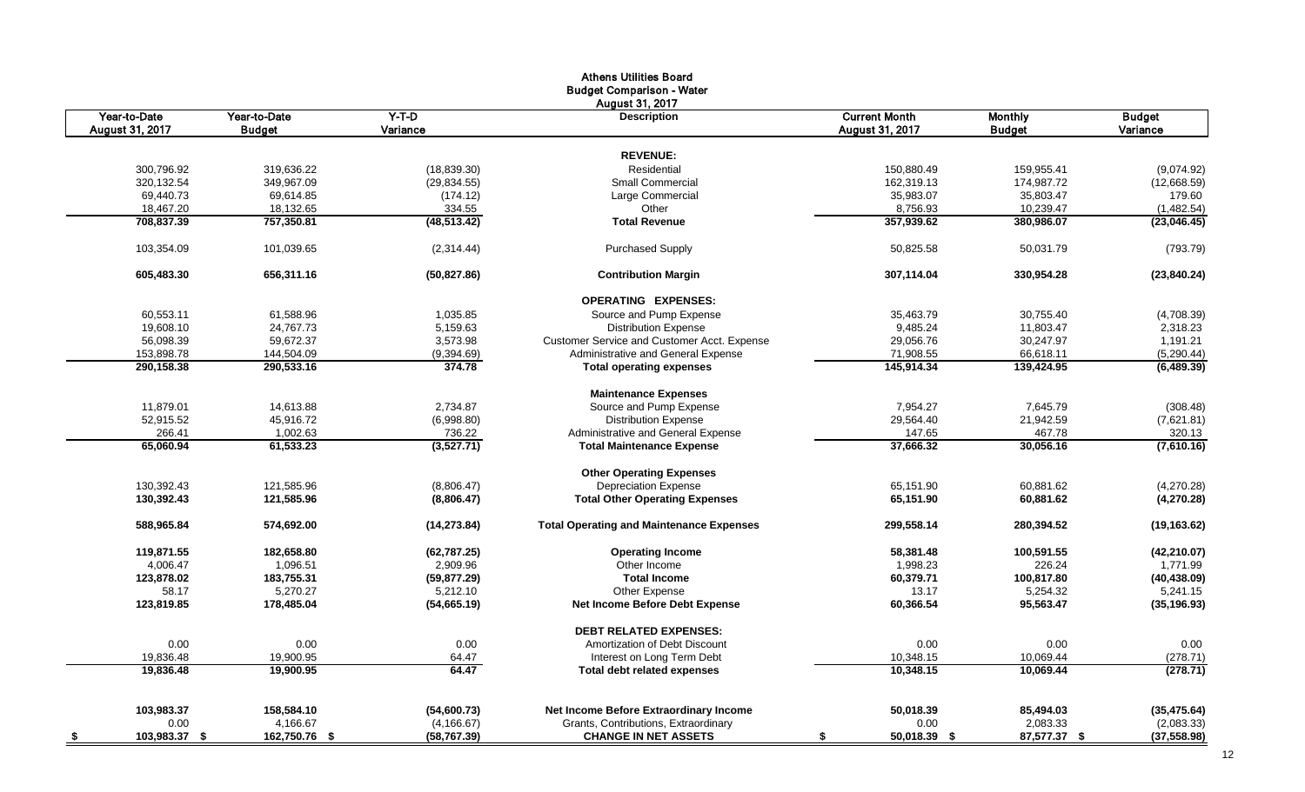|                                 |                               |                              | <b>Athens Utilities Board</b><br><b>Budget Comparison - Water</b> |                                         |                                 |                           |
|---------------------------------|-------------------------------|------------------------------|-------------------------------------------------------------------|-----------------------------------------|---------------------------------|---------------------------|
|                                 |                               |                              | August 31, 2017                                                   |                                         |                                 |                           |
| Year-to-Date<br>August 31, 2017 | Year-to-Date<br><b>Budget</b> | $Y-T-D$<br>Variance          | <b>Description</b>                                                | <b>Current Month</b><br>August 31, 2017 | <b>Monthly</b><br><b>Budget</b> | <b>Budget</b><br>Variance |
|                                 |                               |                              | <b>REVENUE:</b>                                                   |                                         |                                 |                           |
| 300,796.92                      | 319,636.22                    |                              | Residential                                                       | 150,880.49                              | 159,955.41                      |                           |
| 320,132.54                      | 349,967.09                    | (18, 839.30)<br>(29, 834.55) | <b>Small Commercial</b>                                           | 162,319.13                              | 174,987.72                      | (9,074.92)<br>(12,668.59) |
| 69,440.73                       | 69,614.85                     | (174.12)                     | Large Commercial                                                  | 35,983.07                               | 35,803.47                       | 179.60                    |
| 18,467.20                       | 18,132.65                     | 334.55                       | Other                                                             | 8,756.93                                | 10,239.47                       | (1,482.54)                |
| 708,837.39                      | 757,350.81                    | (48, 513.42)                 | <b>Total Revenue</b>                                              | 357,939.62                              | 380,986.07                      | (23,046.45)               |
| 103,354.09                      | 101,039.65                    | (2,314.44)                   | <b>Purchased Supply</b>                                           | 50,825.58                               | 50,031.79                       | (793.79)                  |
|                                 |                               |                              |                                                                   |                                         |                                 |                           |
| 605,483.30                      | 656,311.16                    | (50, 827.86)                 | <b>Contribution Margin</b>                                        | 307,114.04                              | 330,954.28                      | (23, 840.24)              |
|                                 |                               |                              | <b>OPERATING EXPENSES:</b>                                        |                                         |                                 |                           |
| 60,553.11                       | 61,588.96                     | 1,035.85                     | Source and Pump Expense                                           | 35,463.79                               | 30,755.40                       | (4,708.39)                |
| 19,608.10                       | 24,767.73                     | 5,159.63                     | <b>Distribution Expense</b>                                       | 9,485.24                                | 11,803.47                       | 2,318.23                  |
| 56,098.39                       | 59,672.37                     | 3,573.98                     | Customer Service and Customer Acct. Expense                       | 29,056.76                               | 30,247.97                       | 1,191.21                  |
| 153,898.78                      | 144,504.09                    | (9,394.69)                   | Administrative and General Expense                                | 71,908.55                               | 66,618.11                       | (5, 290.44)               |
| 290,158.38                      | 290,533.16                    | 374.78                       | <b>Total operating expenses</b>                                   | 145,914.34                              | 139,424.95                      | (6,489.39)                |
|                                 |                               |                              | <b>Maintenance Expenses</b>                                       |                                         |                                 |                           |
| 11,879.01                       | 14,613.88                     | 2,734.87                     | Source and Pump Expense                                           | 7,954.27                                | 7,645.79                        | (308.48)                  |
| 52,915.52                       | 45,916.72                     | (6,998.80)                   | <b>Distribution Expense</b>                                       | 29,564.40                               | 21,942.59                       | (7,621.81)                |
| 266.41                          | 1,002.63                      | 736.22                       | Administrative and General Expense                                | 147.65                                  | 467.78                          | 320.13                    |
| 65,060.94                       | 61,533.23                     | (3,527.71)                   | <b>Total Maintenance Expense</b>                                  | 37,666.32                               | 30,056.16                       | (7,610.16)                |
|                                 |                               |                              | <b>Other Operating Expenses</b>                                   |                                         |                                 |                           |
| 130,392.43                      | 121,585.96                    | (8,806.47)                   | <b>Depreciation Expense</b>                                       | 65,151.90                               | 60,881.62                       | (4,270.28)                |
| 130,392.43                      | 121,585.96                    | (8,806.47)                   | <b>Total Other Operating Expenses</b>                             | 65,151.90                               | 60,881.62                       | (4,270.28)                |
| 588,965.84                      | 574,692.00                    | (14, 273.84)                 | <b>Total Operating and Maintenance Expenses</b>                   | 299,558.14                              | 280,394.52                      | (19, 163.62)              |
| 119,871.55                      | 182,658.80                    | (62, 787.25)                 | <b>Operating Income</b>                                           | 58,381.48                               | 100,591.55                      | (42, 210.07)              |
| 4,006.47                        | 1,096.51                      | 2,909.96                     | Other Income                                                      | 1,998.23                                | 226.24                          | 1,771.99                  |
| 123,878.02                      | 183,755.31                    | (59, 877.29)                 | <b>Total Income</b>                                               | 60,379.71                               | 100,817.80                      | (40, 438.09)              |
| 58.17                           | 5,270.27                      | 5,212.10                     | Other Expense                                                     | 13.17                                   | 5,254.32                        | 5,241.15                  |
| 123,819.85                      | 178,485.04                    | (54,665.19)                  | Net Income Before Debt Expense                                    | 60,366.54                               | 95,563.47                       | (35, 196.93)              |
|                                 |                               |                              | <b>DEBT RELATED EXPENSES:</b>                                     |                                         |                                 |                           |
| 0.00                            | 0.00                          | 0.00                         | Amortization of Debt Discount                                     | 0.00                                    | 0.00                            | 0.00                      |
| 19,836.48                       | 19,900.95                     | 64.47                        | Interest on Long Term Debt                                        | 10,348.15                               | 10,069.44                       | (278.71)                  |
| 19,836.48                       | 19,900.95                     | 64.47                        | <b>Total debt related expenses</b>                                | 10,348.15                               | 10,069.44                       | (278.71)                  |
|                                 |                               |                              |                                                                   |                                         |                                 |                           |
| 103,983.37                      | 158,584.10                    | (54,600.73)                  | Net Income Before Extraordinary Income                            | 50,018.39                               | 85,494.03                       | (35, 475.64)              |
| 0.00                            | 4,166.67                      | (4, 166.67)                  | Grants, Contributions, Extraordinary                              | 0.00                                    | 2,083.33                        | (2,083.33)                |
| 103,983.37 \$<br>- \$           | 162,750.76 \$                 | (58, 767.39)                 | <b>CHANGE IN NET ASSETS</b>                                       | 50,018.39 \$<br>-S                      | 87,577.37 \$                    | (37, 558.98)              |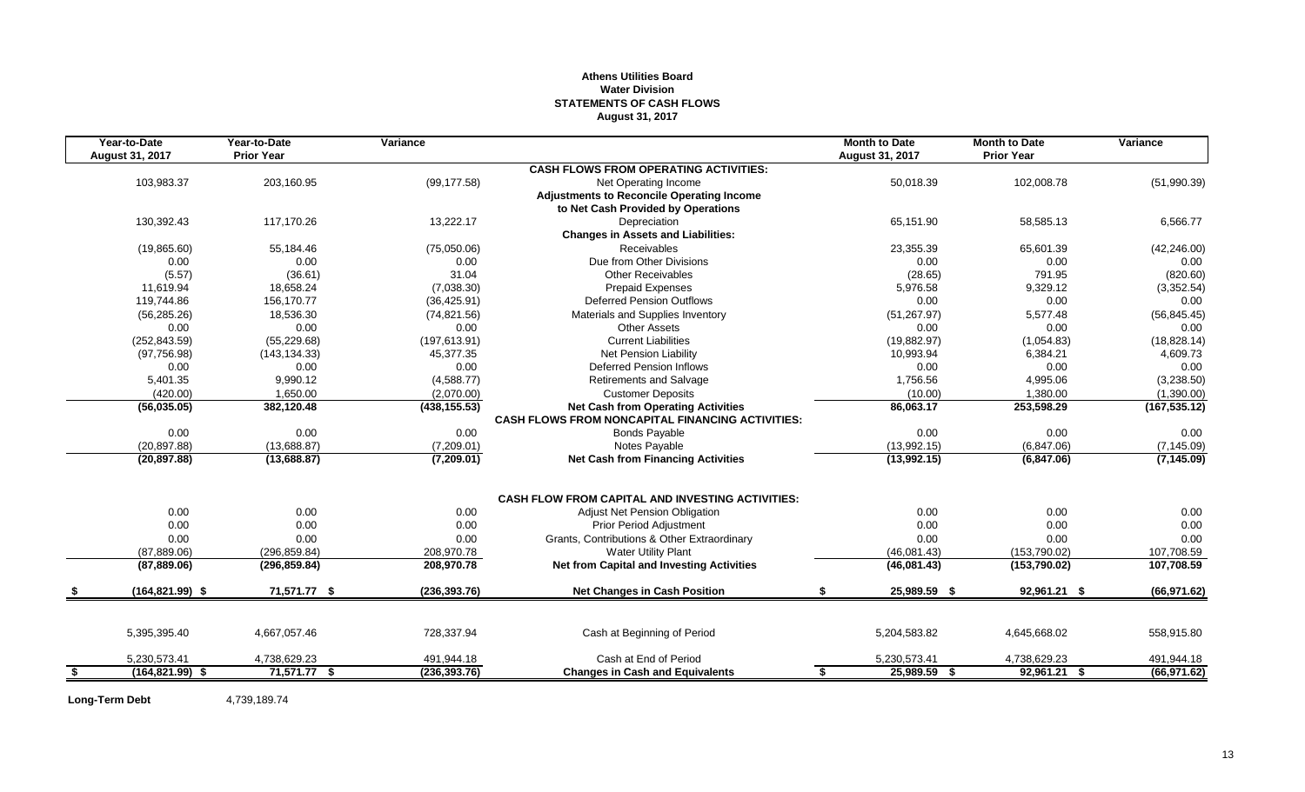# **Athens Utilities Board Water Division STATEMENTS OF CASH FLOWS August 31, 2017**

|      | Year-to-Date           | Year-to-Date      | Variance      |                                                         | <b>Month to Date</b> | <b>Month to Date</b> | Variance      |
|------|------------------------|-------------------|---------------|---------------------------------------------------------|----------------------|----------------------|---------------|
|      | <b>August 31, 2017</b> | <b>Prior Year</b> |               |                                                         | August 31, 2017      | <b>Prior Year</b>    |               |
|      |                        |                   |               | <b>CASH FLOWS FROM OPERATING ACTIVITIES:</b>            |                      |                      |               |
|      | 103,983.37             | 203,160.95        | (99, 177.58)  | Net Operating Income                                    | 50,018.39            | 102,008.78           | (51,990.39)   |
|      |                        |                   |               | <b>Adjustments to Reconcile Operating Income</b>        |                      |                      |               |
|      |                        |                   |               | to Net Cash Provided by Operations                      |                      |                      |               |
|      | 130,392.43             | 117.170.26        | 13,222.17     | Depreciation                                            | 65,151.90            | 58,585.13            | 6,566.77      |
|      |                        |                   |               | <b>Changes in Assets and Liabilities:</b>               |                      |                      |               |
|      | (19,865.60)            | 55.184.46         | (75,050.06)   | <b>Receivables</b>                                      | 23.355.39            | 65.601.39            | (42, 246.00)  |
|      | 0.00                   | 0.00              | 0.00          | Due from Other Divisions                                | 0.00                 | 0.00                 | 0.00          |
|      | (5.57)                 | (36.61)           | 31.04         | <b>Other Receivables</b>                                | (28.65)              | 791.95               | (820.60)      |
|      | 11,619.94              | 18,658.24         | (7,038.30)    | <b>Prepaid Expenses</b>                                 | 5,976.58             | 9,329.12             | (3,352.54)    |
|      | 119,744.86             | 156,170.77        | (36, 425.91)  | <b>Deferred Pension Outflows</b>                        | 0.00                 | 0.00                 | 0.00          |
|      | (56, 285.26)           | 18,536.30         | (74, 821.56)  | Materials and Supplies Inventory                        | (51, 267.97)         | 5,577.48             | (56, 845.45)  |
|      | 0.00                   | 0.00              | 0.00          | <b>Other Assets</b>                                     | 0.00                 | 0.00                 | 0.00          |
|      | (252, 843.59)          | (55, 229.68)      | (197, 613.91) | <b>Current Liabilities</b>                              | (19,882.97)          | (1,054.83)           | (18, 828.14)  |
|      | (97, 756.98)           | (143, 134.33)     | 45,377.35     | Net Pension Liability                                   | 10,993.94            | 6,384.21             | 4,609.73      |
|      | 0.00                   | 0.00              | 0.00          | <b>Deferred Pension Inflows</b>                         | 0.00                 | 0.00                 | 0.00          |
|      | 5,401.35               | 9,990.12          | (4,588.77)    | <b>Retirements and Salvage</b>                          | 1,756.56             | 4,995.06             | (3,238.50)    |
|      | (420.00)               | 1,650.00          | (2,070.00)    | <b>Customer Deposits</b>                                | (10.00)              | 1,380.00             | (1,390.00)    |
|      | (56,035.05)            | 382,120.48        | (438, 155.53) | <b>Net Cash from Operating Activities</b>               | 86,063.17            | 253,598.29           | (167, 535.12) |
|      |                        |                   |               | <b>CASH FLOWS FROM NONCAPITAL FINANCING ACTIVITIES:</b> |                      |                      |               |
|      | 0.00                   | 0.00              | 0.00          | <b>Bonds Payable</b>                                    | 0.00                 | 0.00                 | 0.00          |
|      | (20, 897.88)           | (13,688.87)       | (7,209.01)    | Notes Payable                                           | (13,992.15)          | (6,847.06)           | (7, 145.09)   |
|      | (20, 897.88)           | (13,688.87)       | (7,209.01)    | <b>Net Cash from Financing Activities</b>               | (13,992.15)          | (6,847.06)           | (7, 145.09)   |
|      |                        |                   |               |                                                         |                      |                      |               |
|      |                        |                   |               | <b>CASH FLOW FROM CAPITAL AND INVESTING ACTIVITIES:</b> |                      |                      |               |
|      | 0.00                   | 0.00              | 0.00          | <b>Adjust Net Pension Obligation</b>                    | 0.00                 | 0.00                 | 0.00          |
|      | 0.00                   | 0.00              | 0.00          | <b>Prior Period Adjustment</b>                          | 0.00                 | 0.00                 | 0.00          |
|      | 0.00                   | 0.00              | 0.00          | Grants, Contributions & Other Extraordinary             | 0.00                 | 0.00                 | 0.00          |
|      | (87, 889.06)           | (296, 859.84)     | 208,970.78    | <b>Water Utility Plant</b>                              | (46,081.43)          | (153,790.02)         | 107,708.59    |
|      | (87,889.06)            | (296, 859.84)     | 208,970.78    | <b>Net from Capital and Investing Activities</b>        | (46,081.43)          | (153, 790.02)        | 107,708.59    |
|      | $(164, 821.99)$ \$     | 71,571.77 \$      | (236, 393.76) | <b>Net Changes in Cash Position</b>                     | 25,989.59 \$<br>S.   | 92,961.21 \$         | (66, 971.62)  |
|      |                        |                   |               |                                                         |                      |                      |               |
|      | 5,395,395.40           | 4,667,057.46      | 728,337.94    | Cash at Beginning of Period                             | 5,204,583.82         | 4,645,668.02         | 558,915.80    |
|      | 5,230,573.41           | 4,738,629.23      | 491,944.18    | Cash at End of Period                                   | 5,230,573.41         | 4,738,629.23         | 491,944.18    |
| - \$ | $(164, 821.99)$ \$     | 71,571.77 \$      | (236, 393.76) | <b>Changes in Cash and Equivalents</b>                  | 25,989.59 \$<br>S.   | 92,961.21 \$         | (66, 971.62)  |
|      |                        |                   |               |                                                         |                      |                      |               |

Long-Term Debt 4,739,189.74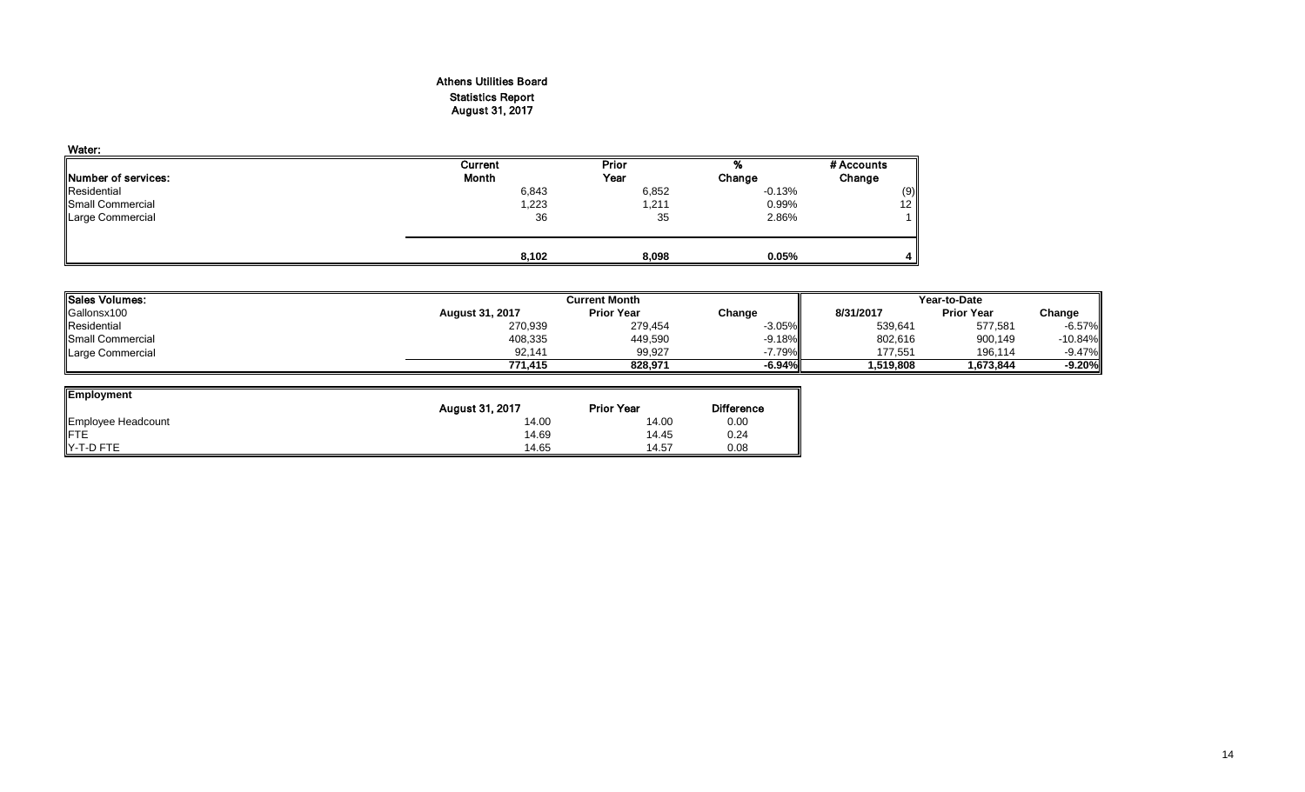# Athens Utilities Board Statistics Report August 31, 2017

| Current | Prior | %        | # Accounts |
|---------|-------|----------|------------|
| Month   | Year  | Change   | Change     |
| 6,843   | 6,852 | $-0.13%$ | (9)        |
| 1,223   | 1,211 | 0.99%    | 12         |
| 36      | 35    | 2.86%    |            |
|         |       |          |            |
|         | 8,102 | 8,098    | 0.05%      |

| <b>Sales Volumes:</b> |                 | <b>Current Month</b> |           |           |                   | Year-to-Date |  |  |  |
|-----------------------|-----------------|----------------------|-----------|-----------|-------------------|--------------|--|--|--|
| Gallonsx100           | August 31, 2017 | <b>Prior Year</b>    | Change    | 8/31/2017 | <b>Prior Year</b> | Change       |  |  |  |
| Residential           | 270,939         | 279,454              | $-3.05\%$ | 539,641   | 577,581           | $-6.57%$     |  |  |  |
| Small Commercial      | 408,335         | 449,590              | $-9.18\%$ | 802,616   | 900,149           | $-10.84%$    |  |  |  |
| Large Commercial      | 92.141          | 99.927               | 7.79%     | 177.551   | 196.114           | $-9.47%$     |  |  |  |
|                       | 771.415         | 828.971              | $-6.94%$  | 1.519.808 | 1.673.844         | $-9.20%$     |  |  |  |

| <b>Employment</b>  |                                      |       |                   |
|--------------------|--------------------------------------|-------|-------------------|
|                    | August 31, 2017<br><b>Prior Year</b> |       | <b>Difference</b> |
| Employee Headcount | 14.00                                | 14.00 | 0.00              |
| FTE<br>Y-T-D FTE   | 14.69                                | 14.45 | 0.24              |
|                    | 14.65                                | 14.57 | 0.08              |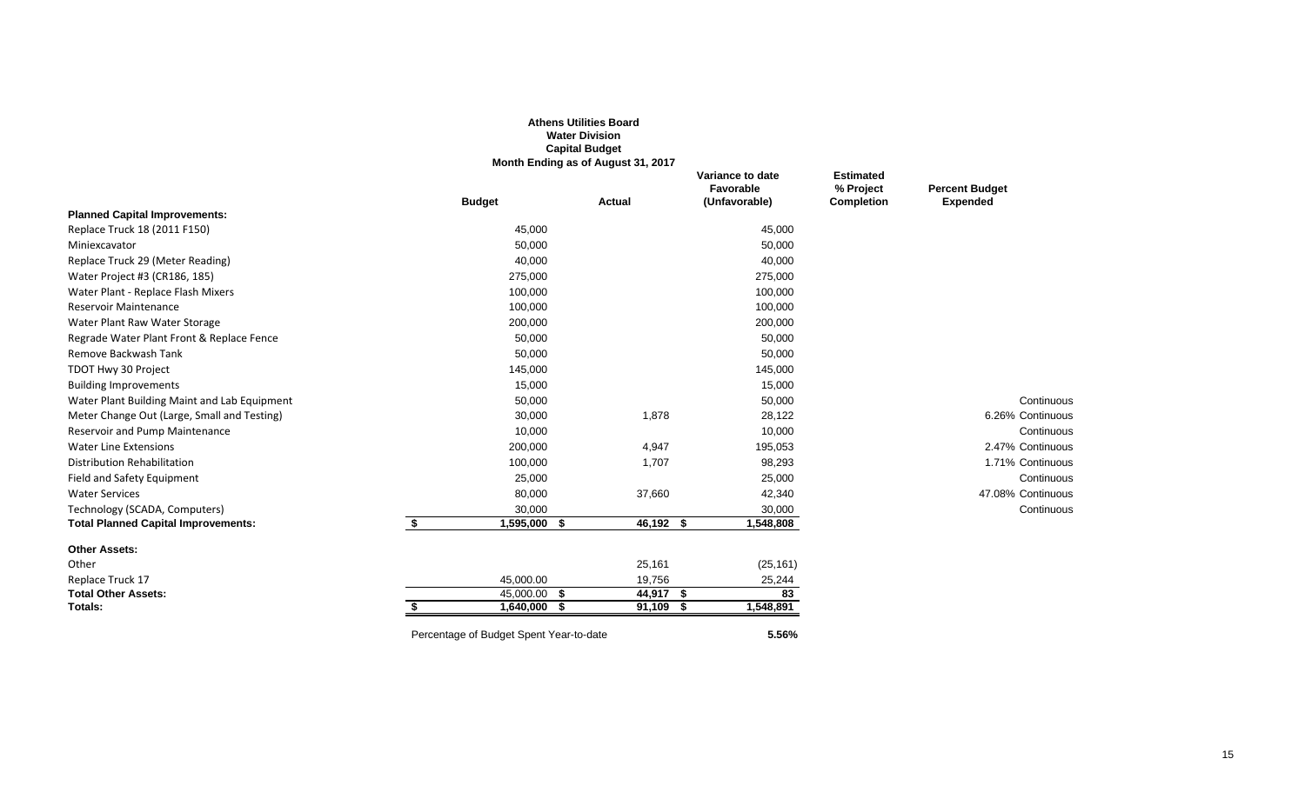|                                              |                                         | <b>Athens Utilities Board</b><br><b>Water Division</b><br><b>Capital Budget</b><br>Month Ending as of August 31, 2017 |             |                                                |                                                    |                                          |
|----------------------------------------------|-----------------------------------------|-----------------------------------------------------------------------------------------------------------------------|-------------|------------------------------------------------|----------------------------------------------------|------------------------------------------|
|                                              | <b>Budget</b>                           | <b>Actual</b>                                                                                                         |             | Variance to date<br>Favorable<br>(Unfavorable) | <b>Estimated</b><br>% Project<br><b>Completion</b> | <b>Percent Budget</b><br><b>Expended</b> |
| <b>Planned Capital Improvements:</b>         |                                         |                                                                                                                       |             |                                                |                                                    |                                          |
| Replace Truck 18 (2011 F150)                 | 45,000                                  |                                                                                                                       |             | 45,000                                         |                                                    |                                          |
| Miniexcavator                                | 50,000                                  |                                                                                                                       |             | 50,000                                         |                                                    |                                          |
| Replace Truck 29 (Meter Reading)             | 40,000                                  |                                                                                                                       |             | 40,000                                         |                                                    |                                          |
| Water Project #3 (CR186, 185)                | 275,000                                 |                                                                                                                       |             | 275,000                                        |                                                    |                                          |
| Water Plant - Replace Flash Mixers           | 100,000                                 |                                                                                                                       |             | 100,000                                        |                                                    |                                          |
| <b>Reservoir Maintenance</b>                 | 100,000                                 |                                                                                                                       |             | 100,000                                        |                                                    |                                          |
| Water Plant Raw Water Storage                | 200,000                                 |                                                                                                                       |             | 200,000                                        |                                                    |                                          |
| Regrade Water Plant Front & Replace Fence    | 50,000                                  |                                                                                                                       |             | 50,000                                         |                                                    |                                          |
| Remove Backwash Tank                         | 50,000                                  |                                                                                                                       |             | 50,000                                         |                                                    |                                          |
| TDOT Hwy 30 Project                          | 145,000                                 |                                                                                                                       |             | 145,000                                        |                                                    |                                          |
| <b>Building Improvements</b>                 | 15,000                                  |                                                                                                                       |             | 15,000                                         |                                                    |                                          |
| Water Plant Building Maint and Lab Equipment | 50,000                                  |                                                                                                                       |             | 50,000                                         |                                                    | Continuous                               |
| Meter Change Out (Large, Small and Testing)  | 30,000                                  |                                                                                                                       | 1,878       | 28,122                                         |                                                    | 6.26% Continuous                         |
| Reservoir and Pump Maintenance               | 10,000                                  |                                                                                                                       |             | 10,000                                         |                                                    | Continuous                               |
| <b>Water Line Extensions</b>                 | 200,000                                 |                                                                                                                       | 4,947       | 195,053                                        |                                                    | 2.47% Continuous                         |
| Distribution Rehabilitation                  | 100,000                                 |                                                                                                                       | 1,707       | 98,293                                         |                                                    | 1.71% Continuous                         |
| Field and Safety Equipment                   | 25,000                                  |                                                                                                                       |             | 25,000                                         |                                                    | Continuous                               |
| <b>Water Services</b>                        | 80,000                                  |                                                                                                                       | 37,660      | 42,340                                         |                                                    | 47.08% Continuous                        |
| Technology (SCADA, Computers)                | 30,000                                  |                                                                                                                       |             | 30,000                                         |                                                    | Continuous                               |
| <b>Total Planned Capital Improvements:</b>   | \$<br>1,595,000 \$                      |                                                                                                                       | $46,192$ \$ | 1,548,808                                      |                                                    |                                          |
| <b>Other Assets:</b>                         |                                         |                                                                                                                       |             |                                                |                                                    |                                          |
| Other                                        |                                         | 25,161                                                                                                                |             | (25, 161)                                      |                                                    |                                          |
| Replace Truck 17                             | 45,000.00                               |                                                                                                                       | 19,756      | 25,244                                         |                                                    |                                          |
| <b>Total Other Assets:</b>                   | 45,000.00                               | \$                                                                                                                    | 44,917 \$   | 83                                             |                                                    |                                          |
| Totals:                                      | 1,640,000                               | - \$                                                                                                                  | $91,109$ \$ | 1,548,891                                      |                                                    |                                          |
|                                              | Percentage of Budget Spent Year-to-date |                                                                                                                       |             | 5.56%                                          |                                                    |                                          |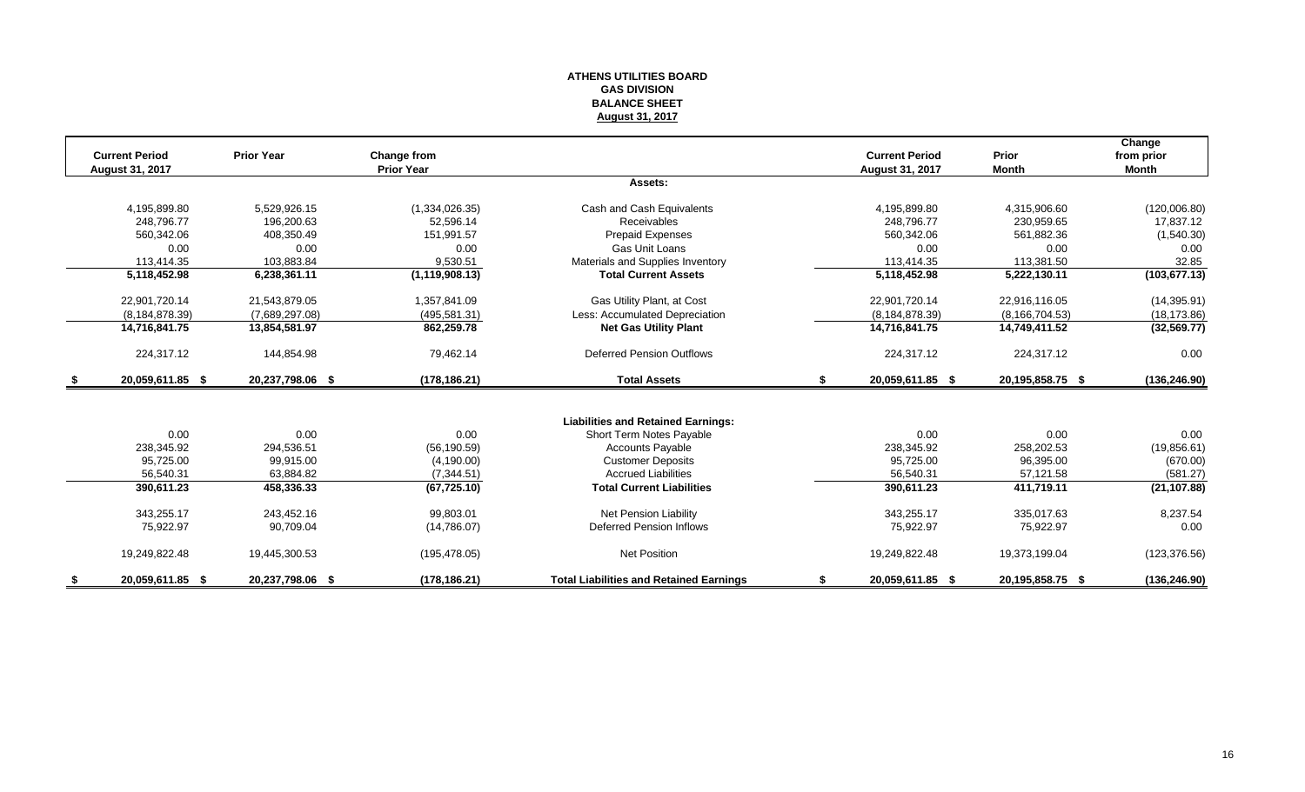# **ATHENS UTILITIES BOARD GAS DIVISION BALANCE SHEET August 31, 2017**

|      | <b>Current Period</b> | <b>Prior Year</b> | <b>Change from</b> |                                                | <b>Current Period</b>  | Prior            | Change<br>from prior |
|------|-----------------------|-------------------|--------------------|------------------------------------------------|------------------------|------------------|----------------------|
|      | August 31, 2017       |                   | <b>Prior Year</b>  |                                                | August 31, 2017        | <b>Month</b>     | Month                |
|      |                       |                   |                    | Assets:                                        |                        |                  |                      |
|      | 4,195,899.80          | 5,529,926.15      | (1,334,026.35)     | Cash and Cash Equivalents                      | 4,195,899.80           | 4,315,906.60     | (120,006.80)         |
|      | 248.796.77            | 196.200.63        | 52,596.14          | <b>Receivables</b>                             | 248,796.77             | 230.959.65       | 17,837.12            |
|      | 560.342.06            | 408,350.49        | 151.991.57         | <b>Prepaid Expenses</b>                        | 560,342.06             | 561,882.36       | (1,540.30)           |
|      | 0.00                  | 0.00              | 0.00               | Gas Unit Loans                                 | 0.00                   | 0.00             | 0.00                 |
|      | 113,414.35            | 103,883.84        | 9,530.51           | Materials and Supplies Inventory               | 113.414.35             | 113,381.50       | 32.85                |
|      | 5,118,452.98          | 6,238,361.11      | (1, 119, 908.13)   | <b>Total Current Assets</b>                    | 5,118,452.98           | 5,222,130.11     | (103, 677.13)        |
|      | 22,901,720.14         | 21,543,879.05     | 1,357,841.09       | Gas Utility Plant, at Cost                     | 22,901,720.14          | 22,916,116.05    | (14, 395.91)         |
|      | (8, 184, 878, 39)     | (7,689,297.08)    | (495, 581.31)      | Less: Accumulated Depreciation                 | (8, 184, 878, 39)      | (8, 166, 704.53) | (18, 173.86)         |
|      | 14,716,841.75         | 13,854,581.97     | 862,259.78         | <b>Net Gas Utility Plant</b>                   | 14,716,841.75          | 14,749,411.52    | (32, 569.77)         |
|      | 224,317.12            | 144,854.98        | 79,462.14          | <b>Deferred Pension Outflows</b>               | 224,317.12             | 224,317.12       | 0.00                 |
| - 56 | 20,059,611.85 \$      | 20,237,798.06 \$  | (178, 186.21)      | <b>Total Assets</b>                            | \$<br>20,059,611.85 \$ | 20,195,858.75 \$ | (136, 246.90)        |
|      |                       |                   |                    |                                                |                        |                  |                      |
|      |                       |                   |                    | <b>Liabilities and Retained Earnings:</b>      |                        |                  |                      |
|      | 0.00                  | 0.00              | 0.00               | Short Term Notes Payable                       | 0.00                   | 0.00             | 0.00                 |
|      | 238,345.92            | 294,536.51        | (56, 190.59)       | <b>Accounts Payable</b>                        | 238,345.92             | 258,202.53       | (19, 856.61)         |
|      | 95,725.00             | 99,915.00         | (4, 190.00)        | <b>Customer Deposits</b>                       | 95,725.00              | 96,395.00        | (670.00)             |
|      | 56,540.31             | 63,884.82         | (7, 344.51)        | <b>Accrued Liabilities</b>                     | 56,540.31              | 57,121.58        | (581.27)             |
|      | 390,611.23            | 458,336.33        | (67, 725.10)       | <b>Total Current Liabilities</b>               | 390,611.23             | 411,719.11       | (21, 107.88)         |
|      | 343,255.17            | 243,452.16        | 99,803.01          | Net Pension Liability                          | 343,255.17             | 335.017.63       | 8,237.54             |
|      | 75,922.97             | 90,709.04         | (14,786.07)        | <b>Deferred Pension Inflows</b>                | 75,922.97              | 75,922.97        | 0.00                 |
|      | 19,249,822.48         | 19,445,300.53     | (195, 478.05)      | Net Position                                   | 19,249,822.48          | 19,373,199.04    | (123, 376.56)        |
|      | 20,059,611.85 \$      | 20,237,798.06 \$  | (178, 186.21)      | <b>Total Liabilities and Retained Earnings</b> | 20,059,611.85 \$       | 20,195,858.75 \$ | (136, 246.90)        |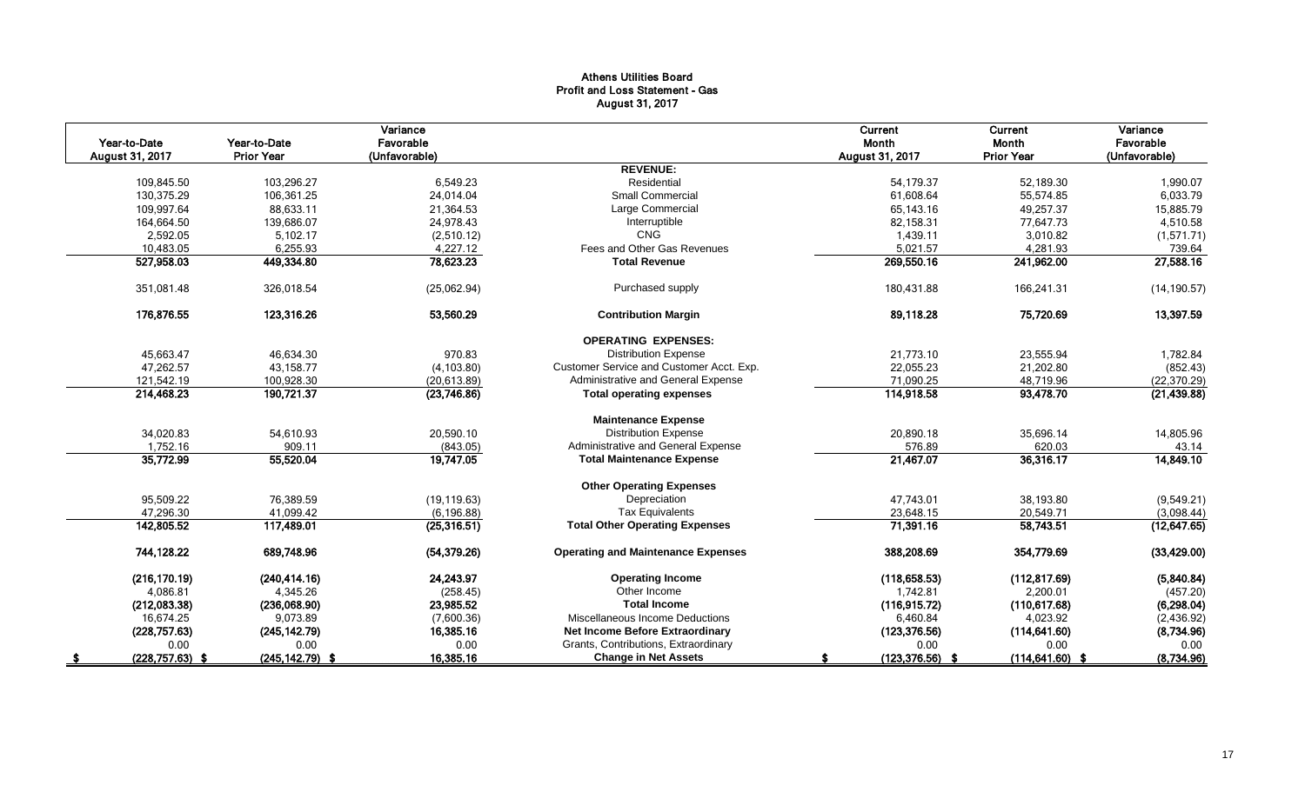# Athens Utilities Board Profit and Loss Statement - Gas August 31, 2017

| Year-to-Date<br>August 31, 2017 | Year-to-Date<br><b>Prior Year</b> | Variance<br>Favorable<br>(Unfavorable) |                                           | Current<br>Month<br>August 31, 2017 | Current<br>Month<br><b>Prior Year</b> | Variance<br>Favorable<br>(Unfavorable) |
|---------------------------------|-----------------------------------|----------------------------------------|-------------------------------------------|-------------------------------------|---------------------------------------|----------------------------------------|
|                                 |                                   |                                        | <b>REVENUE:</b>                           |                                     |                                       |                                        |
| 109,845.50                      | 103,296.27                        | 6,549.23                               | Residential                               | 54,179.37                           | 52,189.30                             | 1,990.07                               |
| 130,375.29                      | 106,361.25                        | 24.014.04                              | <b>Small Commercial</b>                   | 61.608.64                           | 55.574.85                             | 6,033.79                               |
| 109,997.64                      | 88,633.11                         | 21,364.53                              | Large Commercial                          | 65,143.16                           | 49,257.37                             | 15,885.79                              |
| 164,664.50                      | 139,686.07                        | 24,978.43                              | Interruptible                             | 82,158.31                           | 77,647.73                             | 4,510.58                               |
| 2,592.05                        | 5,102.17                          | (2,510.12)                             | CNG                                       | 1,439.11                            | 3,010.82                              | (1,571.71)                             |
| 10,483.05                       | 6,255.93                          | 4,227.12                               | Fees and Other Gas Revenues               | 5,021.57                            | 4,281.93                              | 739.64                                 |
| 527,958.03                      | 449,334.80                        | 78,623.23                              | <b>Total Revenue</b>                      | 269,550.16                          | 241,962.00                            | 27,588.16                              |
| 351,081.48                      | 326,018.54                        | (25,062.94)                            | Purchased supply                          | 180,431.88                          | 166,241.31                            | (14, 190.57)                           |
| 176,876.55                      | 123,316.26                        | 53,560.29                              | <b>Contribution Margin</b>                | 89,118.28                           | 75,720.69                             | 13,397.59                              |
|                                 |                                   |                                        | <b>OPERATING EXPENSES:</b>                |                                     |                                       |                                        |
| 45,663.47                       | 46,634.30                         | 970.83                                 | <b>Distribution Expense</b>               | 21,773.10                           | 23,555.94                             | 1,782.84                               |
| 47,262.57                       | 43,158.77                         | (4, 103.80)                            | Customer Service and Customer Acct. Exp.  | 22,055.23                           | 21,202.80                             | (852.43)                               |
| 121,542.19                      | 100,928.30                        | (20, 613.89)                           | Administrative and General Expense        | 71,090.25                           | 48,719.96                             | (22, 370.29)                           |
| 214,468.23                      | 190,721.37                        | (23,746.86)                            | <b>Total operating expenses</b>           | 114,918.58                          | 93,478.70                             | (21, 439.88)                           |
|                                 |                                   |                                        | <b>Maintenance Expense</b>                |                                     |                                       |                                        |
| 34,020.83                       | 54,610.93                         | 20,590.10                              | <b>Distribution Expense</b>               | 20,890.18                           | 35,696.14                             | 14,805.96                              |
| 1,752.16                        | 909.11                            | (843.05)                               | Administrative and General Expense        | 576.89                              | 620.03                                | 43.14                                  |
| 35,772.99                       | 55,520.04                         | 19,747.05                              | <b>Total Maintenance Expense</b>          | 21,467.07                           | 36,316.17                             | 14,849.10                              |
|                                 |                                   |                                        | <b>Other Operating Expenses</b>           |                                     |                                       |                                        |
| 95,509.22                       | 76,389.59                         | (19, 119.63)                           | Depreciation                              | 47,743.01                           | 38,193.80                             | (9,549.21)                             |
| 47,296.30                       | 41,099.42                         | (6, 196.88)                            | <b>Tax Equivalents</b>                    | 23,648.15                           | 20,549.71                             | (3,098.44)                             |
| 142,805.52                      | 117,489.01                        | (25, 316.51)                           | <b>Total Other Operating Expenses</b>     | 71,391.16                           | 58,743.51                             | (12, 647.65)                           |
| 744,128.22                      | 689,748.96                        | (54, 379.26)                           | <b>Operating and Maintenance Expenses</b> | 388,208.69                          | 354,779.69                            | (33, 429.00)                           |
| (216, 170.19)                   | (240, 414.16)                     | 24,243.97                              | <b>Operating Income</b>                   | (118, 658.53)                       | (112, 817.69)                         | (5,840.84)                             |
| 4,086.81                        | 4,345.26                          | (258.45)                               | Other Income                              | 1,742.81                            | 2,200.01                              | (457.20)                               |
| (212,083.38)                    | (236,068.90)                      | 23,985.52                              | <b>Total Income</b>                       | (116, 915.72)                       | (110, 617.68)                         | (6, 298.04)                            |
| 16.674.25                       | 9,073.89                          | (7,600.36)                             | Miscellaneous Income Deductions           | 6,460.84                            | 4,023.92                              | (2,436.92)                             |
| (228, 757.63)                   | (245, 142.79)                     | 16,385.16                              | Net Income Before Extraordinary           | (123, 376.56)                       | (114, 641.60)                         | (8,734.96)                             |
| 0.00                            | 0.00                              | 0.00                                   | Grants, Contributions, Extraordinary      | 0.00                                | 0.00                                  | 0.00                                   |
| $(228, 757.63)$ \$              | $(245, 142.79)$ \$                | 16,385.16                              | <b>Change in Net Assets</b>               | $(123, 376.56)$ \$                  | $(114, 641.60)$ \$                    | (8,734.96)                             |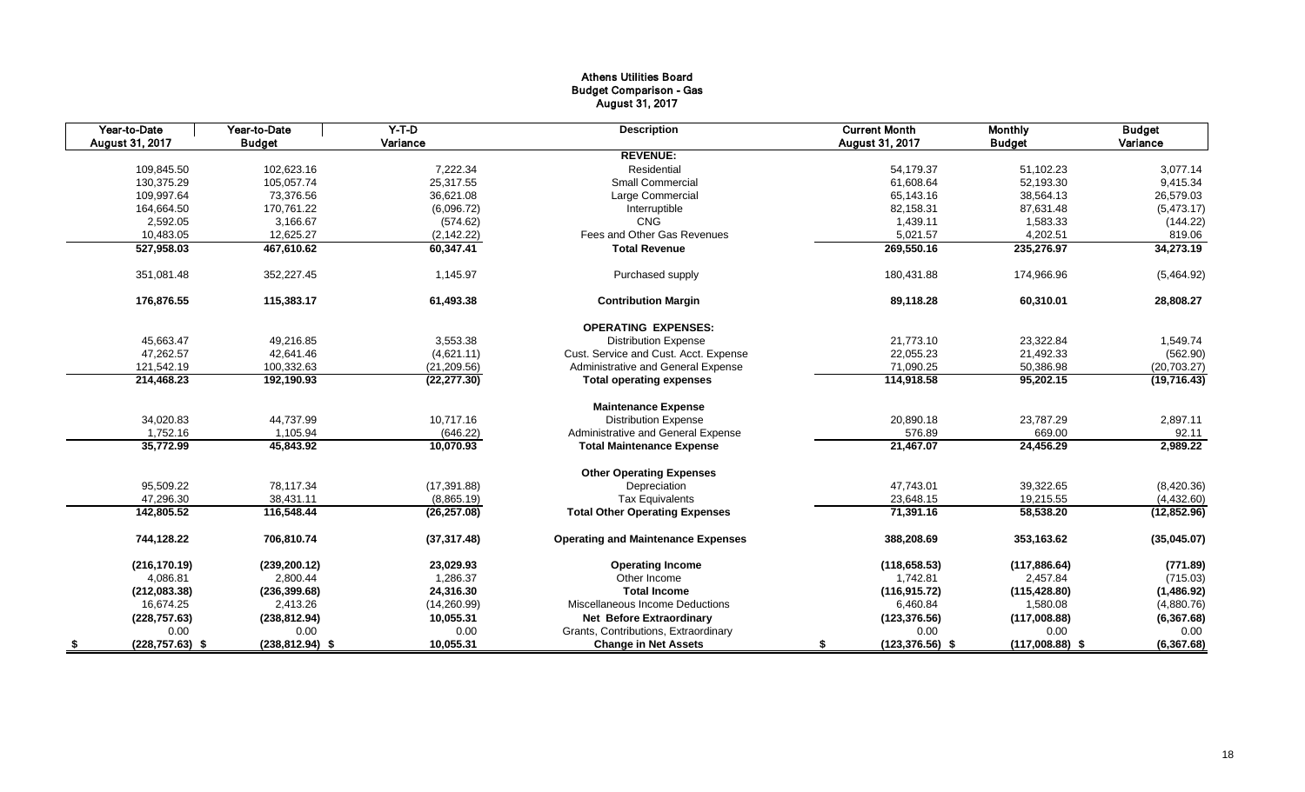# Athens Utilities Board Budget Comparison - Gas August 31, 2017

| Year-to-Date    |                    | Year-to-Date       | $Y-T-D$      | <b>Description</b>                        | <b>Current Month</b>     | <b>Monthly</b>    | <b>Budget</b> |
|-----------------|--------------------|--------------------|--------------|-------------------------------------------|--------------------------|-------------------|---------------|
| August 31, 2017 |                    | <b>Budget</b>      | Variance     |                                           | August 31, 2017          | <b>Budget</b>     | Variance      |
|                 |                    |                    |              | <b>REVENUE:</b>                           |                          |                   |               |
|                 | 109,845.50         | 102,623.16         | 7,222.34     | Residential                               | 54,179.37                | 51,102.23         | 3,077.14      |
|                 | 130,375.29         | 105,057.74         | 25,317.55    | <b>Small Commercial</b>                   | 61,608.64                | 52,193.30         | 9,415.34      |
|                 | 109,997.64         | 73,376.56          | 36,621.08    | Large Commercial                          | 65,143.16                | 38,564.13         | 26,579.03     |
|                 | 164,664.50         | 170,761.22         | (6,096.72)   | Interruptible                             | 82,158.31                | 87,631.48         | (5,473.17)    |
|                 | 2,592.05           | 3,166.67           | (574.62)     | <b>CNG</b>                                | 1,439.11                 | 1,583.33          | (144.22)      |
|                 | 10.483.05          | 12,625.27          | (2, 142.22)  | Fees and Other Gas Revenues               | 5,021.57                 | 4.202.51          | 819.06        |
|                 | 527,958.03         | 467,610.62         | 60,347.41    | <b>Total Revenue</b>                      | 269,550.16               | 235,276.97        | 34,273.19     |
|                 | 351,081.48         | 352,227.45         | 1,145.97     | Purchased supply                          | 180,431.88               | 174,966.96        | (5,464.92)    |
|                 | 176,876.55         | 115,383.17         | 61,493.38    | <b>Contribution Margin</b>                | 89,118.28                | 60,310.01         | 28,808.27     |
|                 |                    |                    |              | <b>OPERATING EXPENSES:</b>                |                          |                   |               |
|                 | 45,663.47          | 49,216.85          | 3,553.38     | <b>Distribution Expense</b>               | 21,773.10                | 23,322.84         | 1,549.74      |
|                 | 47,262.57          | 42,641.46          | (4,621.11)   | Cust. Service and Cust. Acct. Expense     | 22,055.23                | 21,492.33         | (562.90)      |
|                 | 121,542.19         | 100,332.63         | (21, 209.56) | Administrative and General Expense        | 71,090.25                | 50,386.98         | (20, 703.27)  |
|                 | 214,468.23         | 192,190.93         | (22, 277.30) | <b>Total operating expenses</b>           | 114,918.58               | 95,202.15         | (19, 716.43)  |
|                 |                    |                    |              | <b>Maintenance Expense</b>                |                          |                   |               |
|                 | 34,020.83          | 44,737.99          | 10,717.16    | <b>Distribution Expense</b>               | 20,890.18                | 23,787.29         | 2,897.11      |
|                 | 1,752.16           | 1,105.94           | (646.22)     | Administrative and General Expense        | 576.89                   | 669.00            | 92.11         |
|                 | 35,772.99          | 45,843.92          | 10,070.93    | <b>Total Maintenance Expense</b>          | 21,467.07                | 24,456.29         | 2,989.22      |
|                 |                    |                    |              | <b>Other Operating Expenses</b>           |                          |                   |               |
|                 | 95,509.22          | 78,117.34          | (17, 391.88) | Depreciation                              | 47,743.01                | 39,322.65         | (8,420.36)    |
|                 | 47,296.30          | 38,431.11          | (8,865.19)   | <b>Tax Equivalents</b>                    | 23,648.15                | 19,215.55         | (4,432.60)    |
|                 | 142,805.52         | 116,548.44         | (26, 257.08) | <b>Total Other Operating Expenses</b>     | 71,391.16                | 58,538.20         | (12, 852.96)  |
|                 | 744,128.22         | 706,810.74         | (37, 317.48) | <b>Operating and Maintenance Expenses</b> | 388,208.69               | 353,163.62        | (35,045.07)   |
|                 | (216, 170.19)      | (239, 200.12)      | 23,029.93    | <b>Operating Income</b>                   | (118, 658.53)            | (117, 886.64)     | (771.89)      |
|                 | 4,086.81           | 2,800.44           | 1,286.37     | Other Income                              | 1,742.81                 | 2,457.84          | (715.03)      |
|                 | (212,083.38)       | (236, 399.68)      | 24,316.30    | <b>Total Income</b>                       | (116, 915.72)            | (115, 428.80)     | (1,486.92)    |
|                 | 16,674.25          | 2,413.26           | (14,260.99)  | Miscellaneous Income Deductions           | 6,460.84                 | 1,580.08          | (4,880.76)    |
|                 | (228, 757.63)      | (238, 812.94)      | 10,055.31    | <b>Net Before Extraordinary</b>           | (123, 376.56)            | (117,008.88)      | (6,367.68)    |
|                 | 0.00               | 0.00               | 0.00         | Grants, Contributions, Extraordinary      |                          | 0.00<br>0.00      | 0.00          |
| - \$            | $(228, 757.63)$ \$ | $(238, 812.94)$ \$ | 10,055.31    | <b>Change in Net Assets</b>               | $(123, 376.56)$ \$<br>\$ | $(117,008.88)$ \$ | (6, 367.68)   |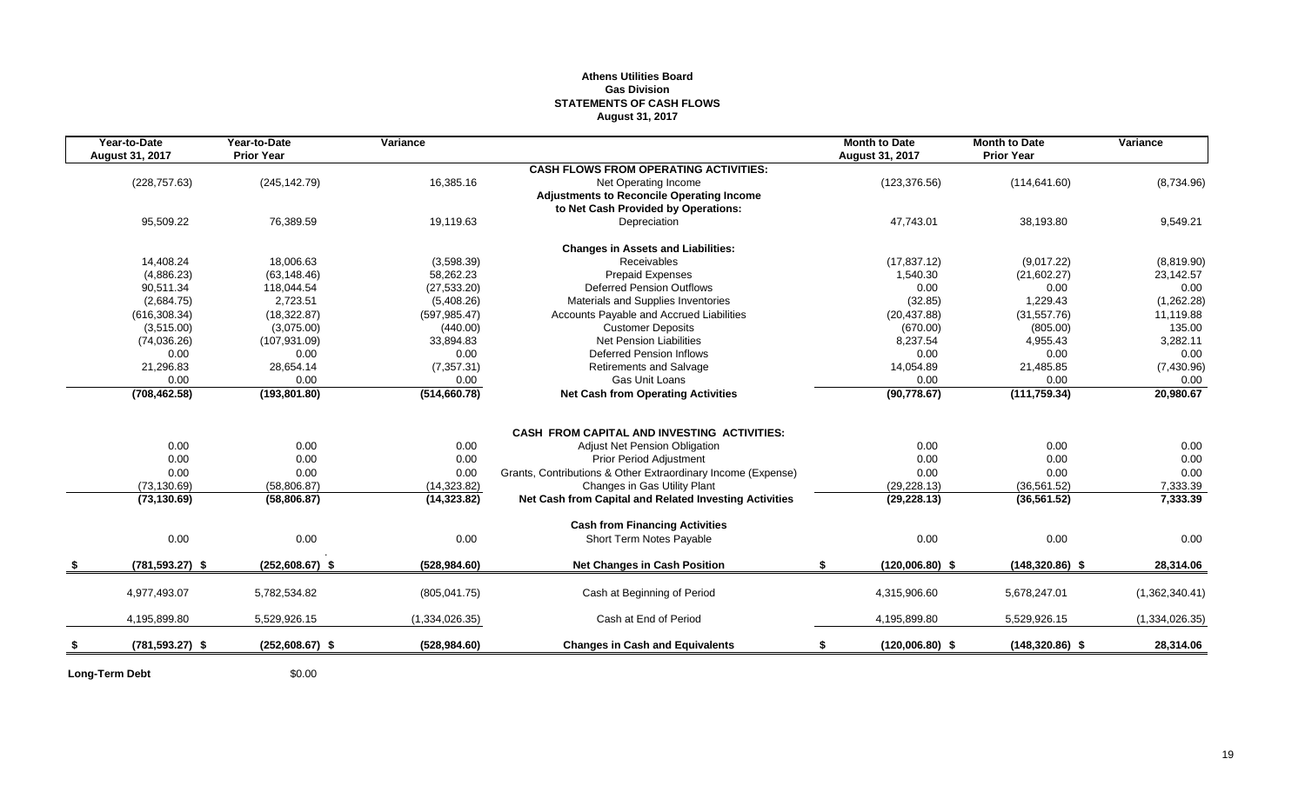# **Athens Utilities Board Gas Division STATEMENTS OF CASH FLOWS August 31, 2017**

| August 31, 2017    |                               |                               |                                                              |                                                                                                                                                                                                                                | <b>Month to Date</b><br><b>Prior Year</b>                               | Variance                      |
|--------------------|-------------------------------|-------------------------------|--------------------------------------------------------------|--------------------------------------------------------------------------------------------------------------------------------------------------------------------------------------------------------------------------------|-------------------------------------------------------------------------|-------------------------------|
|                    | <b>Prior Year</b>             |                               | <b>CASH FLOWS FROM OPERATING ACTIVITIES:</b>                 | August 31, 2017                                                                                                                                                                                                                |                                                                         |                               |
|                    |                               |                               |                                                              |                                                                                                                                                                                                                                |                                                                         | (8,734.96)                    |
|                    |                               |                               |                                                              |                                                                                                                                                                                                                                |                                                                         |                               |
|                    |                               |                               |                                                              |                                                                                                                                                                                                                                |                                                                         |                               |
| 95,509.22          | 76,389.59                     | 19,119.63                     | Depreciation                                                 | 47,743.01                                                                                                                                                                                                                      | 38,193.80                                                               | 9,549.21                      |
|                    |                               |                               |                                                              |                                                                                                                                                                                                                                |                                                                         |                               |
| 14,408.24          | 18,006.63                     | (3,598.39)                    | <b>Receivables</b>                                           | (17, 837.12)                                                                                                                                                                                                                   | (9,017.22)                                                              | (8,819.90)                    |
| (4,886.23)         | (63, 148.46)                  | 58,262.23                     | Prepaid Expenses                                             | 1,540.30                                                                                                                                                                                                                       | (21,602.27)                                                             | 23,142.57                     |
| 90,511.34          | 118,044.54                    | (27, 533.20)                  | Deferred Pension Outflows                                    | 0.00                                                                                                                                                                                                                           | 0.00                                                                    | 0.00                          |
| (2,684.75)         | 2,723.51                      | (5,408.26)                    | Materials and Supplies Inventories                           | (32.85)                                                                                                                                                                                                                        | 1,229.43                                                                | (1,262.28)                    |
| (616, 308.34)      | (18,322.87)                   | (597, 985.47)                 | Accounts Payable and Accrued Liabilities                     | (20, 437.88)                                                                                                                                                                                                                   | (31, 557.76)                                                            | 11,119.88                     |
| (3,515.00)         | (3,075.00)                    | (440.00)                      | <b>Customer Deposits</b>                                     | (670.00)                                                                                                                                                                                                                       | (805.00)                                                                | 135.00                        |
| (74,036.26)        | (107, 931.09)                 | 33,894.83                     | <b>Net Pension Liabilities</b>                               | 8,237.54                                                                                                                                                                                                                       | 4,955.43                                                                | 3,282.11                      |
| 0.00               | 0.00                          | 0.00                          | <b>Deferred Pension Inflows</b>                              | 0.00                                                                                                                                                                                                                           | 0.00                                                                    | 0.00                          |
| 21,296.83          | 28,654.14                     | (7, 357.31)                   | <b>Retirements and Salvage</b>                               | 14,054.89                                                                                                                                                                                                                      | 21,485.85                                                               | (7,430.96)                    |
| 0.00               | 0.00                          | 0.00                          | Gas Unit Loans                                               | 0.00                                                                                                                                                                                                                           | 0.00                                                                    | 0.00                          |
| (708, 462.58)      | (193, 801.80)                 | (514, 660.78)                 | <b>Net Cash from Operating Activities</b>                    | (90, 778.67)                                                                                                                                                                                                                   | (111, 759.34)                                                           | 20,980.67                     |
|                    |                               |                               |                                                              |                                                                                                                                                                                                                                |                                                                         |                               |
|                    |                               |                               | <b>CASH FROM CAPITAL AND INVESTING ACTIVITIES:</b>           |                                                                                                                                                                                                                                |                                                                         |                               |
| 0.00               | 0.00                          | 0.00                          | Adjust Net Pension Obligation                                | 0.00                                                                                                                                                                                                                           | 0.00                                                                    | 0.00                          |
| 0.00               | 0.00                          | 0.00                          | <b>Prior Period Adjustment</b>                               | 0.00                                                                                                                                                                                                                           | 0.00                                                                    | 0.00                          |
| 0.00               | 0.00                          | 0.00                          | Grants, Contributions & Other Extraordinary Income (Expense) | 0.00                                                                                                                                                                                                                           | 0.00                                                                    | 0.00                          |
| (73, 130.69)       | (58, 806.87)                  | (14, 323.82)                  | Changes in Gas Utility Plant                                 | (29, 228.13)                                                                                                                                                                                                                   | (36, 561.52)                                                            | 7,333.39                      |
| (73, 130.69)       | (58, 806.87)                  | (14, 323.82)                  | Net Cash from Capital and Related Investing Activities       | (29, 228.13)                                                                                                                                                                                                                   | (36, 561.52)                                                            | 7,333.39                      |
|                    |                               |                               |                                                              |                                                                                                                                                                                                                                |                                                                         |                               |
| 0.00               | 0.00                          | 0.00                          | Short Term Notes Payable                                     | 0.00                                                                                                                                                                                                                           | 0.00                                                                    | 0.00                          |
| $(781, 593.27)$ \$ | $(252,608.67)$ \$             | (528, 984.60)                 | <b>Net Changes in Cash Position</b>                          | \$                                                                                                                                                                                                                             | $(148,320.86)$ \$                                                       | 28,314.06                     |
| 4,977,493.07       | 5,782,534.82                  | (805, 041.75)                 | Cash at Beginning of Period                                  | 4,315,906.60                                                                                                                                                                                                                   | 5,678,247.01                                                            | (1,362,340.41)                |
|                    |                               |                               |                                                              |                                                                                                                                                                                                                                |                                                                         |                               |
|                    |                               |                               |                                                              |                                                                                                                                                                                                                                |                                                                         | (1,334,026.35)                |
| $(781, 593.27)$ \$ | $(252,608.67)$ \$             | (528, 984.60)                 | <b>Changes in Cash and Equivalents</b>                       |                                                                                                                                                                                                                                | $(148, 320.86)$ \$                                                      | 28,314.06                     |
|                    | (228, 757.63)<br>4,195,899.80 | (245, 142.79)<br>5,529,926.15 | 16,385.16<br>(1,334,026.35)                                  | Net Operating Income<br><b>Adjustments to Reconcile Operating Income</b><br>to Net Cash Provided by Operations:<br><b>Changes in Assets and Liabilities:</b><br><b>Cash from Financing Activities</b><br>Cash at End of Period | (123, 376.56)<br>$(120,006.80)$ \$<br>4,195,899.80<br>$(120,006.80)$ \$ | (114, 641.60)<br>5,529,926.15 |

**Long-Term Debt** \$0.00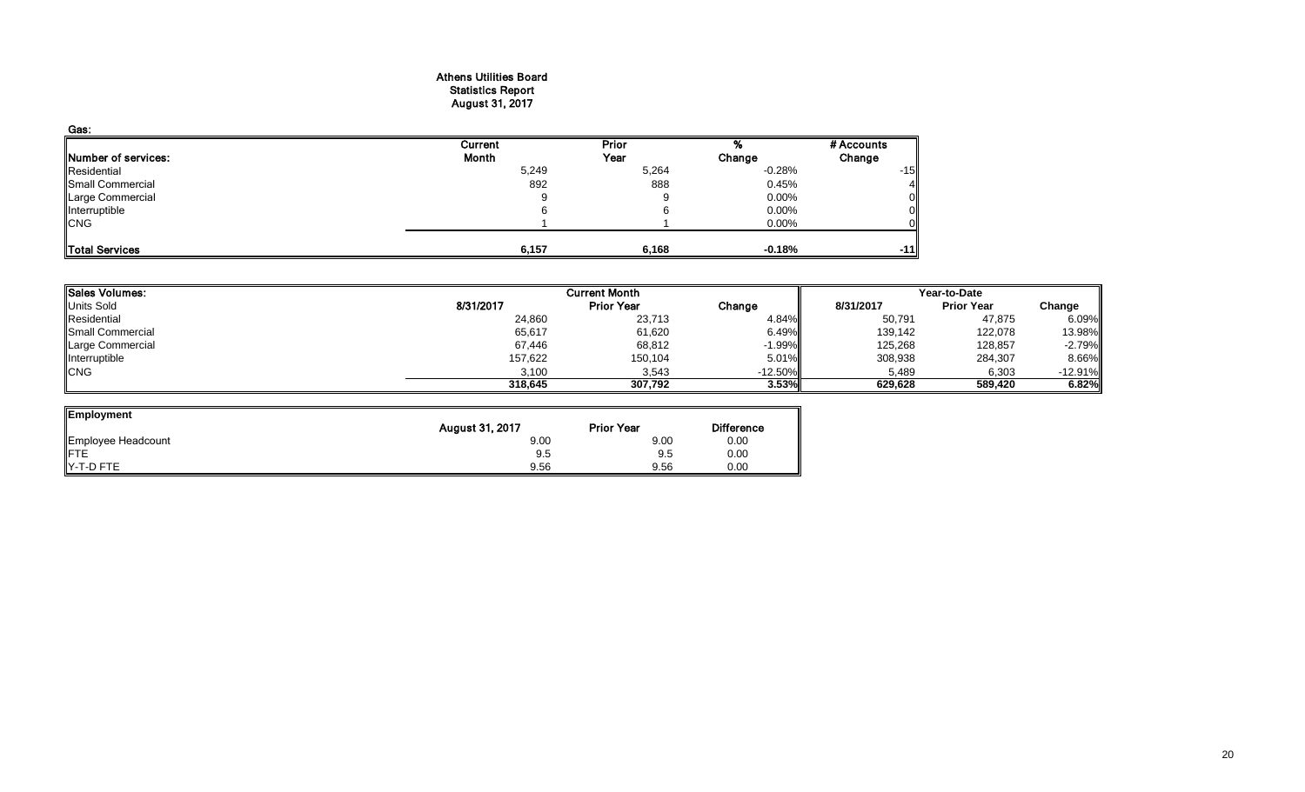### Athens Utilities Board Statistics Report August 31, 2017

| Gas:                |         |       |          |            |
|---------------------|---------|-------|----------|------------|
|                     | Current | Prior |          | # Accounts |
| Number of services: | Month   | Year  | Change   | Change     |
| Residential         | 5,249   | 5,264 | $-0.28%$ | $-15$      |
| Small Commercial    | 892     | 888   | 0.45%    |            |
| Large Commercial    | 9       |       | $0.00\%$ |            |
| Interruptible       |         |       | 0.00%    |            |
| <b>CNG</b>          |         |       | 0.00%    |            |
| Total Services      | 6,157   | 6,168 | $-0.18%$ | $-11$      |

| <b>Sales Volumes:</b> |           | <b>Current Month</b> |           | Year-to-Date |                   |           |  |
|-----------------------|-----------|----------------------|-----------|--------------|-------------------|-----------|--|
| <b>Units Sold</b>     | 8/31/2017 | <b>Prior Year</b>    | Change    | 8/31/2017    | <b>Prior Year</b> | Change    |  |
| Residential           | 24,860    | 23,713               | 4.84%     | 50,791       | 47,875            | 6.09%     |  |
| Small Commercial      | 65,617    | 61,620               | 6.49%     | 139,142      | 122,078           | 13.98%    |  |
| Large Commercial      | 67,446    | 68,812               | $-1.99\%$ | 125,268      | 128,857           | $-2.79%$  |  |
| Interruptible         | 157,622   | 150,104              | 5.01%     | 308,938      | 284,307           | 8.66%     |  |
| <b>CNG</b>            | 3,100     | 3,543                | $-12.50%$ | 5,489        | 6,303             | $-12.91%$ |  |
|                       | 318.645   | 307.792              | 3.53%     | 629.628      | 589,420           | 6.82%     |  |
|                       |           |                      |           |              |                   |           |  |

| Employment         |                        |                   |                   |
|--------------------|------------------------|-------------------|-------------------|
|                    | <b>August 31, 2017</b> | <b>Prior Year</b> | <b>Difference</b> |
| Employee Headcount | 9.00                   | 9.00              | 0.00              |
| <b>FTE</b>         | 9.5                    | 9.5               | 0.00              |
| Y-T-D FTE          | 9.56                   | 9.56              | 0.00              |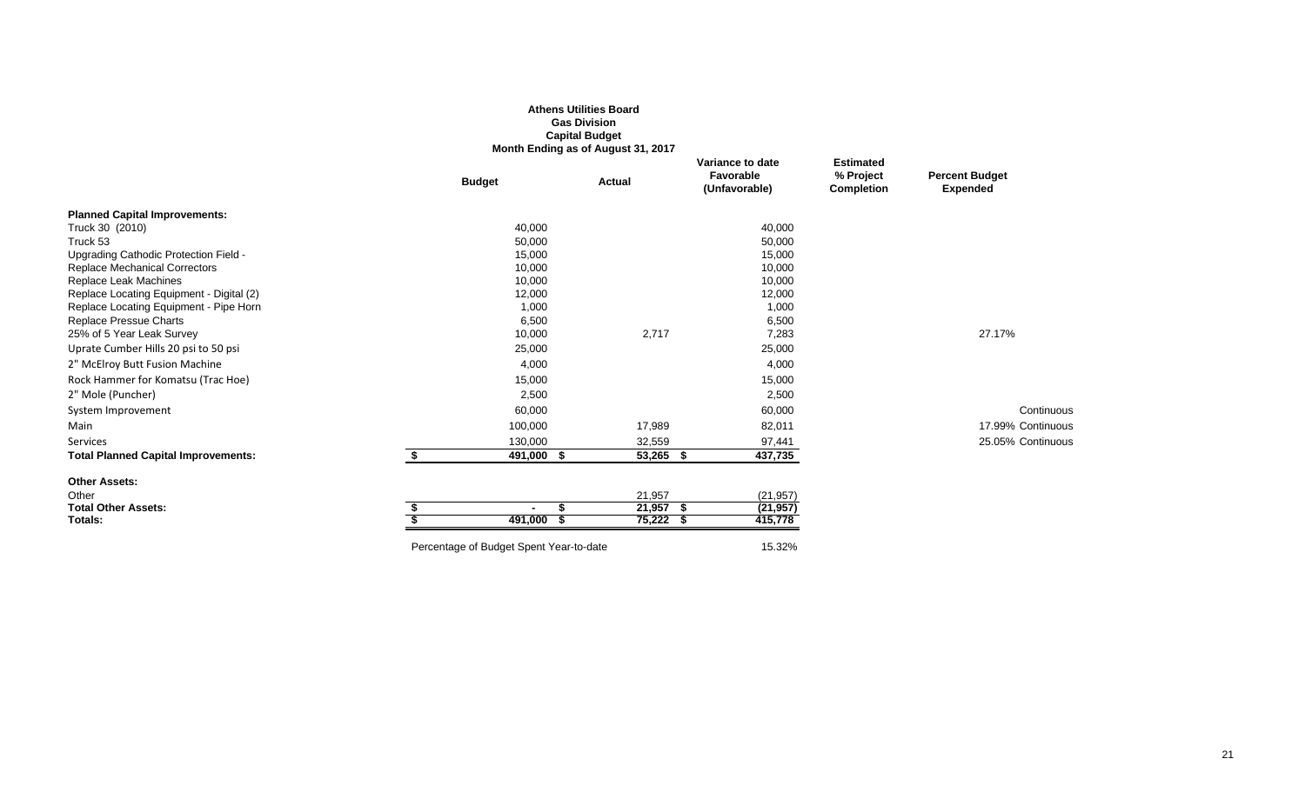|                                                               |                                         | <b>Athens Utilities Board</b><br><b>Gas Division</b><br><b>Capital Budget</b><br>Month Ending as of August 31, 2017 |                                                |                                                    |                                          |
|---------------------------------------------------------------|-----------------------------------------|---------------------------------------------------------------------------------------------------------------------|------------------------------------------------|----------------------------------------------------|------------------------------------------|
|                                                               | <b>Budget</b>                           | Actual                                                                                                              | Variance to date<br>Favorable<br>(Unfavorable) | <b>Estimated</b><br>% Project<br><b>Completion</b> | <b>Percent Budget</b><br><b>Expended</b> |
| <b>Planned Capital Improvements:</b>                          |                                         |                                                                                                                     |                                                |                                                    |                                          |
| Truck 30 (2010)                                               | 40,000                                  |                                                                                                                     | 40,000                                         |                                                    |                                          |
| Truck 53                                                      | 50,000                                  |                                                                                                                     | 50,000                                         |                                                    |                                          |
| Upgrading Cathodic Protection Field -                         | 15,000                                  |                                                                                                                     | 15,000                                         |                                                    |                                          |
| <b>Replace Mechanical Correctors</b><br>Replace Leak Machines | 10,000<br>10,000                        |                                                                                                                     | 10,000<br>10,000                               |                                                    |                                          |
| Replace Locating Equipment - Digital (2)                      | 12,000                                  |                                                                                                                     | 12,000                                         |                                                    |                                          |
| Replace Locating Equipment - Pipe Horn                        | 1,000                                   |                                                                                                                     | 1,000                                          |                                                    |                                          |
| Replace Pressue Charts                                        | 6,500                                   |                                                                                                                     | 6,500                                          |                                                    |                                          |
| 25% of 5 Year Leak Survey                                     | 10,000                                  | 2,717                                                                                                               | 7,283                                          |                                                    | 27.17%                                   |
| Uprate Cumber Hills 20 psi to 50 psi                          | 25,000                                  |                                                                                                                     | 25,000                                         |                                                    |                                          |
| 2" McElroy Butt Fusion Machine                                | 4,000                                   |                                                                                                                     | 4,000                                          |                                                    |                                          |
| Rock Hammer for Komatsu (Trac Hoe)                            | 15,000                                  |                                                                                                                     | 15,000                                         |                                                    |                                          |
| 2" Mole (Puncher)                                             | 2,500                                   |                                                                                                                     | 2,500                                          |                                                    |                                          |
| System Improvement                                            | 60,000                                  |                                                                                                                     | 60,000                                         |                                                    | Continuous                               |
| Main                                                          | 100,000                                 | 17,989                                                                                                              | 82,011                                         |                                                    | 17.99% Continuous                        |
| Services                                                      | 130,000                                 | 32,559                                                                                                              | 97,441                                         |                                                    | 25.05% Continuous                        |
| <b>Total Planned Capital Improvements:</b>                    | \$<br>491,000 \$                        | 53,265 \$                                                                                                           | 437,735                                        |                                                    |                                          |
| <b>Other Assets:</b>                                          |                                         |                                                                                                                     |                                                |                                                    |                                          |
| Other                                                         |                                         | 21,957                                                                                                              | (21, 957)                                      |                                                    |                                          |
| <b>Total Other Assets:</b>                                    |                                         | $21,957$ \$                                                                                                         | (21, 957)                                      |                                                    |                                          |
| Totals:                                                       | 491,000                                 | $75,222$ \$                                                                                                         | 415,778                                        |                                                    |                                          |
|                                                               | Percentage of Budget Spent Year-to-date |                                                                                                                     | 15.32%                                         |                                                    |                                          |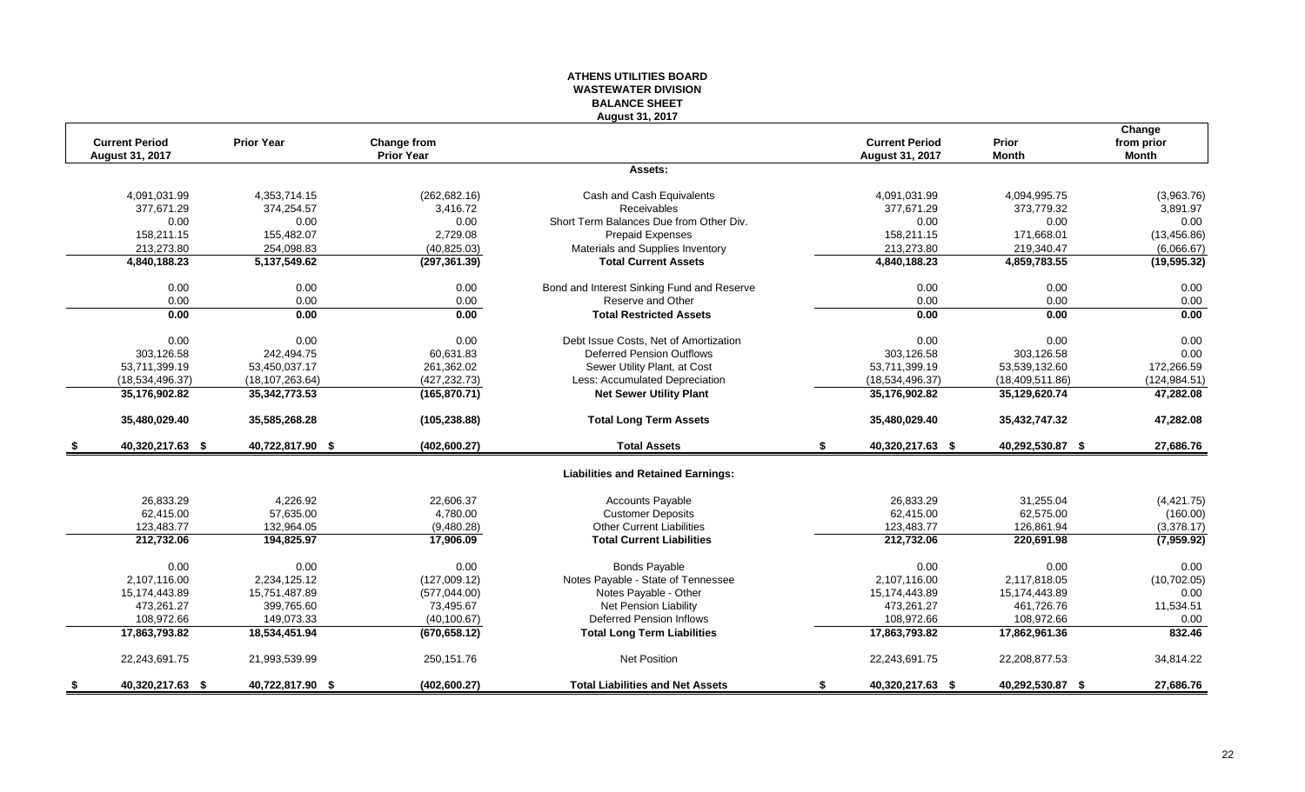# **ATHENS UTILITIES BOARD WASTEWATER DIVISION BALANCE SHEET August 31, 2017**

|     | <b>Current Period</b> | <b>Prior Year</b> | Change from       |                                            |    | <b>Current Period</b> | Prior            | Change<br>from prior |
|-----|-----------------------|-------------------|-------------------|--------------------------------------------|----|-----------------------|------------------|----------------------|
|     | August 31, 2017       |                   | <b>Prior Year</b> |                                            |    | August 31, 2017       | <b>Month</b>     | <b>Month</b>         |
|     |                       |                   |                   | Assets:                                    |    |                       |                  |                      |
|     | 4,091,031.99          | 4,353,714.15      | (262, 682.16)     | Cash and Cash Equivalents                  |    | 4,091,031.99          | 4,094,995.75     | (3,963.76)           |
|     | 377,671.29            | 374,254.57        | 3,416.72          | Receivables                                |    | 377,671.29            | 373,779.32       | 3,891.97             |
|     | 0.00                  | 0.00              | 0.00              | Short Term Balances Due from Other Div.    |    | 0.00                  | 0.00             | 0.00                 |
|     | 158.211.15            | 155,482.07        | 2,729.08          | <b>Prepaid Expenses</b>                    |    | 158,211.15            | 171,668.01       | (13, 456.86)         |
|     | 213,273.80            | 254,098.83        | (40, 825.03)      | Materials and Supplies Inventory           |    | 213,273.80            | 219,340.47       | (6,066.67)           |
|     | 4,840,188.23          | 5,137,549.62      | (297, 361.39)     | <b>Total Current Assets</b>                |    | 4,840,188.23          | 4,859,783.55     | (19, 595.32)         |
|     | 0.00                  | 0.00              | 0.00              | Bond and Interest Sinking Fund and Reserve |    | 0.00                  | 0.00             | 0.00                 |
|     | 0.00                  | 0.00              | 0.00              | Reserve and Other                          |    | 0.00                  | 0.00             | 0.00                 |
|     | 0.00                  | 0.00              | 0.00              | <b>Total Restricted Assets</b>             |    | 0.00                  | 0.00             | 0.00                 |
|     | 0.00                  | 0.00              | 0.00              | Debt Issue Costs, Net of Amortization      |    | 0.00                  | 0.00             | 0.00                 |
|     | 303,126.58            | 242,494.75        | 60,631.83         | <b>Deferred Pension Outflows</b>           |    | 303,126.58            | 303,126.58       | 0.00                 |
|     | 53,711,399.19         | 53,450,037.17     | 261,362.02        | Sewer Utility Plant, at Cost               |    | 53,711,399.19         | 53,539,132.60    | 172,266.59           |
|     | (18, 534, 496.37)     | (18, 107, 263.64) | (427, 232.73)     | Less: Accumulated Depreciation             |    | (18,534,496.37)       | (18,409,511.86)  | (124, 984.51)        |
|     | 35,176,902.82         | 35, 342, 773.53   | (165, 870.71)     | <b>Net Sewer Utility Plant</b>             |    | 35,176,902.82         | 35,129,620.74    | 47,282.08            |
|     | 35,480,029.40         | 35,585,268.28     | (105, 238.88)     | <b>Total Long Term Assets</b>              |    | 35,480,029.40         | 35,432,747.32    | 47,282.08            |
|     | 40,320,217.63 \$      | 40,722,817.90 \$  | (402, 600.27)     | <b>Total Assets</b>                        | S. | 40,320,217.63 \$      | 40,292,530.87 \$ | 27,686.76            |
|     |                       |                   |                   | <b>Liabilities and Retained Earnings:</b>  |    |                       |                  |                      |
|     | 26,833.29             | 4,226.92          | 22,606.37         | <b>Accounts Payable</b>                    |    | 26,833.29             | 31,255.04        | (4,421.75)           |
|     | 62,415.00             | 57,635.00         | 4,780.00          | <b>Customer Deposits</b>                   |    | 62,415.00             | 62,575.00        | (160.00)             |
|     | 123,483.77            | 132,964.05        | (9,480.28)        | <b>Other Current Liabilities</b>           |    | 123,483.77            | 126,861.94       | (3,378.17)           |
|     | 212,732.06            | 194,825.97        | 17,906.09         | <b>Total Current Liabilities</b>           |    | 212,732.06            | 220,691.98       | (7,959.92)           |
|     | 0.00                  | 0.00              | 0.00              | <b>Bonds Payable</b>                       |    | 0.00                  | 0.00             | 0.00                 |
|     | 2,107,116.00          | 2,234,125.12      | (127,009.12)      | Notes Payable - State of Tennessee         |    | 2,107,116.00          | 2,117,818.05     | (10, 702.05)         |
|     | 15,174,443.89         | 15,751,487.89     | (577, 044.00)     | Notes Payable - Other                      |    | 15,174,443.89         | 15,174,443.89    | 0.00                 |
|     | 473.261.27            | 399.765.60        | 73,495.67         | <b>Net Pension Liability</b>               |    | 473,261.27            | 461,726.76       | 11,534.51            |
|     | 108,972.66            | 149,073.33        | (40, 100.67)      | <b>Deferred Pension Inflows</b>            |    | 108,972.66            | 108,972.66       | 0.00                 |
|     | 17,863,793.82         | 18,534,451.94     | (670, 658.12)     | <b>Total Long Term Liabilities</b>         |    | 17,863,793.82         | 17,862,961.36    | 832.46               |
|     | 22,243,691.75         | 21,993,539.99     | 250,151.76        | <b>Net Position</b>                        |    | 22,243,691.75         | 22,208,877.53    | 34,814.22            |
| -\$ | 40,320,217.63 \$      | 40,722,817.90 \$  | (402, 600.27)     | <b>Total Liabilities and Net Assets</b>    | £. | 40,320,217.63 \$      | 40,292,530.87 \$ | 27,686.76            |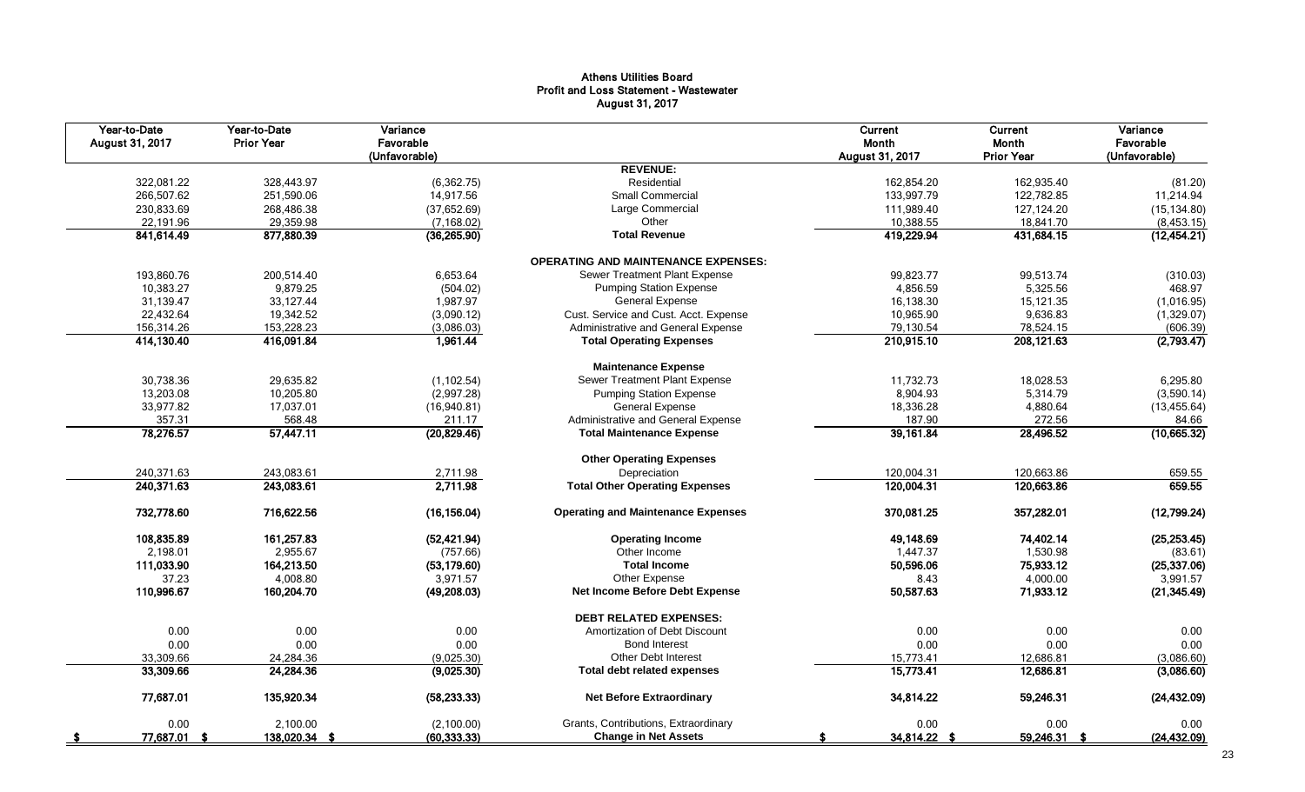#### Athens Utilities Board Profit and Loss Statement - Wastewater August 31, 2017

| Year-to-Date<br>August 31, 2017 | Year-to-Date<br><b>Prior Year</b> | Variance<br>Favorable<br>(Unfavorable) |                                            | Current<br>Month<br>August 31, 2017 | Current<br>Month<br><b>Prior Year</b> | Variance<br>Favorable<br>(Unfavorable) |
|---------------------------------|-----------------------------------|----------------------------------------|--------------------------------------------|-------------------------------------|---------------------------------------|----------------------------------------|
|                                 |                                   |                                        | <b>REVENUE:</b>                            |                                     |                                       |                                        |
| 322,081.22                      | 328,443.97                        | (6, 362.75)                            | Residential                                | 162,854.20                          | 162,935.40                            | (81.20)                                |
| 266,507.62                      | 251,590.06                        | 14,917.56                              | Small Commercial                           | 133,997.79                          | 122,782.85                            | 11,214.94                              |
| 230,833.69                      | 268,486.38                        | (37,652.69)                            | Large Commercial                           | 111,989.40                          | 127,124.20                            | (15, 134.80)                           |
| 22.191.96                       | 29,359.98                         | (7, 168.02)                            | Other                                      | 10,388.55                           | 18,841.70                             | (8,453.15)                             |
| 841,614.49                      | 877,880.39                        | (36, 265.90)                           | <b>Total Revenue</b>                       | 419,229.94                          | 431,684.15                            | (12, 454.21)                           |
|                                 |                                   |                                        | <b>OPERATING AND MAINTENANCE EXPENSES:</b> |                                     |                                       |                                        |
| 193,860.76                      | 200,514.40                        | 6,653.64                               | Sewer Treatment Plant Expense              | 99,823.77                           | 99,513.74                             | (310.03)                               |
| 10,383.27                       | 9,879.25                          | (504.02)                               | <b>Pumping Station Expense</b>             | 4,856.59                            | 5,325.56                              | 468.97                                 |
| 31,139.47                       | 33,127.44                         | 1,987.97                               | <b>General Expense</b>                     | 16,138.30                           | 15,121.35                             | (1,016.95)                             |
| 22,432.64                       | 19,342.52                         | (3,090.12)                             | Cust. Service and Cust. Acct. Expense      | 10,965.90                           | 9,636.83                              | (1,329.07)                             |
| 156,314.26                      | 153,228.23                        | (3,086.03)                             | Administrative and General Expense         | 79,130.54                           | 78,524.15                             | (606.39)                               |
| 414,130.40                      | 416,091.84                        | 1,961.44                               | <b>Total Operating Expenses</b>            | 210,915.10                          | 208, 121.63                           | (2,793.47)                             |
|                                 |                                   |                                        | <b>Maintenance Expense</b>                 |                                     |                                       |                                        |
| 30,738.36                       | 29,635.82                         | (1, 102.54)                            | Sewer Treatment Plant Expense              | 11.732.73                           | 18.028.53                             | 6.295.80                               |
| 13,203.08                       | 10,205.80                         | (2,997.28)                             | <b>Pumping Station Expense</b>             | 8,904.93                            | 5,314.79                              | (3,590.14)                             |
| 33,977.82                       | 17,037.01                         | (16,940.81)                            | <b>General Expense</b>                     | 18,336.28                           | 4,880.64                              | (13, 455.64)                           |
| 357.31                          | 568.48                            | 211.17                                 | Administrative and General Expense         | 187.90                              | 272.56                                | 84.66                                  |
| 78,276.57                       | 57,447.11                         | (20, 829.46)                           | <b>Total Maintenance Expense</b>           | 39,161.84                           | 28,496.52                             | (10,665.32)                            |
|                                 |                                   |                                        | <b>Other Operating Expenses</b>            |                                     |                                       |                                        |
| 240,371.63                      | 243,083.61                        | 2,711.98                               | Depreciation                               | 120,004.31                          | 120,663.86                            | 659.55                                 |
| 240,371.63                      | 243,083.61                        | 2,711.98                               | <b>Total Other Operating Expenses</b>      | 120,004.31                          | 120,663.86                            | 659.55                                 |
| 732,778.60                      | 716,622.56                        | (16, 156.04)                           | <b>Operating and Maintenance Expenses</b>  | 370,081.25                          | 357,282.01                            | (12,799.24)                            |
| 108,835.89                      | 161,257.83                        | (52, 421.94)                           | <b>Operating Income</b>                    | 49,148.69                           | 74,402.14                             | (25, 253.45)                           |
| 2,198.01                        | 2,955.67                          | (757.66)                               | Other Income                               | 1,447.37                            | 1,530.98                              | (83.61)                                |
| 111,033.90                      | 164,213.50                        | (53, 179.60)                           | <b>Total Income</b>                        | 50,596.06                           | 75,933.12                             | (25, 337.06)                           |
| 37.23                           | 4,008.80                          | 3,971.57                               | Other Expense                              | 8.43                                | 4,000.00                              | 3,991.57                               |
| 110,996.67                      | 160,204.70                        | (49, 208.03)                           | Net Income Before Debt Expense             | 50,587.63                           | 71,933.12                             | (21, 345.49)                           |
|                                 |                                   |                                        | <b>DEBT RELATED EXPENSES:</b>              |                                     |                                       |                                        |
| 0.00                            | 0.00                              | 0.00                                   | Amortization of Debt Discount              | 0.00                                | 0.00                                  | 0.00                                   |
| 0.00                            | 0.00                              | 0.00                                   | <b>Bond Interest</b>                       | 0.00                                | 0.00                                  | 0.00                                   |
| 33,309.66                       | 24,284.36                         | (9,025.30)                             | <b>Other Debt Interest</b>                 | 15,773.41                           | 12,686.81                             | (3,086.60)                             |
| 33,309.66                       | 24,284.36                         | (9,025.30)                             | <b>Total debt related expenses</b>         | 15,773.41                           | 12,686.81                             | (3,086.60)                             |
| 77,687.01                       | 135,920.34                        | (58, 233.33)                           | <b>Net Before Extraordinary</b>            | 34,814.22                           | 59,246.31                             | (24, 432.09)                           |
| 0.00                            | 2.100.00                          | (2, 100.00)                            | Grants, Contributions, Extraordinary       | 0.00                                | 0.00                                  | 0.00                                   |
| 77,687.01 \$                    | 138,020.34 \$                     | (60, 333.33)                           | <b>Change in Net Assets</b>                | 34,814.22 \$                        | 59,246.31 \$                          | (24, 432.09)                           |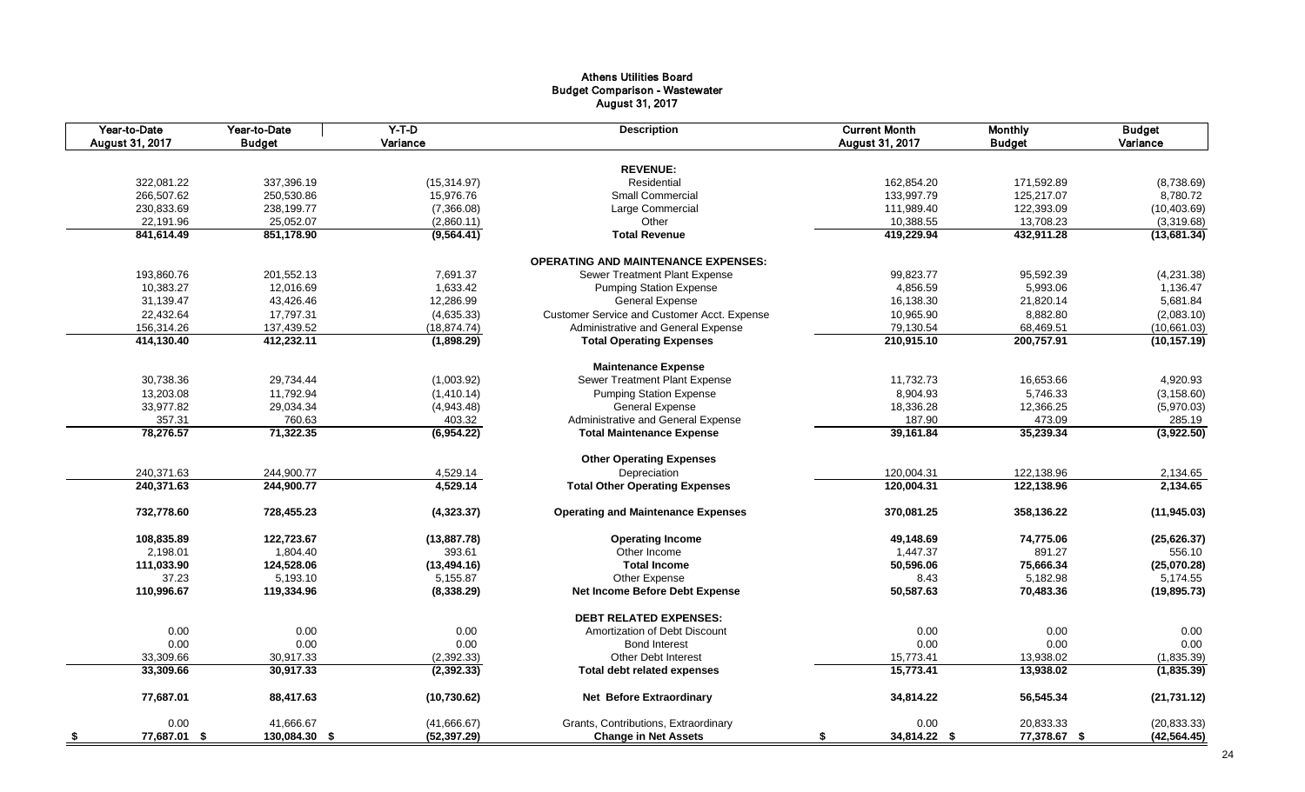#### Athens Utilities Board Budget Comparison - Wastewater August 31, 2017

|      | Year-to-Date<br>August 31, 2017 | Year-to-Date<br><b>Budget</b> | $Y-T-D$<br>Variance | <b>Description</b>                          | <b>Current Month</b><br>August 31, 2017 | <b>Monthly</b><br><b>Budget</b> | <b>Budget</b><br>Variance |
|------|---------------------------------|-------------------------------|---------------------|---------------------------------------------|-----------------------------------------|---------------------------------|---------------------------|
|      |                                 |                               |                     |                                             |                                         |                                 |                           |
|      |                                 |                               |                     | <b>REVENUE:</b>                             |                                         |                                 |                           |
|      | 322,081.22                      | 337,396.19                    | (15, 314.97)        | Residential                                 | 162,854.20                              | 171,592.89                      | (8,738.69)                |
|      | 266,507.62                      | 250,530.86                    | 15,976.76           | <b>Small Commercial</b>                     | 133,997.79                              | 125,217.07                      | 8,780.72                  |
|      | 230,833.69                      | 238,199.77                    | (7,366.08)          | Large Commercial                            | 111,989.40                              | 122,393.09                      | (10, 403.69)              |
|      | 22,191.96                       | 25,052.07                     | (2,860.11)          | Other                                       | 10,388.55                               | 13,708.23                       | (3,319.68)                |
|      | 841,614.49                      | 851,178.90                    | (9, 564.41)         | <b>Total Revenue</b>                        | 419,229.94                              | 432,911.28                      | (13,681.34)               |
|      |                                 |                               |                     | <b>OPERATING AND MAINTENANCE EXPENSES:</b>  |                                         |                                 |                           |
|      | 193,860.76                      | 201,552.13                    | 7,691.37            | Sewer Treatment Plant Expense               | 99,823.77                               | 95,592.39                       | (4,231.38)                |
|      | 10,383.27                       | 12,016.69                     | 1,633.42            | <b>Pumping Station Expense</b>              | 4,856.59                                | 5,993.06                        | 1,136.47                  |
|      | 31,139.47                       | 43,426.46                     | 12,286.99           | <b>General Expense</b>                      | 16,138.30                               | 21,820.14                       | 5,681.84                  |
|      | 22,432.64                       | 17,797.31                     | (4,635.33)          | Customer Service and Customer Acct. Expense | 10,965.90                               | 8,882.80                        | (2,083.10)                |
|      | 156,314.26                      | 137,439.52                    | (18, 874.74)        | Administrative and General Expense          | 79,130.54                               | 68,469.51                       | (10,661.03)               |
|      | 414,130.40                      | 412,232.11                    | (1,898.29)          | <b>Total Operating Expenses</b>             | 210,915.10                              | 200,757.91                      | (10, 157.19)              |
|      |                                 |                               |                     | <b>Maintenance Expense</b>                  |                                         |                                 |                           |
|      | 30,738.36                       | 29,734.44                     | (1,003.92)          | Sewer Treatment Plant Expense               | 11,732.73                               | 16,653.66                       | 4,920.93                  |
|      | 13,203.08                       | 11,792.94                     | (1,410.14)          | <b>Pumping Station Expense</b>              | 8,904.93                                | 5,746.33                        | (3, 158.60)               |
|      | 33,977.82                       | 29,034.34                     | (4,943.48)          | <b>General Expense</b>                      | 18,336.28                               | 12,366.25                       | (5,970.03)                |
|      |                                 |                               |                     |                                             | 187.90                                  |                                 |                           |
|      | 357.31<br>78,276.57             | 760.63<br>71,322.35           | 403.32              | Administrative and General Expense          | 39,161.84                               | 473.09<br>35,239.34             | 285.19                    |
|      |                                 |                               | (6,954.22)          | <b>Total Maintenance Expense</b>            |                                         |                                 | (3,922.50)                |
|      |                                 |                               |                     | <b>Other Operating Expenses</b>             |                                         |                                 |                           |
|      | 240,371.63                      | 244,900.77                    | 4,529.14            | Depreciation                                | 120,004.31                              | 122,138.96                      | 2,134.65                  |
|      | 240,371.63                      | 244,900.77                    | 4,529.14            | <b>Total Other Operating Expenses</b>       | 120,004.31                              | 122,138.96                      | 2,134.65                  |
|      | 732,778.60                      | 728,455.23                    | (4,323.37)          | <b>Operating and Maintenance Expenses</b>   | 370,081.25                              | 358,136.22                      | (11, 945.03)              |
|      | 108,835.89                      | 122,723.67                    | (13, 887.78)        | <b>Operating Income</b>                     | 49,148.69                               | 74,775.06                       | (25, 626.37)              |
|      | 2,198.01                        | 1,804.40                      | 393.61              | Other Income                                | 1,447.37                                | 891.27                          | 556.10                    |
|      | 111,033.90                      | 124,528.06                    | (13, 494.16)        | <b>Total Income</b>                         | 50,596.06                               | 75,666.34                       | (25,070.28)               |
|      | 37.23                           | 5,193.10                      | 5,155.87            | Other Expense                               | 8.43                                    | 5,182.98                        | 5,174.55                  |
|      | 110,996.67                      | 119,334.96                    | (8,338.29)          | Net Income Before Debt Expense              | 50,587.63                               | 70,483.36                       | (19, 895.73)              |
|      |                                 |                               |                     | <b>DEBT RELATED EXPENSES:</b>               |                                         |                                 |                           |
|      | 0.00                            | 0.00                          | 0.00                | Amortization of Debt Discount               | 0.00                                    | 0.00                            | 0.00                      |
|      | 0.00                            | 0.00                          | 0.00                | <b>Bond Interest</b>                        | 0.00                                    | 0.00                            | 0.00                      |
|      | 33,309.66                       | 30,917.33                     | (2, 392.33)         | Other Debt Interest                         | 15,773.41                               | 13,938.02                       | (1,835.39)                |
|      | 33,309.66                       | 30,917.33                     | (2, 392.33)         | <b>Total debt related expenses</b>          | 15,773.41                               | 13,938.02                       | (1,835.39)                |
|      |                                 |                               |                     |                                             |                                         |                                 |                           |
|      | 77,687.01                       | 88,417.63                     | (10, 730.62)        | <b>Net Before Extraordinary</b>             | 34,814.22                               | 56,545.34                       | (21, 731.12)              |
|      | 0.00                            | 41,666.67                     | (41,666.67)         | Grants, Contributions, Extraordinary        | 0.00                                    | 20,833.33                       | (20, 833.33)              |
| - \$ | 77,687.01 \$                    | 130,084.30 \$                 | (52, 397.29)        | <b>Change in Net Assets</b>                 | 34,814.22 \$<br>\$                      | 77,378.67 \$                    | (42, 564.45)              |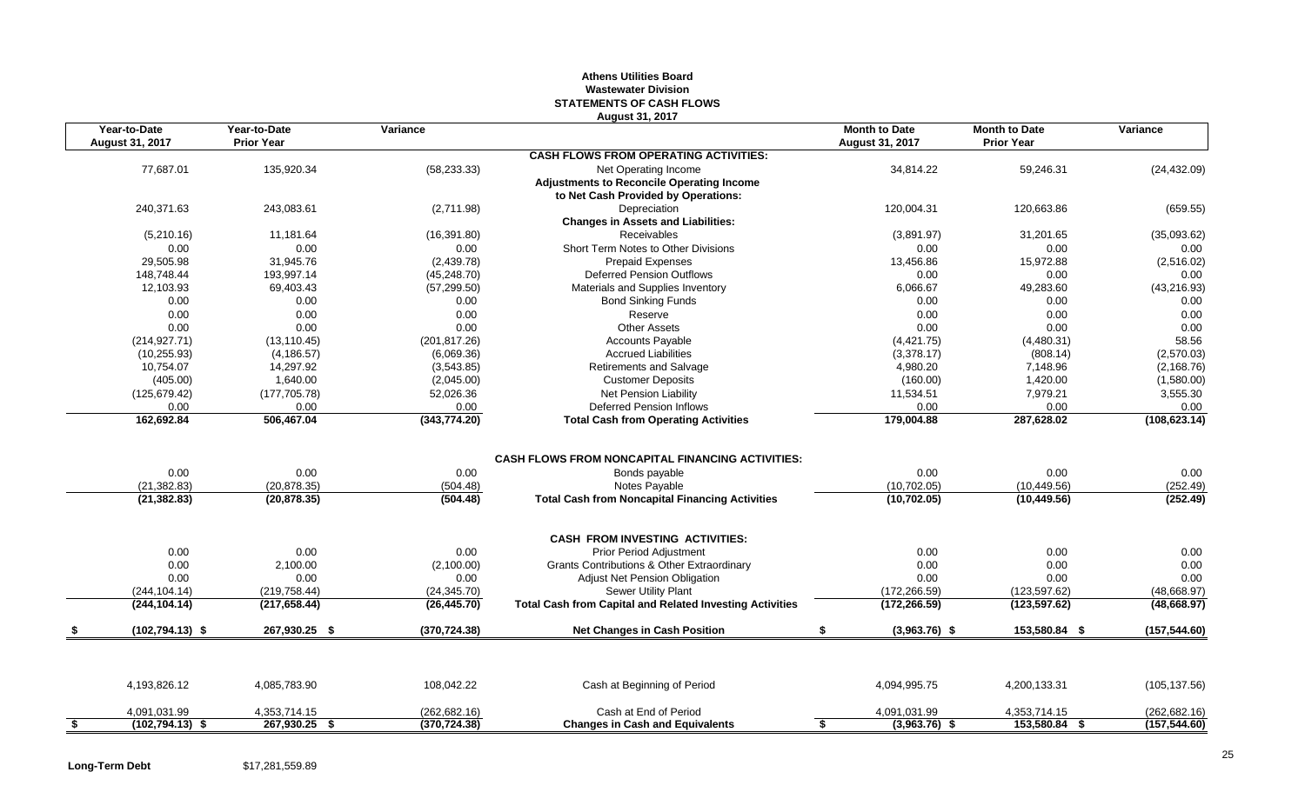# **Athens Utilities Board Wastewater Division STATEMENTS OF CASH FLOWS August 31, 2017**

| Year-to-Date<br><b>August 31, 2017</b> | Year-to-Date<br><b>Prior Year</b> | Variance      | August VI, LVII                                                          | <b>Month to Date</b><br>August 31, 2017 | <b>Month to Date</b><br><b>Prior Year</b> | Variance      |
|----------------------------------------|-----------------------------------|---------------|--------------------------------------------------------------------------|-----------------------------------------|-------------------------------------------|---------------|
|                                        |                                   |               | <b>CASH FLOWS FROM OPERATING ACTIVITIES:</b>                             |                                         |                                           |               |
| 77,687.01                              | 135,920.34                        | (58, 233.33)  | Net Operating Income<br><b>Adjustments to Reconcile Operating Income</b> | 34,814.22                               | 59,246.31                                 | (24, 432.09)  |
|                                        |                                   |               | to Net Cash Provided by Operations:                                      |                                         |                                           |               |
| 240,371.63                             | 243,083.61                        | (2,711.98)    | Depreciation<br><b>Changes in Assets and Liabilities:</b>                | 120,004.31                              | 120,663.86                                | (659.55)      |
| (5,210.16)                             | 11,181.64                         | (16, 391.80)  | Receivables                                                              | (3,891.97)                              | 31,201.65                                 | (35,093.62)   |
| 0.00                                   | 0.00                              | 0.00          | Short Term Notes to Other Divisions                                      | 0.00                                    | 0.00                                      | 0.00          |
| 29,505.98                              | 31,945.76                         | (2,439.78)    | <b>Prepaid Expenses</b>                                                  | 13,456.86                               | 15,972.88                                 | (2,516.02)    |
| 148,748.44                             | 193,997.14                        | (45, 248.70)  | <b>Deferred Pension Outflows</b>                                         | 0.00                                    | 0.00                                      | 0.00          |
| 12,103.93                              | 69,403.43                         | (57, 299.50)  | Materials and Supplies Inventory                                         | 6,066.67                                | 49,283.60                                 | (43, 216.93)  |
| 0.00                                   | 0.00                              | 0.00          | <b>Bond Sinking Funds</b>                                                | 0.00                                    | 0.00                                      | 0.00          |
| 0.00                                   | 0.00                              | 0.00          | Reserve                                                                  | 0.00                                    | 0.00                                      | 0.00          |
| 0.00                                   | 0.00                              | 0.00          | <b>Other Assets</b>                                                      | 0.00                                    | 0.00                                      | 0.00          |
| (214, 927.71)                          | (13, 110.45)                      | (201, 817.26) | <b>Accounts Payable</b>                                                  | (4,421.75)                              | (4,480.31)                                | 58.56         |
| (10, 255.93)                           | (4, 186.57)                       | (6,069.36)    | <b>Accrued Liabilities</b>                                               | (3,378.17)                              | (808.14)                                  | (2,570.03)    |
| 10,754.07                              | 14,297.92                         | (3,543.85)    | Retirements and Salvage                                                  | 4,980.20                                | 7,148.96                                  | (2, 168.76)   |
| (405.00)                               | 1,640.00                          | (2,045.00)    | <b>Customer Deposits</b>                                                 | (160.00)                                | 1,420.00                                  | (1,580.00)    |
| (125, 679.42)                          | (177, 705.78)                     | 52,026.36     | Net Pension Liability                                                    | 11,534.51                               | 7,979.21                                  | 3,555.30      |
| 0.00                                   | 0.00                              | 0.00          | <b>Deferred Pension Inflows</b>                                          | 0.00                                    | 0.00                                      | 0.00          |
| 162,692.84                             | 506,467.04                        | (343, 774.20) | <b>Total Cash from Operating Activities</b>                              | 179,004.88                              | 287,628.02                                | (108, 623.14) |
|                                        |                                   |               | <b>CASH FLOWS FROM NONCAPITAL FINANCING ACTIVITIES:</b>                  |                                         |                                           |               |
| 0.00                                   | 0.00                              | 0.00          | Bonds payable                                                            | 0.00                                    | 0.00                                      | 0.00          |
| (21, 382.83)                           | (20, 878.35)                      | (504.48)      | Notes Payable                                                            | (10, 702.05)                            | (10, 449.56)                              | (252.49)      |
| (21, 382.83)                           | (20, 878.35)                      | (504.48)      | <b>Total Cash from Noncapital Financing Activities</b>                   | (10, 702.05)                            | (10, 449.56)                              | (252.49)      |
|                                        |                                   |               | <b>CASH FROM INVESTING ACTIVITIES:</b>                                   |                                         |                                           |               |
| 0.00                                   | 0.00                              | 0.00          | Prior Period Adjustment                                                  | 0.00                                    | 0.00                                      | 0.00          |
| 0.00                                   | 2,100.00                          | (2,100.00)    | <b>Grants Contributions &amp; Other Extraordinary</b>                    | 0.00                                    | 0.00                                      | 0.00          |
| 0.00                                   | 0.00                              | 0.00          | <b>Adjust Net Pension Obligation</b>                                     | 0.00                                    | 0.00                                      | 0.00          |
| (244, 104.14)                          | (219, 758.44)                     | (24, 345.70)  | Sewer Utility Plant                                                      | (172, 266.59)                           | (123, 597.62)                             | (48, 668.97)  |
| (244, 104.14)                          | (217, 658.44)                     | (26, 445.70)  | <b>Total Cash from Capital and Related Investing Activities</b>          | (172, 266.59)                           | (123, 597.62)                             | (48,668.97)   |
| $(102, 794.13)$ \$                     | 267,930.25 \$                     | (370, 724.38) | <b>Net Changes in Cash Position</b>                                      | $(3,963.76)$ \$<br>\$                   | 153,580.84 \$                             | (157, 544.60) |
|                                        |                                   |               |                                                                          |                                         |                                           |               |
| 4,193,826.12                           | 4,085,783.90                      | 108,042.22    | Cash at Beginning of Period                                              | 4,094,995.75                            | 4,200,133.31                              | (105, 137.56) |
| 4,091,031.99                           | 4,353,714.15                      | (262, 682.16) | Cash at End of Period                                                    | 4,091,031.99                            | 4,353,714.15                              | (262, 682.16) |
| $(102, 794.13)$ \$                     | 267,930.25 \$                     | (370, 724.38) | <b>Changes in Cash and Equivalents</b>                                   | $(3,963.76)$ \$<br>\$                   | 153,580.84 \$                             | (157, 544.60) |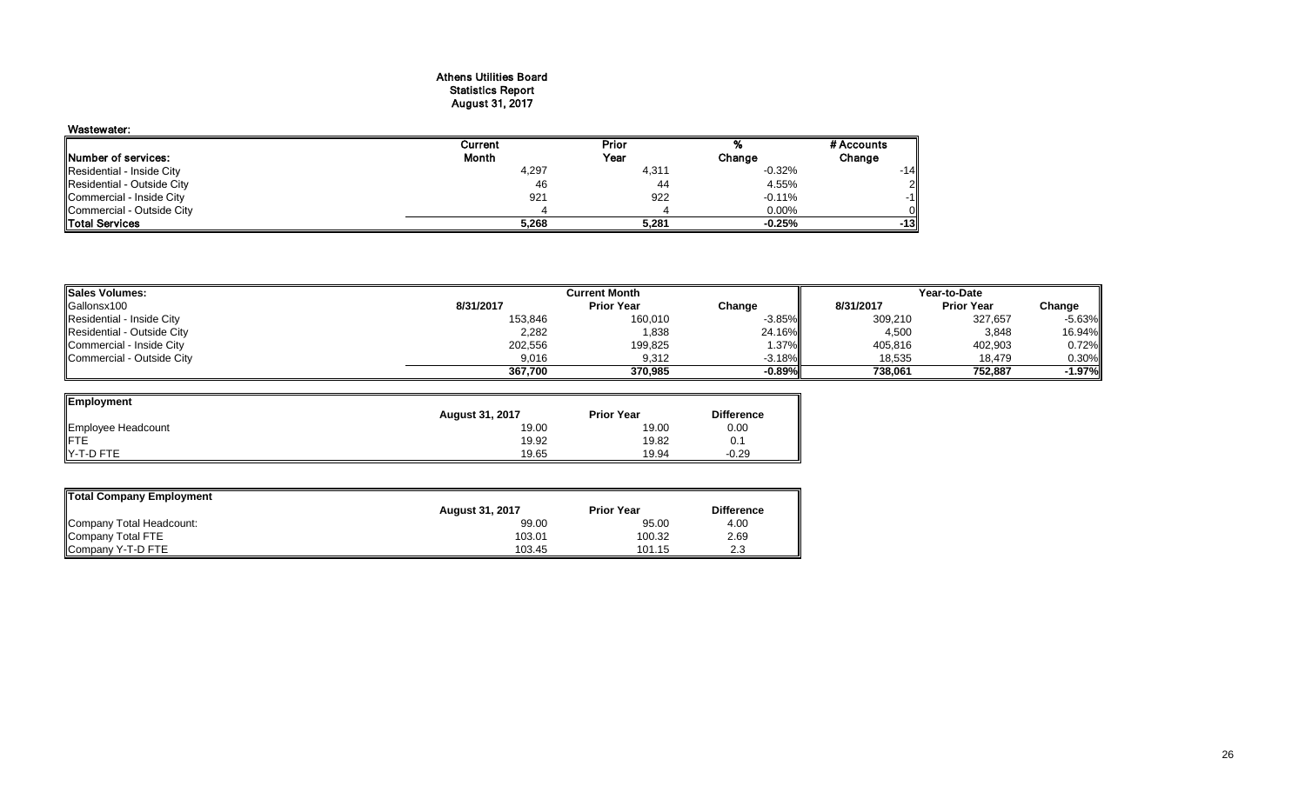#### Athens Utilities Board Statistics Report August 31, 2017

| Wastewater:                |         |       |          |                |
|----------------------------|---------|-------|----------|----------------|
|                            | Current | Prior |          | # Accounts     |
| Number of services:        | Month   | Year  | Change   | Change         |
| Residential - Inside City  | 4,297   | 4,311 | $-0.32%$ | -141           |
| Residential - Outside City | 46      | 44    | 4.55%    | $\overline{2}$ |
| Commercial - Inside City   | 921     | 922   | $-0.11%$ | $-11$          |
| Commercial - Outside City  |         |       | $0.00\%$ |                |
| <b>Total Services</b>      | 5,268   | 5,281 | $-0.25%$ | -131           |

| <b>Sales Volumes:</b>      | Current Month |                   |           | Year-to-Date |                   |          |  |
|----------------------------|---------------|-------------------|-----------|--------------|-------------------|----------|--|
| Gallonsx100                | 8/31/2017     | <b>Prior Year</b> | Change    | 8/31/2017    | <b>Prior Year</b> | Change   |  |
| Residential - Inside City  | 153,846       | 160,010           | $-3.85%$  | 309,210      | 327,657           | $-5.63%$ |  |
| Residential - Outside City | 2,282         | 1,838             | 24.16%    | 4,500        | 3,848             | 16.94%   |  |
| Commercial - Inside City   | 202,556       | 199,825           | 1.37%     | 405,816      | 402,903           | 0.72%    |  |
| Commercial - Outside City  | 9,016         | 9,312             | $-3.18%$  | 18,535       | 18,479            | 0.30%    |  |
|                            | 367,700       | 370.985           | $-0.89\%$ | 738,061      | 752,887           | -1.97%   |  |

| Employment         |                 |                   |                   |
|--------------------|-----------------|-------------------|-------------------|
|                    | August 31, 2017 | <b>Prior Year</b> | <b>Difference</b> |
| Employee Headcount | 19.00           | 19.00             | 0.00              |
| <b>IFTE</b>        | 19.92           | 19.82             | 0.1               |
| Y-T-D FTE          | 19.65           | 19.94             | $-0.29$           |

| Total Company Employment |                        |                   |                   |
|--------------------------|------------------------|-------------------|-------------------|
|                          | <b>August 31, 2017</b> | <b>Prior Year</b> | <b>Difference</b> |
| Company Total Headcount: | 99.00                  | 95.00             | 4.00              |
| Company Total FTE        | 103.01                 | 100.32            | 2.69              |
| Company Y-T-D FTE        | 103.45                 | 101.15            | 2.3               |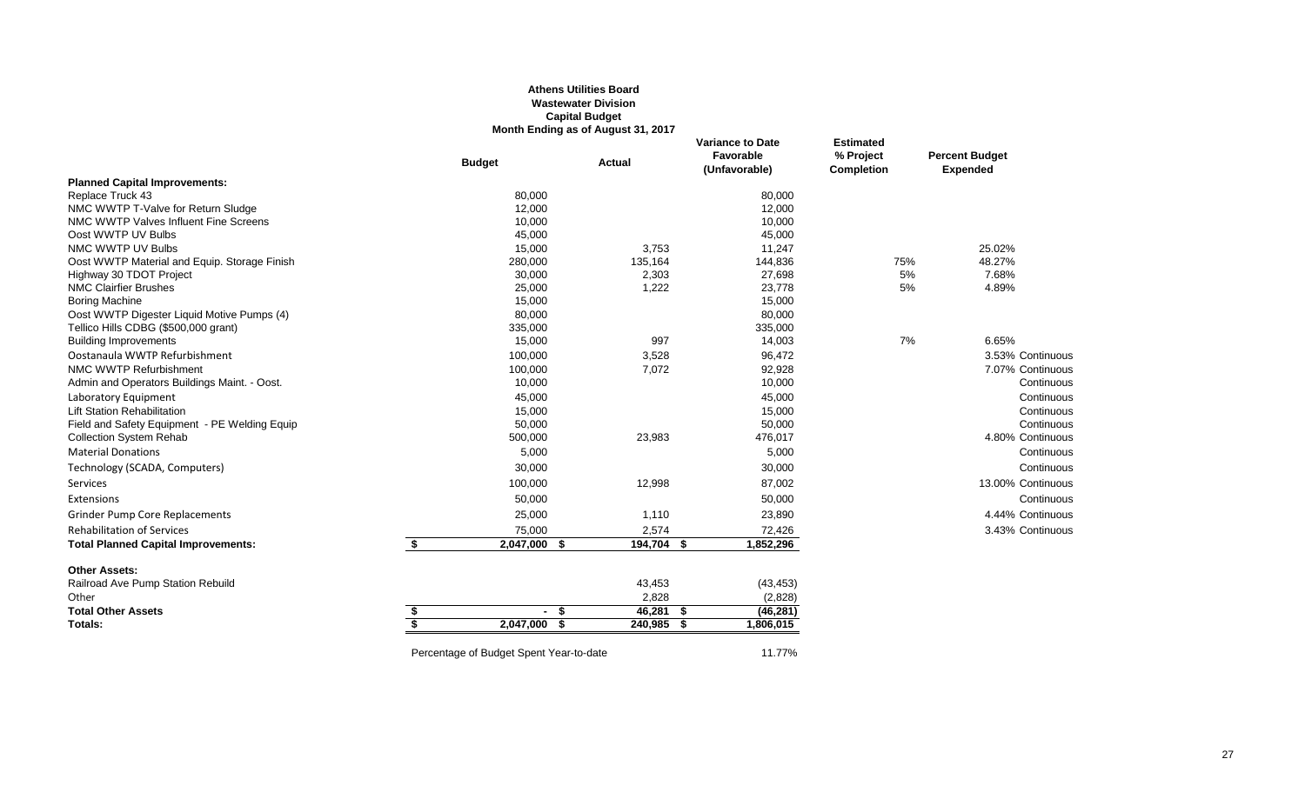# **Athens Utilities Board Wastewater Division Capital Budget Month Ending as of August 31, 2017**

|                                                                      |                         | <b>Budget</b>                           | <b>Actual</b>                           | <b>Variance to Date</b><br>Favorable<br>(Unfavorable) | <b>Estimated</b><br>% Project<br><b>Completion</b> | <b>Percent Budget</b><br><b>Expended</b> |
|----------------------------------------------------------------------|-------------------------|-----------------------------------------|-----------------------------------------|-------------------------------------------------------|----------------------------------------------------|------------------------------------------|
| <b>Planned Capital Improvements:</b>                                 |                         |                                         |                                         |                                                       |                                                    |                                          |
| Replace Truck 43                                                     |                         | 80,000                                  |                                         | 80,000                                                |                                                    |                                          |
| NMC WWTP T-Valve for Return Sludge                                   |                         | 12,000                                  |                                         | 12,000                                                |                                                    |                                          |
| NMC WWTP Valves Influent Fine Screens                                |                         | 10,000                                  |                                         | 10,000                                                |                                                    |                                          |
| Oost WWTP UV Bulbs                                                   |                         | 45,000                                  |                                         | 45,000                                                |                                                    |                                          |
| NMC WWTP UV Bulbs                                                    |                         | 15,000                                  | 3,753                                   | 11,247                                                |                                                    | 25.02%                                   |
| Oost WWTP Material and Equip. Storage Finish                         |                         | 280,000                                 | 135,164                                 | 144,836                                               | 75%                                                | 48.27%                                   |
| Highway 30 TDOT Project                                              |                         | 30,000                                  | 2,303                                   | 27,698                                                | 5%                                                 | 7.68%                                    |
| <b>NMC Clairfier Brushes</b>                                         |                         | 25,000                                  | 1,222                                   | 23,778                                                | 5%                                                 | 4.89%                                    |
| <b>Boring Machine</b>                                                |                         | 15,000                                  |                                         | 15,000                                                |                                                    |                                          |
| Oost WWTP Digester Liquid Motive Pumps (4)                           |                         | 80,000                                  |                                         | 80,000                                                |                                                    |                                          |
| Tellico Hills CDBG (\$500,000 grant)<br><b>Building Improvements</b> |                         | 335,000<br>15,000                       | 997                                     | 335,000<br>14,003                                     | 7%                                                 | 6.65%                                    |
| Oostanaula WWTP Refurbishment                                        |                         | 100,000                                 | 3,528                                   | 96,472                                                |                                                    | 3.53% Continuous                         |
| NMC WWTP Refurbishment                                               |                         | 100,000                                 | 7,072                                   | 92,928                                                |                                                    | 7.07% Continuous                         |
| Admin and Operators Buildings Maint. - Oost.                         |                         | 10,000                                  |                                         | 10,000                                                |                                                    | Continuous                               |
| Laboratory Equipment                                                 |                         | 45,000                                  |                                         | 45,000                                                |                                                    | Continuous                               |
| <b>Lift Station Rehabilitation</b>                                   |                         | 15,000                                  |                                         | 15,000                                                |                                                    | Continuous                               |
| Field and Safety Equipment - PE Welding Equip                        |                         | 50,000                                  |                                         | 50,000                                                |                                                    | Continuous                               |
| <b>Collection System Rehab</b>                                       |                         | 500,000                                 | 23,983                                  | 476,017                                               |                                                    | 4.80% Continuous                         |
| <b>Material Donations</b>                                            |                         | 5,000                                   |                                         | 5,000                                                 |                                                    | Continuous                               |
| Technology (SCADA, Computers)                                        |                         | 30,000                                  |                                         | 30,000                                                |                                                    | Continuous                               |
| <b>Services</b>                                                      |                         | 100,000                                 | 12,998                                  | 87,002                                                |                                                    | 13.00% Continuous                        |
| Extensions                                                           |                         | 50,000                                  |                                         | 50,000                                                |                                                    | Continuous                               |
| <b>Grinder Pump Core Replacements</b>                                |                         | 25,000                                  | 1,110                                   | 23,890                                                |                                                    | 4.44% Continuous                         |
| <b>Rehabilitation of Services</b>                                    |                         | 75,000                                  | 2,574                                   | 72,426                                                |                                                    | 3.43% Continuous                         |
| <b>Total Planned Capital Improvements:</b>                           | \$                      | 2,047,000                               | 194,704 \$<br>-S                        | 1,852,296                                             |                                                    |                                          |
| <b>Other Assets:</b>                                                 |                         |                                         |                                         |                                                       |                                                    |                                          |
| Railroad Ave Pump Station Rebuild                                    |                         |                                         | 43,453                                  | (43, 453)                                             |                                                    |                                          |
| Other                                                                |                         |                                         | 2,828                                   | (2,828)                                               |                                                    |                                          |
| <b>Total Other Assets</b>                                            | \$                      | ۰.                                      | \$<br>46,281                            | (46, 281)<br>\$                                       |                                                    |                                          |
| Totals:                                                              | $\overline{\mathbf{s}}$ | 2,047,000                               | $\overline{\mathbf{s}}$<br>$240,985$ \$ | 1,806,015                                             |                                                    |                                          |
|                                                                      |                         | Percentage of Budget Spent Year-to-date |                                         | 11.77%                                                |                                                    |                                          |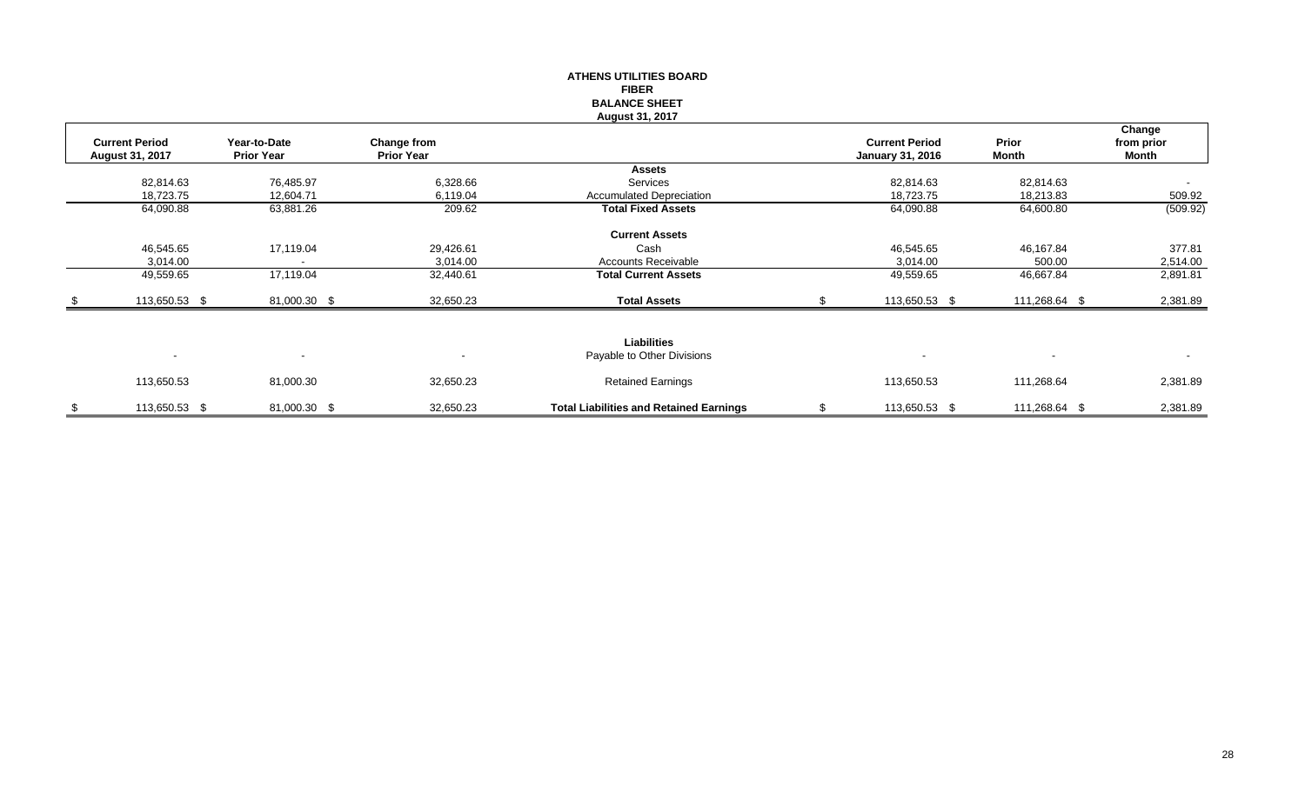|                                          |                                   |                                  | <b>FIBER</b><br><b>BALANCE SHEET</b>           |                                                  |                       |                               |
|------------------------------------------|-----------------------------------|----------------------------------|------------------------------------------------|--------------------------------------------------|-----------------------|-------------------------------|
|                                          |                                   |                                  | August 31, 2017                                |                                                  |                       |                               |
| <b>Current Period</b><br>August 31, 2017 | Year-to-Date<br><b>Prior Year</b> | Change from<br><b>Prior Year</b> |                                                | <b>Current Period</b><br><b>January 31, 2016</b> | Prior<br><b>Month</b> | Change<br>from prior<br>Month |
|                                          |                                   |                                  | <b>Assets</b>                                  |                                                  |                       |                               |
| 82,814.63                                | 76,485.97                         | 6,328.66                         | Services                                       | 82,814.63                                        | 82,814.63             | $\blacksquare$                |
| 18,723.75                                | 12,604.71                         | 6,119.04                         | <b>Accumulated Depreciation</b>                | 18,723.75                                        | 18,213.83             | 509.92                        |
| 64,090.88                                | 63,881.26                         | 209.62                           | <b>Total Fixed Assets</b>                      | 64,090.88                                        | 64,600.80             | (509.92)                      |
|                                          |                                   |                                  | <b>Current Assets</b>                          |                                                  |                       |                               |
| 46,545.65                                | 17,119.04                         | 29,426.61                        | Cash                                           | 46,545.65                                        | 46,167.84             | 377.81                        |
| 3,014.00                                 |                                   | 3,014.00                         | <b>Accounts Receivable</b>                     | 3,014.00                                         | 500.00                | 2,514.00                      |
| 49,559.65                                | 17,119.04                         | 32,440.61                        | <b>Total Current Assets</b>                    | 49,559.65                                        | 46,667.84             | 2,891.81                      |
| 113,650.53 \$                            | 81,000.30 \$                      | 32,650.23                        | <b>Total Assets</b>                            | 113,650.53 \$                                    | 111,268.64 \$         | 2,381.89                      |
|                                          |                                   |                                  | Liabilities                                    |                                                  |                       |                               |
| $\sim$                                   | $\overline{\phantom{a}}$          |                                  | Payable to Other Divisions                     | $\overline{\phantom{a}}$                         | $\sim$                | $\blacksquare$                |
| 113,650.53                               | 81,000.30                         | 32,650.23                        | <b>Retained Earnings</b>                       | 113,650.53                                       | 111,268.64            | 2,381.89                      |
| \$<br>113,650.53 \$                      | 81,000.30 \$                      | 32,650.23                        | <b>Total Liabilities and Retained Earnings</b> | \$<br>113,650.53 \$                              | 111,268.64 \$         | 2,381.89                      |

**ATHENS UTILITIES BOARD**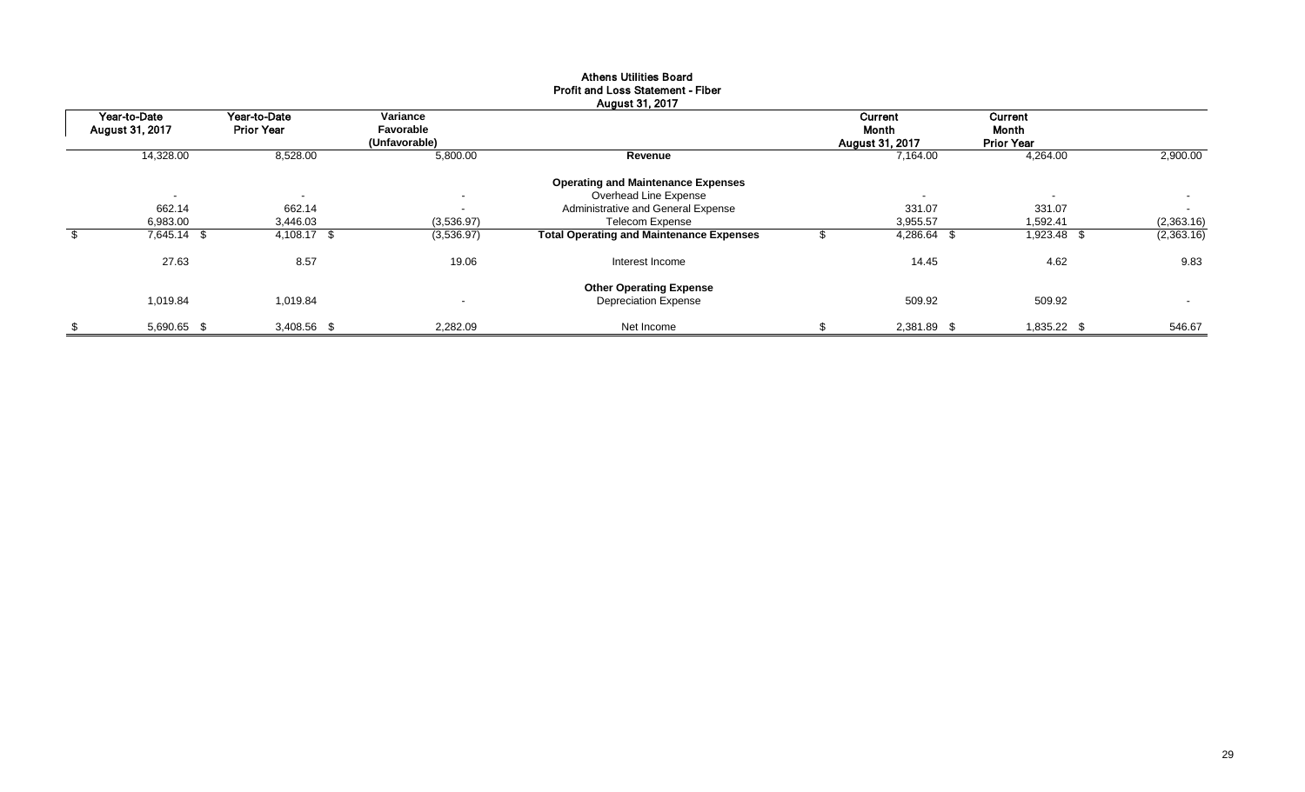| August 31, 2017                 |                                   |                       |                                                 |  |                          |                   |                          |  |  |  |  |
|---------------------------------|-----------------------------------|-----------------------|-------------------------------------------------|--|--------------------------|-------------------|--------------------------|--|--|--|--|
| Year-to-Date<br>August 31, 2017 | Year-to-Date<br><b>Prior Year</b> | Variance<br>Favorable |                                                 |  | Current<br><b>Month</b>  | Current<br>Month  |                          |  |  |  |  |
|                                 |                                   | (Unfavorable)         |                                                 |  | <b>August 31, 2017</b>   | <b>Prior Year</b> |                          |  |  |  |  |
| 14,328.00                       | 8,528.00                          | 5,800.00              | Revenue                                         |  | 7,164.00                 | 4,264.00          | 2,900.00                 |  |  |  |  |
|                                 |                                   |                       | <b>Operating and Maintenance Expenses</b>       |  |                          |                   |                          |  |  |  |  |
| $\sim$                          | $\overline{\phantom{a}}$          | $\sim$                | Overhead Line Expense                           |  | $\overline{\phantom{a}}$ | $\sim$            | $\sim$                   |  |  |  |  |
| 662.14                          | 662.14                            | $\sim$                | Administrative and General Expense              |  | 331.07                   | 331.07            | $\sim$                   |  |  |  |  |
| 6,983.00                        | 3,446.03                          | (3,536.97)            | <b>Telecom Expense</b>                          |  | 3,955.57                 | 1,592.41          | (2,363.16)               |  |  |  |  |
| 7,645.14 \$                     | 4,108.17 \$                       | (3,536.97)            | <b>Total Operating and Maintenance Expenses</b> |  | 4,286.64 \$              | 1,923.48 \$       | (2,363.16)               |  |  |  |  |
| 27.63                           | 8.57                              | 19.06                 | Interest Income                                 |  | 14.45                    | 4.62              | 9.83                     |  |  |  |  |
|                                 |                                   |                       | <b>Other Operating Expense</b>                  |  |                          |                   |                          |  |  |  |  |
| 1,019.84                        | 1,019.84                          | $\sim$                | <b>Depreciation Expense</b>                     |  | 509.92                   | 509.92            | $\overline{\phantom{a}}$ |  |  |  |  |
| \$<br>5,690.65 \$               | 3,408.56 \$                       | 2.282.09              | Net Income                                      |  | 2,381.89 \$              | 1,835.22 \$       | 546.67                   |  |  |  |  |

# Athens Utilities Board Profit and Loss Statement - Fiber